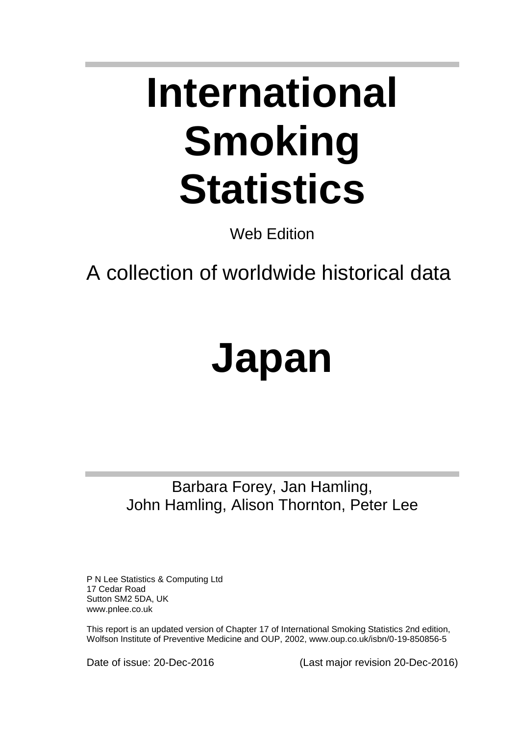# **International Smoking Statistics**

Web Edition

A collection of worldwide historical data

# **Japan**

Barbara Forey, Jan Hamling, John Hamling, Alison Thornton, Peter Lee

P N Lee Statistics & Computing Ltd 17 Cedar Road Sutton SM2 5DA, UK www.pnlee.co.uk

This report is an updated version of Chapter 17 of International Smoking Statistics 2nd edition, Wolfson Institute of Preventive Medicine and OUP, 2002, www.oup.co.uk/isbn/0-19-850856-5

Date of issue: 20-Dec-2016 (Last major revision 20-Dec-2016)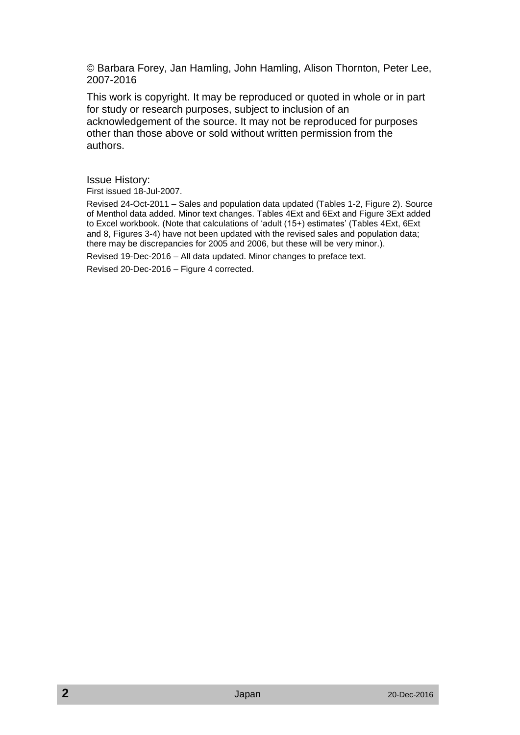© Barbara Forey, Jan Hamling, John Hamling, Alison Thornton, Peter Lee, 2007-2016

This work is copyright. It may be reproduced or quoted in whole or in part for study or research purposes, subject to inclusion of an acknowledgement of the source. It may not be reproduced for purposes other than those above or sold without written permission from the authors.

Issue History:

First issued 18-Jul-2007.

Revised 24-Oct-2011 – Sales and population data updated (Tables 1-2, Figure 2). Source of Menthol data added. Minor text changes. Tables 4Ext and 6Ext and Figure 3Ext added to Excel workbook. (Note that calculations of 'adult (15+) estimates' (Tables 4Ext, 6Ext and 8, Figures 3-4) have not been updated with the revised sales and population data; there may be discrepancies for 2005 and 2006, but these will be very minor.).

Revised 19-Dec-2016 – All data updated. Minor changes to preface text.

Revised 20-Dec-2016 – Figure 4 corrected.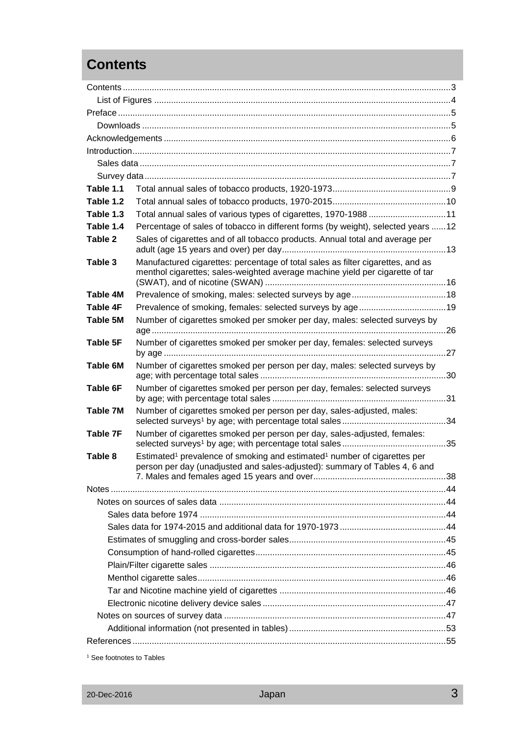# <span id="page-2-0"></span>**Contents**

| Table 1.1       |                                                                                                                                                                                |  |
|-----------------|--------------------------------------------------------------------------------------------------------------------------------------------------------------------------------|--|
| Table 1.2       |                                                                                                                                                                                |  |
| Table 1.3       | Total annual sales of various types of cigarettes, 1970-1988 11                                                                                                                |  |
| Table 1.4       | Percentage of sales of tobacco in different forms (by weight), selected years 12                                                                                               |  |
| Table 2         | Sales of cigarettes and of all tobacco products. Annual total and average per                                                                                                  |  |
| Table 3         | Manufactured cigarettes: percentage of total sales as filter cigarettes, and as<br>menthol cigarettes; sales-weighted average machine yield per cigarette of tar               |  |
| Table 4M        |                                                                                                                                                                                |  |
| Table 4F        |                                                                                                                                                                                |  |
| <b>Table 5M</b> | Number of cigarettes smoked per smoker per day, males: selected surveys by                                                                                                     |  |
| Table 5F        | Number of cigarettes smoked per smoker per day, females: selected surveys                                                                                                      |  |
| Table 6M        | Number of cigarettes smoked per person per day, males: selected surveys by                                                                                                     |  |
| Table 6F        | Number of cigarettes smoked per person per day, females: selected surveys                                                                                                      |  |
| <b>Table 7M</b> | Number of cigarettes smoked per person per day, sales-adjusted, males:                                                                                                         |  |
| <b>Table 7F</b> | Number of cigarettes smoked per person per day, sales-adjusted, females:                                                                                                       |  |
| Table 8         | Estimated <sup>1</sup> prevalence of smoking and estimated <sup>1</sup> number of cigarettes per<br>person per day (unadjusted and sales-adjusted): summary of Tables 4, 6 and |  |
|                 |                                                                                                                                                                                |  |
|                 |                                                                                                                                                                                |  |
|                 |                                                                                                                                                                                |  |
|                 |                                                                                                                                                                                |  |
|                 |                                                                                                                                                                                |  |
|                 |                                                                                                                                                                                |  |
|                 |                                                                                                                                                                                |  |
|                 |                                                                                                                                                                                |  |
|                 |                                                                                                                                                                                |  |
|                 |                                                                                                                                                                                |  |
|                 |                                                                                                                                                                                |  |
|                 |                                                                                                                                                                                |  |
|                 |                                                                                                                                                                                |  |

<sup>1</sup> See footnotes to Tables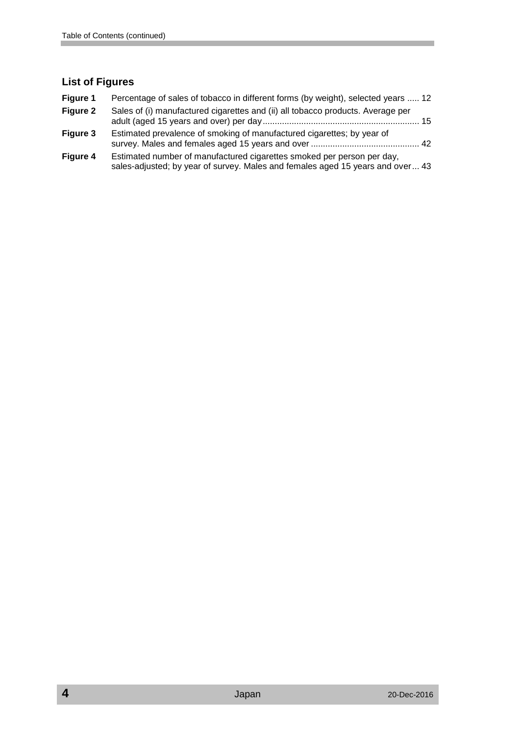# <span id="page-3-0"></span>**List of Figures**

| Figure 1        | Percentage of sales of tobacco in different forms (by weight), selected years  12                                                                        |  |
|-----------------|----------------------------------------------------------------------------------------------------------------------------------------------------------|--|
| <b>Figure 2</b> | Sales of (i) manufactured cigarettes and (ii) all tobacco products. Average per                                                                          |  |
| Figure 3        | Estimated prevalence of smoking of manufactured cigarettes; by year of                                                                                   |  |
| Figure 4        | Estimated number of manufactured cigarettes smoked per person per day,<br>sales-adjusted; by year of survey. Males and females aged 15 years and over 43 |  |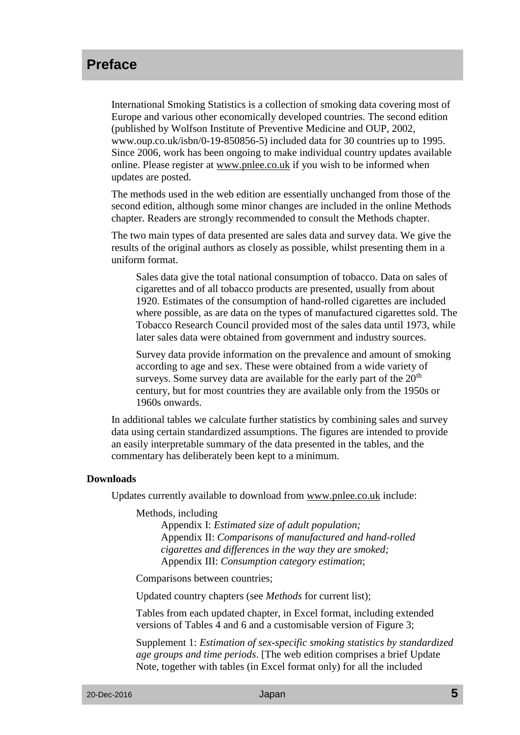# <span id="page-4-0"></span>**Preface**

International Smoking Statistics is a collection of smoking data covering most of Europe and various other economically developed countries. The second edition (published by Wolfson Institute of Preventive Medicine and OUP, 2002, [www.oup.co.uk/isbn/0-19-850856-5\)](http://www.oup.co.uk/isbn/0-19-850856-5) included data for 30 countries up to 1995. Since 2006, work has been ongoing to make individual country updates available online. Please register at [www.pnlee.co.uk](http://www.pnlee.co.uk/) if you wish to be informed when updates are posted.

The methods used in the web edition are essentially unchanged from those of the second edition, although some minor changes are included in the online Methods chapter. Readers are strongly recommended to consult the Methods chapter.

The two main types of data presented are sales data and survey data. We give the results of the original authors as closely as possible, whilst presenting them in a uniform format.

Sales data give the total national consumption of tobacco. Data on sales of cigarettes and of all tobacco products are presented, usually from about 1920. Estimates of the consumption of hand-rolled cigarettes are included where possible, as are data on the types of manufactured cigarettes sold. The Tobacco Research Council provided most of the sales data until 1973, while later sales data were obtained from government and industry sources.

Survey data provide information on the prevalence and amount of smoking according to age and sex. These were obtained from a wide variety of surveys. Some survey data are available for the early part of the  $20<sup>th</sup>$ century, but for most countries they are available only from the 1950s or 1960s onwards.

In additional tables we calculate further statistics by combining sales and survey data using certain standardized assumptions. The figures are intended to provide an easily interpretable summary of the data presented in the tables, and the commentary has deliberately been kept to a minimum.

# <span id="page-4-1"></span>**Downloads**

Updates currently available to download from [www.pnlee.co.uk](http://www.pnlee.co.uk/) include:

Methods, including

Appendix I: *Estimated size of adult population;* Appendix II: *Comparisons of manufactured and hand-rolled cigarettes and differences in the way they are smoked;* Appendix III: *Consumption category estimation*;

Comparisons between countries;

Updated country chapters (see *Methods* for current list);

Tables from each updated chapter, in Excel format, including extended versions of Tables 4 and 6 and a customisable version of Figure 3;

Supplement 1: *Estimation of sex-specific smoking statistics by standardized age groups and time periods*. [The web edition comprises a brief Update Note, together with tables (in Excel format only) for all the included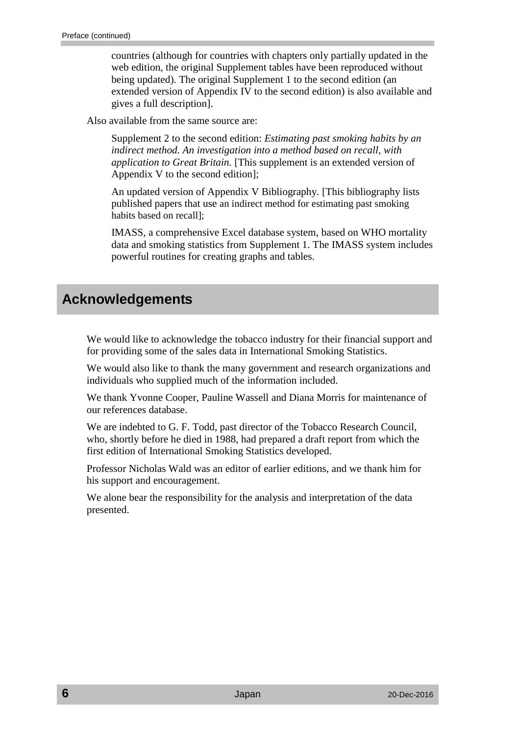countries (although for countries with chapters only partially updated in the web edition, the original Supplement tables have been reproduced without being updated). The original Supplement 1 to the second edition (an extended version of Appendix IV to the second edition) is also available and gives a full description].

Also available from the same source are:

Supplement 2 to the second edition: *Estimating past smoking habits by an indirect method. An investigation into a method based on recall, with application to Great Britain.* [This supplement is an extended version of Appendix V to the second edition];

An updated version of Appendix V Bibliography. [This bibliography lists published papers that use an indirect method for estimating past smoking habits based on recall];

IMASS, a comprehensive Excel database system, based on WHO mortality data and smoking statistics from Supplement 1. The IMASS system includes powerful routines for creating graphs and tables.

# <span id="page-5-0"></span>**Acknowledgements**

We would like to acknowledge the tobacco industry for their financial support and for providing some of the sales data in International Smoking Statistics.

We would also like to thank the many government and research organizations and individuals who supplied much of the information included.

We thank Yvonne Cooper, Pauline Wassell and Diana Morris for maintenance of our references database.

We are indebted to G. F. Todd, past director of the Tobacco Research Council, who, shortly before he died in 1988, had prepared a draft report from which the first edition of International Smoking Statistics developed.

Professor Nicholas Wald was an editor of earlier editions, and we thank him for his support and encouragement.

We alone bear the responsibility for the analysis and interpretation of the data presented.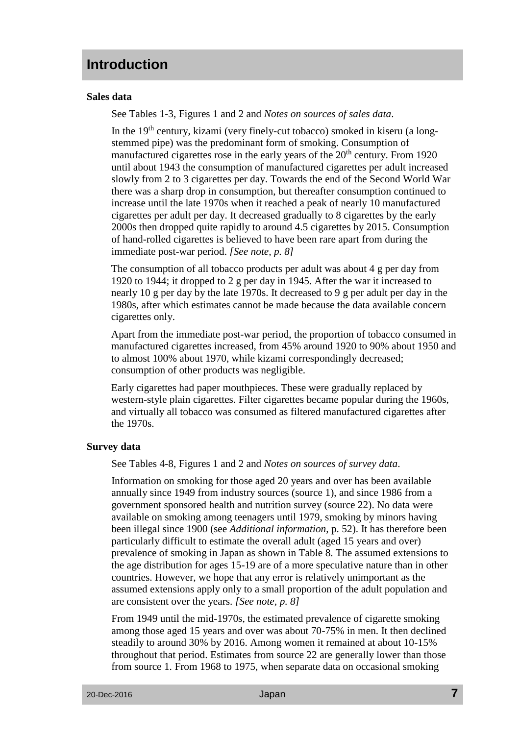# <span id="page-6-0"></span>**Introduction**

# <span id="page-6-1"></span>**Sales data**

See Tables 1-3, Figures 1 and 2 and *[Notes on sources of sales data](#page-43-1)*.

In the  $19<sup>th</sup>$  century, kizami (very finely-cut tobacco) smoked in kiseru (a longstemmed pipe) was the predominant form of smoking. Consumption of manufactured cigarettes rose in the early years of the  $20<sup>th</sup>$  century. From 1920 until about 1943 the consumption of manufactured cigarettes per adult increased slowly from 2 to 3 cigarettes per day. Towards the end of the Second World War there was a sharp drop in consumption, but thereafter consumption continued to increase until the late 1970s when it reached a peak of nearly 10 manufactured cigarettes per adult per day. It decreased gradually to 8 cigarettes by the early 2000s then dropped quite rapidly to around 4.5 cigarettes by 2015. Consumption of hand-rolled cigarettes is believed to have been rare apart from during the immediate post-war period. *[See note, p. [8\]](#page-7-0)*

The consumption of all tobacco products per adult was about 4 g per day from 1920 to 1944; it dropped to 2 g per day in 1945. After the war it increased to nearly 10 g per day by the late 1970s. It decreased to 9 g per adult per day in the 1980s, after which estimates cannot be made because the data available concern cigarettes only.

Apart from the immediate post-war period, the proportion of tobacco consumed in manufactured cigarettes increased, from 45% around 1920 to 90% about 1950 and to almost 100% about 1970, while kizami correspondingly decreased; consumption of other products was negligible.

Early cigarettes had paper mouthpieces. These were gradually replaced by western-style plain cigarettes. Filter cigarettes became popular during the 1960s, and virtually all tobacco was consumed as filtered manufactured cigarettes after the 1970s.

# <span id="page-6-2"></span>**Survey data**

See Tables 4-8, Figures 1 and 2 and *[Notes on sources of survey](#page-46-1) data*.

Information on smoking for those aged 20 years and over has been available annually since 1949 from industry sources (source 1), and since 1986 from a government sponsored health and nutrition survey (source 22). No data were available on smoking among teenagers until 1979, smoking by minors having been illegal since 1900 (see *Additional information*, p. [52\)](#page-51-0). It has therefore been particularly difficult to estimate the overall adult (aged 15 years and over) prevalence of smoking in Japan as shown in Table 8. The assumed extensions to the age distribution for ages 15-19 are of a more speculative nature than in other countries. However, we hope that any error is relatively unimportant as the assumed extensions apply only to a small proportion of the adult population and are consistent over the years. *[See note, p. [8\]](#page-7-0)*

From 1949 until the mid-1970s, the estimated prevalence of cigarette smoking among those aged 15 years and over was about 70-75% in men. It then declined steadily to around 30% by 2016. Among women it remained at about 10-15% throughout that period. Estimates from source 22 are generally lower than those from source 1. From 1968 to 1975, when separate data on occasional smoking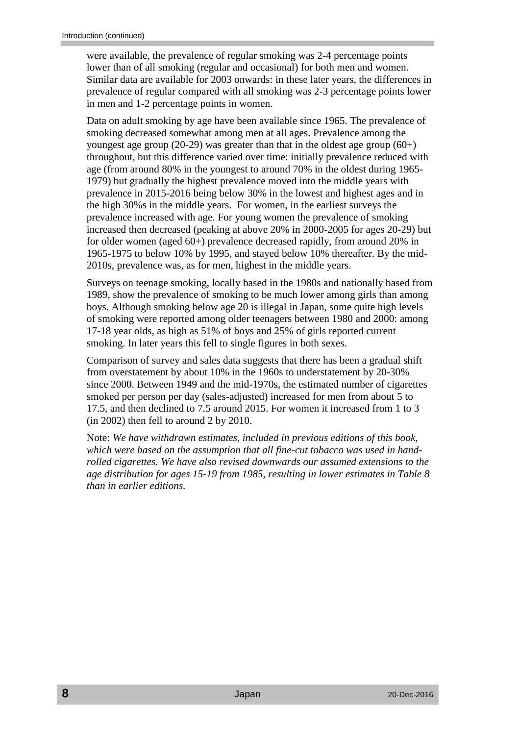were available, the prevalence of regular smoking was 2-4 percentage points lower than of all smoking (regular and occasional) for both men and women. Similar data are available for 2003 onwards: in these later years, the differences in prevalence of regular compared with all smoking was 2-3 percentage points lower in men and 1-2 percentage points in women.

Data on adult smoking by age have been available since 1965. The prevalence of smoking decreased somewhat among men at all ages. Prevalence among the youngest age group (20-29) was greater than that in the oldest age group  $(60+)$ throughout, but this difference varied over time: initially prevalence reduced with age (from around 80% in the youngest to around 70% in the oldest during 1965- 1979) but gradually the highest prevalence moved into the middle years with prevalence in 2015-2016 being below 30% in the lowest and highest ages and in the high 30%s in the middle years. For women, in the earliest surveys the prevalence increased with age. For young women the prevalence of smoking increased then decreased (peaking at above 20% in 2000-2005 for ages 20-29) but for older women (aged 60+) prevalence decreased rapidly, from around 20% in 1965-1975 to below 10% by 1995, and stayed below 10% thereafter. By the mid-2010s, prevalence was, as for men, highest in the middle years.

Surveys on teenage smoking, locally based in the 1980s and nationally based from 1989, show the prevalence of smoking to be much lower among girls than among boys. Although smoking below age 20 is illegal in Japan, some quite high levels of smoking were reported among older teenagers between 1980 and 2000: among 17-18 year olds, as high as 51% of boys and 25% of girls reported current smoking. In later years this fell to single figures in both sexes.

Comparison of survey and sales data suggests that there has been a gradual shift from overstatement by about 10% in the 1960s to understatement by 20-30% since 2000. Between 1949 and the mid-1970s, the estimated number of cigarettes smoked per person per day (sales-adjusted) increased for men from about 5 to 17.5, and then declined to 7.5 around 2015. For women it increased from 1 to 3 (in 2002) then fell to around 2 by 2010.

<span id="page-7-0"></span>Note: *We have withdrawn estimates, included in previous editions of this book, which were based on the assumption that all fine-cut tobacco was used in handrolled cigarettes. We have also revised downwards our assumed extensions to the age distribution for ages 15-19 from 1985, resulting in lower estimates in Table 8 than in earlier editions.*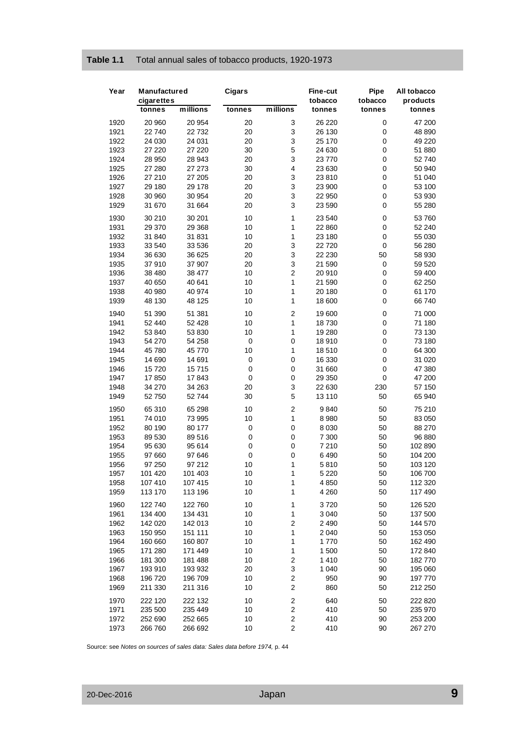# <span id="page-8-0"></span>**Table 1.1** Total annual sales of tobacco products, 1920-1973

| Year         | Manufactured<br>cigarettes |                  | <b>Cigars</b> |                         | Fine-cut<br>tobacco | <b>Pipe</b><br>tobacco     | All tobacco<br>products |
|--------------|----------------------------|------------------|---------------|-------------------------|---------------------|----------------------------|-------------------------|
|              | tonnes                     | millions         | tonnes        | millions                | tonnes              | tonnes                     | tonnes                  |
| 1920         | 20 960                     | 20 954           | 20            | 3                       | 26 220              | 0                          | 47 200                  |
| 1921         | 22740                      | 22732            | 20            | 3                       | 26 130              | $\mathbf 0$                | 48 890                  |
| 1922         | 24 030                     | 24 031           | 20            | 3                       | 25 170              | $\mathbf 0$                | 49 220                  |
| 1923         | 27 220                     | 27 220           | 30            | 5                       | 24 630              | $\mathbf 0$                | 51 880                  |
| 1924         | 28 950                     | 28 943           | 20            | 3                       | 23770               | 0                          | 52740                   |
| 1925         | 27 280                     | 27 273           | 30            | 4                       | 23 630              | 0                          | 50 940                  |
| 1926         | 27 210                     | 27 205           | 20            | 3                       | 23810               | $\mathbf 0$                | 51 040                  |
| 1927         | 29 180                     | 29 178           | 20            | 3                       | 23 900              | $\mathbf 0$                | 53 100                  |
| 1928         | 30 960                     | 30 954           | 20            | 3                       | 22 950              | 0                          | 53 930                  |
| 1929         | 31 670                     | 31 664           | 20            | 3                       | 23 590              | 0                          | 55 280                  |
| 1930         | 30 210                     | 30 201           | 10            | 1                       | 23 540              | $\pmb{0}$                  | 53760                   |
| 1931         | 29 370                     | 29 3 68          | 10            | 1                       | 22 860              | 0                          | 52 240                  |
| 1932         | 31 840                     | 31 831           | 10            | 1                       | 23 180              | $\mathbf 0$                | 55 030                  |
| 1933         | 33 540                     | 33 536           | 20            | 3                       | 22720               | $\mathbf 0$                | 56 280                  |
| 1934         | 36 630                     | 36 625           | 20            | 3                       | 22 230              | 50                         | 58 930                  |
| 1935<br>1936 | 37910                      | 37 907           | 20            | 3                       | 21 590              | $\pmb{0}$                  | 59 520                  |
|              | 38 480<br>40 650           | 38 477           | 10            | $\overline{c}$<br>1     | 20 910              | $\mathbf 0$<br>$\mathbf 0$ | 59 400                  |
| 1937<br>1938 | 40 980                     | 40 641<br>40 974 | 10<br>10      | 1                       | 21 590<br>20 180    | $\mathbf 0$                | 62 250<br>61 170        |
| 1939         | 48 130                     | 48 125           | 10            | 1                       | 18 600              | 0                          | 66740                   |
| 1940         | 51 390                     | 51 381           | 10            | $\overline{c}$          | 19 600              | $\mathbf 0$                | 71 000                  |
| 1941         | 52 440                     | 52 428           | 10            | 1                       | 18730               | $\mathbf 0$                | 71 180                  |
| 1942         | 53 840                     | 53 830           | 10            | 1                       | 19 280              | 0                          | 73 130                  |
| 1943         | 54 270                     | 54 258           | 0             | 0                       | 18910               | $\mathbf 0$                | 73 180                  |
| 1944         | 45 780                     | 45 770           | 10            | 1                       | 18510               | $\mathbf 0$                | 64 300                  |
| 1945         | 14 690                     | 14 691           | 0             | 0                       | 16 330              | $\mathbf 0$                | 31 0 20                 |
| 1946         | 15720                      | 15715            | 0             | 0                       | 31 660              | 0                          | 47 380                  |
| 1947         | 17850                      | 17843            | 0             | 0                       | 29 350              | $\mathbf 0$                | 47 200                  |
| 1948         | 34 270                     | 34 263           | 20            | 3                       | 22 630              | 230                        | 57 150                  |
| 1949         | 52 750                     | 52744            | 30            | 5                       | 13 110              | 50                         | 65 940                  |
| 1950         | 65 310                     | 65 298           | 10            | $\boldsymbol{2}$        | 9840                | 50                         | 75 210                  |
| 1951         | 74 010                     | 73 995           | 10            | 1                       | 8980                | 50                         | 83 050                  |
| 1952         | 80 190                     | 80 177           | 0             | 0                       | 8 0 3 0             | 50                         | 88 270                  |
| 1953         | 89 530                     | 89 516           | 0             | 0                       | 7 300               | 50                         | 96 880                  |
| 1954         | 95 630                     | 95 614           | 0             | 0                       | 7 2 1 0             | 50                         | 102 890                 |
| 1955         | 97 660                     | 97 646           | 0             | 0                       | 6490                | 50                         | 104 200                 |
| 1956         | 97 250                     | 97 212           | 10            | 1                       | 5810                | 50                         | 103 120                 |
| 1957         | 101 420                    | 101 403          | 10            | 1                       | 5 2 2 0             | 50                         | 106 700                 |
| 1958         | 107 410                    | 107 415          | 10            | 1                       | 4850                | 50                         | 112 320                 |
| 1959         | 113 170                    | 113 196          | 10            | 1                       | 4 2 6 0             | 50                         | 117 490                 |
| 1960         | 122 740                    | 122 760          | 10            | 1                       | 3720                | 50                         | 126 520                 |
| 1961         | 134 400                    | 134 431          | 10            | 1                       | 3 0 4 0             | 50                         | 137 500                 |
| 1962         | 142 020                    | 142 013          | 10            | 2                       | 2 4 9 0             | 50                         | 144 570                 |
| 1963         | 150 950                    | 151 111          | 10            | 1                       | 2 0 4 0             | 50                         | 153 050                 |
| 1964         | 160 660                    | 160 807          | 10            | 1                       | 1770                | 50                         | 162 490                 |
| 1965         | 171 280                    | 171 449          | 10            | 1                       | 1500                | 50                         | 172 840                 |
| 1966         | 181 300                    | 181 488          | 10            | $\overline{\mathbf{c}}$ | 1410                | 50                         | 182770                  |
| 1967         | 193 910                    | 193 932          | 20            | 3                       | 1 0 4 0             | 90                         | 195 060                 |
| 1968         | 196 720                    | 196 709          | 10            | $\boldsymbol{2}$        | 950                 | 90                         | 197 770                 |
| 1969         | 211 330                    | 211 316          | 10            | 2                       | 860                 | 50                         | 212 250                 |
| 1970         | 222 120                    | 222 132          | 10            | $\overline{\mathbf{c}}$ | 640                 | 50                         | 222 820                 |
| 1971         | 235 500                    | 235 449          | 10            | $\boldsymbol{2}$        | 410                 | 50                         | 235 970                 |
| 1972         | 252 690                    | 252 665          | 10            | 2                       | 410                 | 90                         | 253 200                 |
| 1973         | 266 760                    | 266 692          | 10            | 2                       | 410                 | 90                         | 267 270                 |

Source: see *[Notes on sources of sales data:](#page-43-1) [Sales data before 1974,](#page-43-2)* p[. 44](#page-43-2)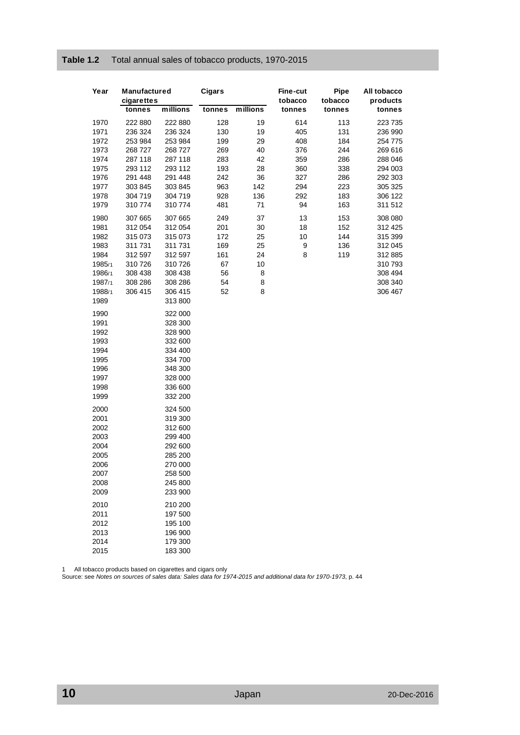# <span id="page-9-0"></span>**Table 1.2** Total annual sales of tobacco products, 1970-2015

| Year           | Manufactured<br>cigarettes<br>tonnes | millions           | <b>Cigars</b><br>tonnes | millions | Fine-cut<br>tobacco<br>tonnes | <b>Pipe</b><br>tobacco<br>tonnes | All tobacco<br>products<br>tonnes |
|----------------|--------------------------------------|--------------------|-------------------------|----------|-------------------------------|----------------------------------|-----------------------------------|
|                |                                      |                    |                         |          |                               |                                  |                                   |
| 1970           | 222 880                              | 222 880            | 128                     | 19       | 614                           | 113                              | 223 735                           |
| 1971           | 236 324                              | 236 324            | 130                     | 19       | 405                           | 131                              | 236 990                           |
| 1972           | 253 984                              | 253 984            | 199                     | 29       | 408                           | 184                              | 254 775                           |
| 1973<br>1974   | 268 727<br>287 118                   | 268727<br>287 118  | 269<br>283              | 40<br>42 | 376<br>359                    | 244<br>286                       | 269 616<br>288 046                |
| 1975           | 293 112                              | 293 112            | 193                     | 28       | 360                           | 338                              | 294 003                           |
| 1976           | 291 448                              | 291 448            | 242                     | 36       | 327                           | 286                              | 292 303                           |
| 1977           | 303 845                              | 303 845            | 963                     | 142      | 294                           | 223                              | 305 325                           |
| 1978           | 304 719                              | 304 719            | 928                     | 136      | 292                           | 183                              | 306 122                           |
| 1979           | 310774                               | 310774             | 481                     | 71       | 94                            | 163                              | 311 512                           |
| 1980           | 307 665                              | 307 665            | 249                     | 37       | 13                            | 153                              | 308 080                           |
| 1981           | 312 054                              | 312 054            | 201                     | 30       | 18                            | 152                              | 312 425                           |
| 1982           | 315 073                              | 315 073            | 172                     | 25       | 10                            | 144                              | 315 399                           |
| 1983           | 311 731                              | 311 731            | 169                     | 25       | 9                             | 136                              | 312 045                           |
| 1984           | 312 597                              | 312 597            | 161                     | 24       | 8                             | 119                              | 312 885                           |
| 1985/1         | 310726                               | 310726             | 67                      | 10       |                               |                                  | 310 793                           |
| 1986/1         | 308 438                              | 308 438            | 56                      | 8        |                               |                                  | 308 494                           |
| 1987/1         | 308 286                              | 308 286            | 54                      | 8        |                               |                                  | 308 340                           |
| 1988/1<br>1989 | 306 415                              | 306 415<br>313 800 | 52                      | 8        |                               |                                  | 306 467                           |
| 1990           |                                      | 322 000            |                         |          |                               |                                  |                                   |
| 1991           |                                      | 328 300            |                         |          |                               |                                  |                                   |
| 1992           |                                      | 328 900            |                         |          |                               |                                  |                                   |
| 1993           |                                      | 332 600            |                         |          |                               |                                  |                                   |
| 1994           |                                      | 334 400            |                         |          |                               |                                  |                                   |
| 1995           |                                      | 334 700            |                         |          |                               |                                  |                                   |
| 1996           |                                      | 348 300            |                         |          |                               |                                  |                                   |
| 1997           |                                      | 328 000            |                         |          |                               |                                  |                                   |
| 1998           |                                      | 336 600            |                         |          |                               |                                  |                                   |
| 1999           |                                      | 332 200            |                         |          |                               |                                  |                                   |
| 2000           |                                      | 324 500            |                         |          |                               |                                  |                                   |
| 2001           |                                      | 319 300            |                         |          |                               |                                  |                                   |
| 2002<br>2003   |                                      | 312 600<br>299 400 |                         |          |                               |                                  |                                   |
| 2004           |                                      | 292 600            |                         |          |                               |                                  |                                   |
| 2005           |                                      | 285 200            |                         |          |                               |                                  |                                   |
| 2006           |                                      | 270 000            |                         |          |                               |                                  |                                   |
| 2007           |                                      | 258 500            |                         |          |                               |                                  |                                   |
| 2008           |                                      | 245 800            |                         |          |                               |                                  |                                   |
| 2009           |                                      | 233 900            |                         |          |                               |                                  |                                   |
| 2010           |                                      | 210 200            |                         |          |                               |                                  |                                   |
| 2011           |                                      | 197 500            |                         |          |                               |                                  |                                   |
| 2012           |                                      | 195 100            |                         |          |                               |                                  |                                   |
| 2013           |                                      | 196 900            |                         |          |                               |                                  |                                   |
| 2014           |                                      | 179 300<br>183 300 |                         |          |                               |                                  |                                   |
| 2015           |                                      |                    |                         |          |                               |                                  |                                   |

1 All tobacco products based on cigarettes and cigars only

Source: see *[Notes on sources of sales data:](#page-43-1) Sales data for 1974-2015 [and additional data for 1970-1973](#page-43-3)*, p[. 44](#page-43-4)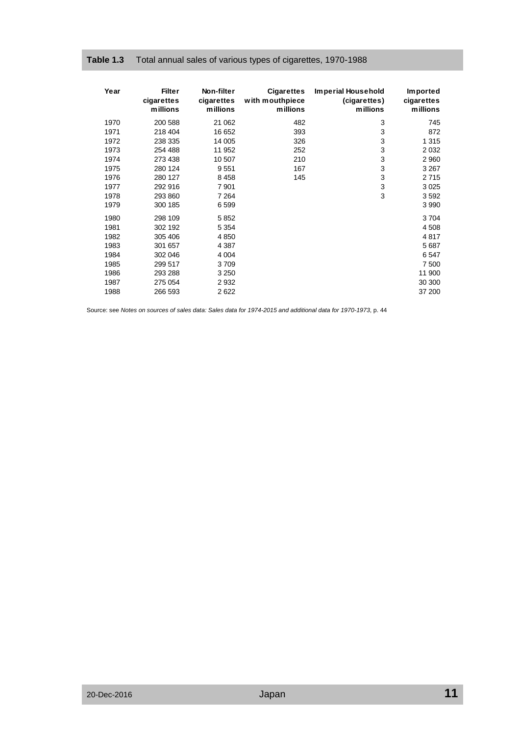# <span id="page-10-0"></span>**Table 1.3** Total annual sales of various types of cigarettes, 1970-1988

| Year | Filter<br>cigarettes<br>millions | Non-filter<br>cigarettes<br>millions | <b>Cigarettes</b><br>with mouthpiece<br>millions | <b>Imperial Household</b><br>(cigarettes)<br>millions | Imported<br>cigarettes<br>millions |
|------|----------------------------------|--------------------------------------|--------------------------------------------------|-------------------------------------------------------|------------------------------------|
| 1970 | 200 588                          | 21 062                               | 482                                              | 3                                                     | 745                                |
| 1971 | 218 404                          | 16 652                               | 393                                              | 3                                                     | 872                                |
| 1972 | 238 335                          | 14 005                               | 326                                              | 3                                                     | 1 3 1 5                            |
| 1973 | 254 488                          | 11 952                               | 252                                              | $\ensuremath{\mathsf{3}}$                             | 2 0 3 2                            |
| 1974 | 273 438                          | 10 507                               | 210                                              | $\ensuremath{\mathsf{3}}$                             | 2 9 6 0                            |
| 1975 | 280 124                          | 9551                                 | 167                                              | $\ensuremath{\mathsf{3}}$                             | 3 2 6 7                            |
| 1976 | 280 127                          | 8458                                 | 145                                              | 3                                                     | 2715                               |
| 1977 | 292 916                          | 7901                                 |                                                  | 3                                                     | 3 0 2 5                            |
| 1978 | 293 860                          | 7 2 6 4                              |                                                  | 3                                                     | 3592                               |
| 1979 | 300 185                          | 6599                                 |                                                  |                                                       | 3 9 9 0                            |
| 1980 | 298 109                          | 5852                                 |                                                  |                                                       | 3704                               |
| 1981 | 302 192                          | 5 3 5 4                              |                                                  |                                                       | 4508                               |
| 1982 | 305 406                          | 4850                                 |                                                  |                                                       | 4817                               |
| 1983 | 301 657                          | 4 3 8 7                              |                                                  |                                                       | 5 6 8 7                            |
| 1984 | 302 046                          | 4 0 0 4                              |                                                  |                                                       | 6547                               |
| 1985 | 299 517                          | 3709                                 |                                                  |                                                       | 7 500                              |
| 1986 | 293 288                          | 3 2 5 0                              |                                                  |                                                       | 11 900                             |
| 1987 | 275 054                          | 2932                                 |                                                  |                                                       | 30 300                             |
| 1988 | 266 593                          | 2622                                 |                                                  |                                                       | 37 200                             |

Source: see *[Notes on sources of sales data:](#page-43-1) Sales data for 1974-2015 [and additional data for 1970-1973](#page-43-3)*, p[. 44](#page-43-4)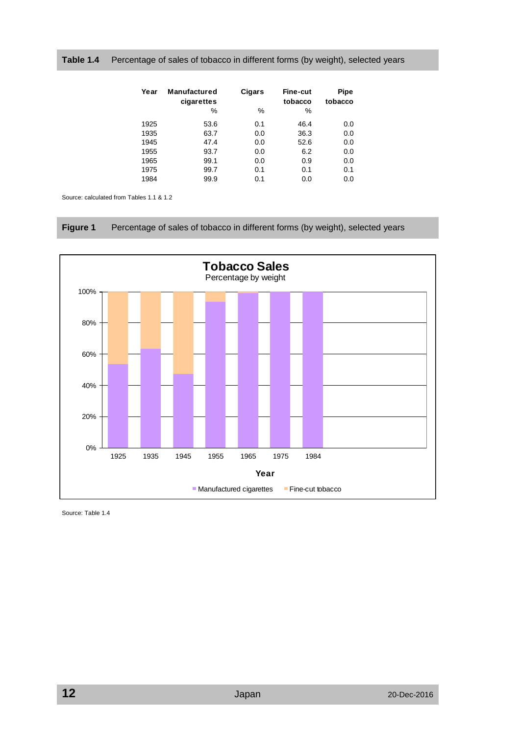<span id="page-11-0"></span>**Table 1.4** Percentage of sales of tobacco in different forms (by weight), selected years

| Year | Manufactured<br>cigarettes<br>% | Cigars<br>% | <b>Fine-cut</b><br>tobacco<br>% | <b>Pipe</b><br>tobacco |
|------|---------------------------------|-------------|---------------------------------|------------------------|
| 1925 | 53.6                            | 0.1         | 46.4                            | 0.0                    |
| 1935 | 63.7                            | 0.0         | 36.3                            | 0.0                    |
| 1945 | 47.4                            | 0.0         | 52.6                            | 0.0                    |
| 1955 | 93.7                            | 0.0         | 6.2                             | 0.0                    |
| 1965 | 99.1                            | 0.0         | 0.9                             | 0.0                    |
| 1975 | 99.7                            | 0.1         | 0.1                             | 0.1                    |
| 1984 | 99.9                            | 0.1         | 0.0                             | 0.0                    |

Source: calculated from Tables 1.1 & 1.2

<span id="page-11-1"></span>**Figure 1** Percentage of sales of tobacco in different forms (by weight), selected years



Source: Table 1.4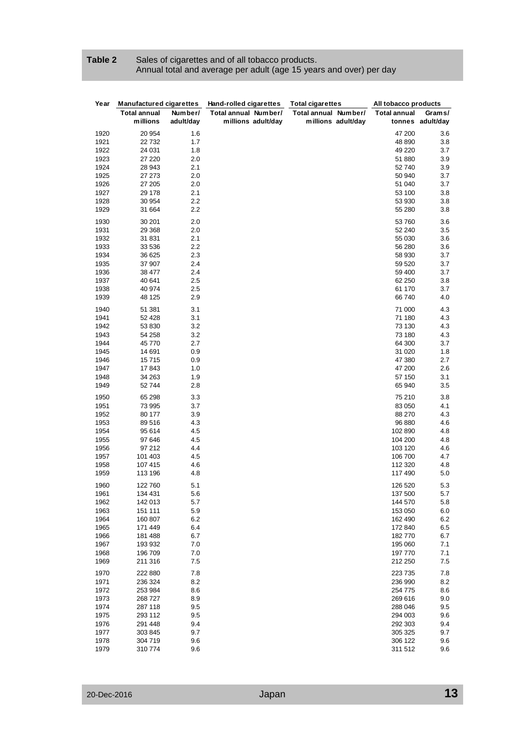# <span id="page-12-0"></span>**Table 2** Sales of cigarettes and of all tobacco products. Annual total and average per adult (age 15 years and over) per day

| Year         | <b>Manufactured cigarettes</b><br><b>Total annual</b> | Number/    | Hand-rolled cigarettes<br>Total annual Number/ | <b>Total cigarettes</b><br>Total annual Number/ | All tobacco products<br><b>Total annual</b> | Grams/           |  |  |
|--------------|-------------------------------------------------------|------------|------------------------------------------------|-------------------------------------------------|---------------------------------------------|------------------|--|--|
|              | millions                                              | adult/day  | millions adult/day                             | millions adult/day                              |                                             | tonnes adult/day |  |  |
| 1920         | 20 954                                                | 1.6        |                                                |                                                 | 47 200                                      | 3.6              |  |  |
| 1921         | 22732                                                 | 1.7        |                                                |                                                 | 48 890                                      | 3.8              |  |  |
| 1922         | 24 031                                                | 1.8        |                                                |                                                 | 49 220                                      | 3.7              |  |  |
| 1923         | 27 220                                                | 2.0        |                                                |                                                 | 51 880                                      | 3.9              |  |  |
| 1924         | 28 943                                                | 2.1        |                                                |                                                 | 52740                                       | 3.9              |  |  |
| 1925         | 27 273                                                | 2.0        |                                                |                                                 | 50 940                                      | 3.7              |  |  |
| 1926         | 27 205                                                | 2.0        |                                                |                                                 | 51 040                                      | 3.7              |  |  |
| 1927         | 29 178                                                | 2.1        |                                                |                                                 | 53 100                                      | 3.8              |  |  |
| 1928         | 30 954                                                | 2.2        |                                                |                                                 | 53 930                                      | 3.8              |  |  |
| 1929         | 31 664                                                | 2.2        |                                                |                                                 | 55 280                                      | 3.8              |  |  |
| 1930         | 30 201                                                | 2.0        |                                                |                                                 | 53760                                       | 3.6              |  |  |
| 1931         | 29 3 68                                               | 2.0        |                                                |                                                 | 52 240                                      | 3.5              |  |  |
| 1932         | 31 831                                                | 2.1        |                                                |                                                 | 55 030                                      | 3.6              |  |  |
| 1933         | 33 536                                                | 2.2        |                                                |                                                 | 56 280                                      | 3.6              |  |  |
| 1934         | 36 625                                                | 2.3        |                                                |                                                 | 58 930                                      | 3.7              |  |  |
| 1935         | 37 907                                                | 2.4        |                                                |                                                 | 59 520                                      | 3.7              |  |  |
| 1936         | 38 477                                                | 2.4        |                                                |                                                 | 59 400                                      | 3.7              |  |  |
| 1937         | 40 641                                                | 2.5        |                                                |                                                 | 62 250                                      | 3.8              |  |  |
| 1938<br>1939 | 40 974<br>48 125                                      | 2.5<br>2.9 |                                                |                                                 | 61 170<br>66740                             | 3.7<br>4.0       |  |  |
|              |                                                       |            |                                                |                                                 |                                             |                  |  |  |
| 1940         | 51 381                                                | 3.1        |                                                |                                                 | 71 000                                      | 4.3              |  |  |
| 1941         | 52 428                                                | 3.1        |                                                |                                                 | 71 180                                      | 4.3              |  |  |
| 1942         | 53 830                                                | 3.2        |                                                |                                                 | 73 130                                      | 4.3              |  |  |
| 1943         | 54 258                                                | 3.2        |                                                |                                                 | 73 180                                      | 4.3              |  |  |
| 1944         | 45 770                                                | 2.7        |                                                |                                                 | 64 300                                      | 3.7              |  |  |
| 1945<br>1946 | 14 691<br>15715                                       | 0.9<br>0.9 |                                                |                                                 | 31 0 20<br>47 380                           | 1.8<br>2.7       |  |  |
| 1947         | 17843                                                 | 1.0        |                                                |                                                 | 47 200                                      | 2.6              |  |  |
| 1948         | 34 263                                                | 1.9        |                                                |                                                 | 57 150                                      | 3.1              |  |  |
| 1949         | 52744                                                 | 2.8        |                                                |                                                 | 65 940                                      | 3.5              |  |  |
| 1950         | 65 298                                                | 3.3        |                                                |                                                 | 75 210                                      | 3.8              |  |  |
| 1951         | 73 995                                                | 3.7        |                                                |                                                 | 83 050                                      | 4.1              |  |  |
| 1952         | 80 177                                                | 3.9        |                                                |                                                 | 88 270                                      | 4.3              |  |  |
| 1953         | 89516                                                 | 4.3        |                                                |                                                 | 96 880                                      | 4.6              |  |  |
| 1954         | 95 614                                                | 4.5        |                                                |                                                 | 102 890                                     | 4.8              |  |  |
| 1955         | 97 646                                                | 4.5        |                                                |                                                 | 104 200                                     | 4.8              |  |  |
| 1956         | 97 212                                                | 4.4        |                                                |                                                 | 103 120                                     | 4.6              |  |  |
| 1957         | 101 403                                               | 4.5        |                                                |                                                 | 106 700                                     | 4.7              |  |  |
| 1958         | 107 415                                               | 4.6        |                                                |                                                 | 112 320                                     | 4.8              |  |  |
| 1959         | 113 196                                               | 4.8        |                                                |                                                 | 117 490                                     | 5.0              |  |  |
| 1960         | 122 760                                               | 5.1        |                                                |                                                 | 126 520                                     | 5.3              |  |  |
| 1961         | 134 431                                               | 5.6        |                                                |                                                 | 137 500                                     | 5.7              |  |  |
| 1962         | 142 013                                               | 5.7        |                                                |                                                 | 144 570                                     | 5.8              |  |  |
| 1963         | 151 111                                               | 5.9        |                                                |                                                 | 153 050                                     | 6.0              |  |  |
| 1964         | 160 807                                               | 6.2        |                                                |                                                 | 162 490                                     | 6.2              |  |  |
| 1965         | 171 449                                               | 6.4        |                                                |                                                 | 172 840                                     | 6.5              |  |  |
| 1966         | 181 488                                               | 6.7        |                                                |                                                 | 182770                                      | 6.7              |  |  |
| 1967         | 193 932                                               | 7.0        |                                                |                                                 | 195 060                                     | 7.1              |  |  |
| 1968         | 196 709                                               | 7.0        |                                                |                                                 | 197 770                                     | 7.1              |  |  |
| 1969         | 211 316                                               | 7.5        |                                                |                                                 | 212 250                                     | 7.5              |  |  |
| 1970         | 222 880                                               | 7.8        |                                                |                                                 | 223 735                                     | 7.8              |  |  |
| 1971         | 236 324                                               | 8.2        |                                                |                                                 | 236 990                                     | 8.2              |  |  |
| 1972         | 253 984                                               | 8.6        |                                                |                                                 | 254 775                                     | 8.6              |  |  |
| 1973         | 268727                                                | 8.9        |                                                |                                                 | 269 616                                     | 9.0              |  |  |
| 1974         | 287 118                                               | 9.5        |                                                |                                                 | 288 046                                     | 9.5              |  |  |
| 1975         | 293 112                                               | 9.5        |                                                |                                                 | 294 003                                     | 9.6              |  |  |
| 1976<br>1977 | 291 448<br>303 845                                    | 9.4<br>9.7 |                                                |                                                 | 292 303<br>305 325                          | 9.4<br>9.7       |  |  |
| 1978         | 304 719                                               | 9.6        |                                                |                                                 | 306 122                                     | 9.6              |  |  |
| 1979         | 310774                                                | 9.6        |                                                |                                                 | 311 512                                     | 9.6              |  |  |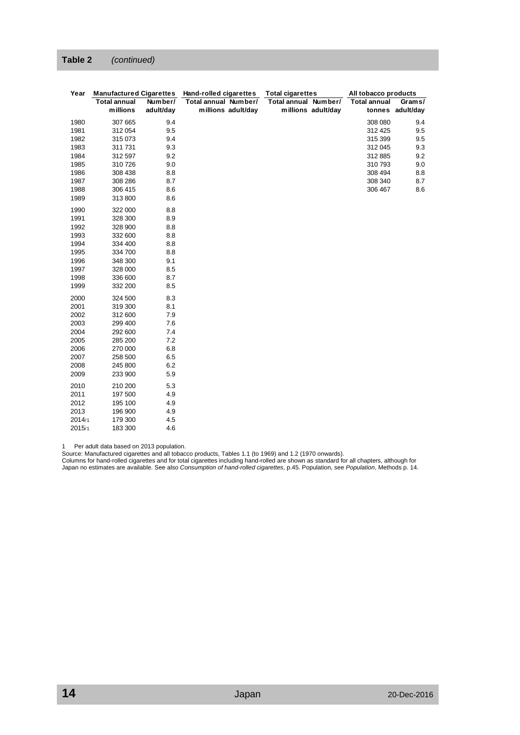| Year   | <b>Manufactured Cigarettes</b> |           | <b>Hand-rolled cigarettes</b> | <b>Total cigarettes</b> | All tobacco products |                  |  |  |  |
|--------|--------------------------------|-----------|-------------------------------|-------------------------|----------------------|------------------|--|--|--|
|        | <b>Total annual</b>            | Number/   | Total annual Number/          | Total annual Number/    | Total annual         | Grams/           |  |  |  |
|        | millions                       | adult/day | millions adult/day            | millions adult/day      |                      | tonnes adult/day |  |  |  |
| 1980   | 307 665                        | 9.4       |                               |                         | 308 080              | 9.4              |  |  |  |
| 1981   | 312 054                        | 9.5       |                               |                         | 312 425              | 9.5              |  |  |  |
| 1982   | 315 073                        | 9.4       |                               |                         | 315 399              | 9.5              |  |  |  |
| 1983   | 311 731                        | 9.3       |                               |                         | 312 045              | 9.3              |  |  |  |
| 1984   | 312 597                        | 9.2       |                               |                         | 312 885              | 9.2              |  |  |  |
| 1985   | 310 726                        | 9.0       |                               |                         | 310 793              | 9.0              |  |  |  |
| 1986   | 308 438                        | 8.8       |                               |                         | 308 494              | 8.8              |  |  |  |
| 1987   | 308 286                        | 8.7       |                               |                         | 308 340              | 8.7              |  |  |  |
| 1988   | 306 415                        | 8.6       |                               |                         | 306 467              | 8.6              |  |  |  |
| 1989   | 313 800                        | 8.6       |                               |                         |                      |                  |  |  |  |
| 1990   | 322 000                        | 8.8       |                               |                         |                      |                  |  |  |  |
| 1991   | 328 300                        | 8.9       |                               |                         |                      |                  |  |  |  |
| 1992   | 328 900                        | 8.8       |                               |                         |                      |                  |  |  |  |
| 1993   | 332 600                        | 8.8       |                               |                         |                      |                  |  |  |  |
| 1994   | 334 400                        | 8.8       |                               |                         |                      |                  |  |  |  |
| 1995   | 334 700                        | 8.8       |                               |                         |                      |                  |  |  |  |
| 1996   | 348 300                        | 9.1       |                               |                         |                      |                  |  |  |  |
| 1997   | 328 000                        | 8.5       |                               |                         |                      |                  |  |  |  |
| 1998   | 336 600                        | 8.7       |                               |                         |                      |                  |  |  |  |
| 1999   | 332 200                        | 8.5       |                               |                         |                      |                  |  |  |  |
| 2000   | 324 500                        | 8.3       |                               |                         |                      |                  |  |  |  |
| 2001   | 319 300                        | 8.1       |                               |                         |                      |                  |  |  |  |
| 2002   | 312 600                        | 7.9       |                               |                         |                      |                  |  |  |  |
| 2003   | 299 400                        | 7.6       |                               |                         |                      |                  |  |  |  |
| 2004   | 292 600                        | 7.4       |                               |                         |                      |                  |  |  |  |
| 2005   | 285 200                        | 7.2       |                               |                         |                      |                  |  |  |  |
| 2006   | 270 000                        | 6.8       |                               |                         |                      |                  |  |  |  |
| 2007   | 258 500                        | 6.5       |                               |                         |                      |                  |  |  |  |
| 2008   | 245 800                        | 6.2       |                               |                         |                      |                  |  |  |  |
| 2009   | 233 900                        | 5.9       |                               |                         |                      |                  |  |  |  |
| 2010   | 210 200                        | 5.3       |                               |                         |                      |                  |  |  |  |
| 2011   | 197 500                        | 4.9       |                               |                         |                      |                  |  |  |  |
| 2012   | 195 100                        | 4.9       |                               |                         |                      |                  |  |  |  |
| 2013   | 196 900                        | 4.9       |                               |                         |                      |                  |  |  |  |
| 2014/1 | 179 300                        | 4.5       |                               |                         |                      |                  |  |  |  |
| 2015/1 | 183 300                        | 4.6       |                               |                         |                      |                  |  |  |  |
|        |                                |           |                               |                         |                      |                  |  |  |  |

1 Per adult data based on 2013 population.

Source: Manufactured cigarettes and all tobacco products, Tables 1.1 (to 1969) and 1.2 (1970 onwards).

Columns for hand-rolled cigarettes and for total cigarettes including hand-rolled are shown as standard for all chapters, although for Japan no estimates are available. See also *[Consumption of hand-rolled cigarettes](#page-44-1)*, [p.45.](#page-44-1) Population, see *Population*, Methods p. 14.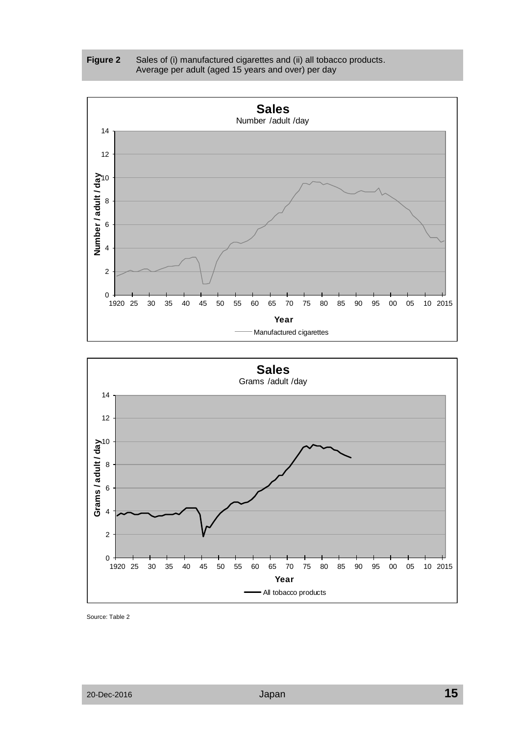<span id="page-14-0"></span>





Source: Table 2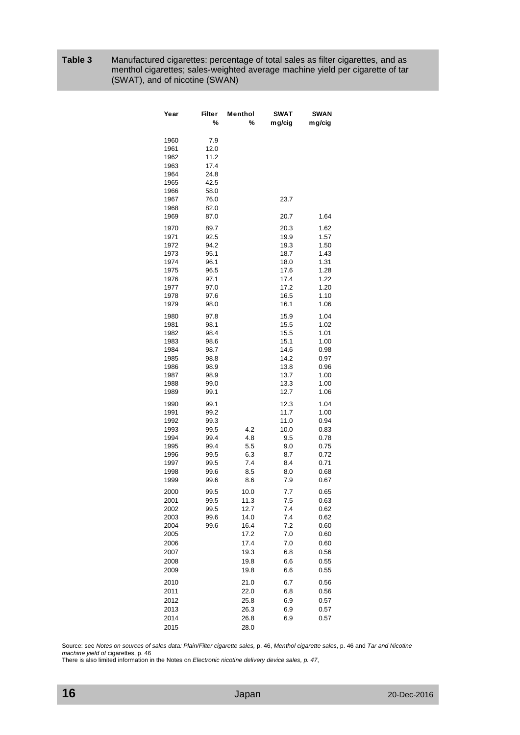<span id="page-15-0"></span>**Table 3** Manufactured cigarettes: percentage of total sales as filter cigarettes, and as menthol cigarettes; sales-weighted average machine yield per cigarette of tar (SWAT), and of nicotine (SWAN)

| Year         | <b>Filter</b><br>% | Menthol<br>% | SWAT<br>m g/cig | <b>SWAN</b><br>mg/cig |
|--------------|--------------------|--------------|-----------------|-----------------------|
| 1960         | 7.9                |              |                 |                       |
| 1961         | 12.0               |              |                 |                       |
| 1962         | 11.2               |              |                 |                       |
| 1963         | 17.4               |              |                 |                       |
| 1964         | 24.8               |              |                 |                       |
| 1965         | 42.5               |              |                 |                       |
| 1966         | 58.0               |              |                 |                       |
| 1967         | 76.0               |              | 23.7            |                       |
| 1968         | 82.0               |              |                 |                       |
| 1969         | 87.0               |              | 20.7            | 1.64                  |
| 1970         | 89.7               |              | 20.3            | 1.62                  |
| 1971         | 92.5               |              | 19.9            | 1.57                  |
| 1972         | 94.2               |              | 19.3            | 1.50                  |
| 1973         | 95.1               |              | 18.7            | 1.43                  |
| 1974         | 96.1               |              | 18.0            | 1.31                  |
| 1975         | 96.5               |              | 17.6            | 1.28                  |
| 1976         | 97.1               |              | 17.4            | 1.22                  |
| 1977         | 97.0               |              | 17.2<br>16.5    | 1.20                  |
| 1978<br>1979 | 97.6<br>98.0       |              | 16.1            | 1.10<br>1.06          |
|              |                    |              |                 |                       |
| 1980<br>1981 | 97.8<br>98.1       |              | 15.9<br>15.5    | 1.04<br>1.02          |
| 1982         | 98.4               |              | 15.5            | 1.01                  |
| 1983         | 98.6               |              | 15.1            | 1.00                  |
| 1984         | 98.7               |              | 14.6            | 0.98                  |
| 1985         | 98.8               |              | 14.2            | 0.97                  |
| 1986         | 98.9               |              | 13.8            | 0.96                  |
| 1987         | 98.9               |              | 13.7            | 1.00                  |
| 1988         | 99.0               |              | 13.3            | 1.00                  |
| 1989         | 99.1               |              | 12.7            | 1.06                  |
| 1990         | 99.1               |              | 12.3            | 1.04                  |
| 1991         | 99.2               |              | 11.7            | 1.00                  |
| 1992         | 99.3               |              | 11.0            | 0.94                  |
| 1993         | 99.5               | 4.2          | 10.0            | 0.83                  |
| 1994         | 99.4               | 4.8          | 9.5             | 0.78                  |
| 1995         | 99.4               | 5.5          | 9.0             | 0.75                  |
| 1996         | 99.5               | 6.3          | 8.7             | 0.72                  |
| 1997         | 99.5               | 7.4          | 8.4             | 0.71                  |
| 1998<br>1999 | 99.6<br>99.6       | 8.5<br>8.6   | 8.0<br>7.9      | 0.68<br>0.67          |
|              |                    |              |                 |                       |
| 2000         | 99.5               | 10.0         | 7.7             | 0.65                  |
| 2001<br>2002 | 99.5               | 11.3<br>12.7 | 7.5<br>7.4      | 0.63                  |
| 2003         | 99.5<br>99.6       | 14.0         | 7.4             | 0.62<br>0.62          |
| 2004         | 99.6               | 16.4         | 7.2             | 0.60                  |
| 2005         |                    | 17.2         | 7.0             | 0.60                  |
| 2006         |                    | 17.4         | 7.0             | 0.60                  |
| 2007         |                    | 19.3         | 6.8             | 0.56                  |
| 2008         |                    | 19.8         | 6.6             | 0.55                  |
| 2009         |                    | 19.8         | 6.6             | 0.55                  |
| 2010         |                    | 21.0         | 6.7             | 0.56                  |
| 2011         |                    | 22.0         | 6.8             | 0.56                  |
| 2012         |                    | 25.8         | 6.9             | 0.57                  |
| 2013         |                    | 26.3         | 6.9             | 0.57                  |
| 2014         |                    | 26.8         | 6.9             | 0.57                  |
| 2015         |                    | 28.0         |                 |                       |

Source: see *[Notes on sources of sales data:](#page-43-1) [Plain/Filter cigarette](#page-45-0) sales,* p[. 46,](#page-45-0) *[Menthol cigarette sales](#page-45-1)*, p[. 46](#page-45-1) and *[Tar and Nicotine](#page-45-2)  [machine yield of](#page-45-2)* cigarettes, p. [46](#page-45-2)

There is also limited information in the Notes on *[Electronic nicotine delivery device sales,](#page-46-0) p[. 47](#page-46-0)*,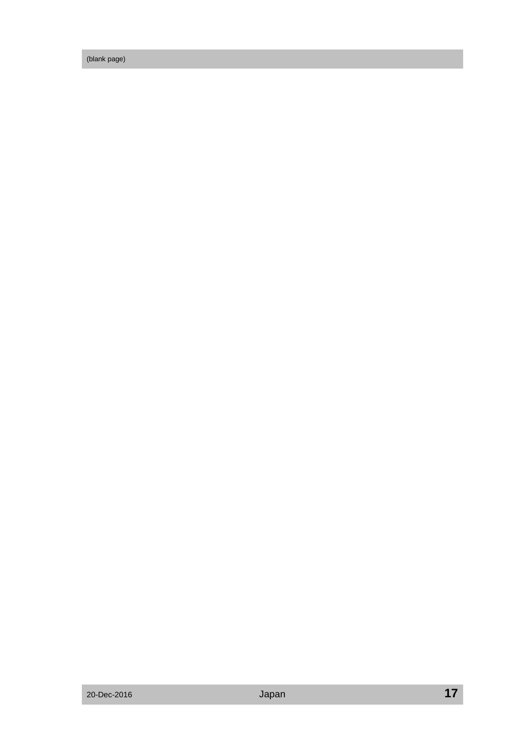(blank page)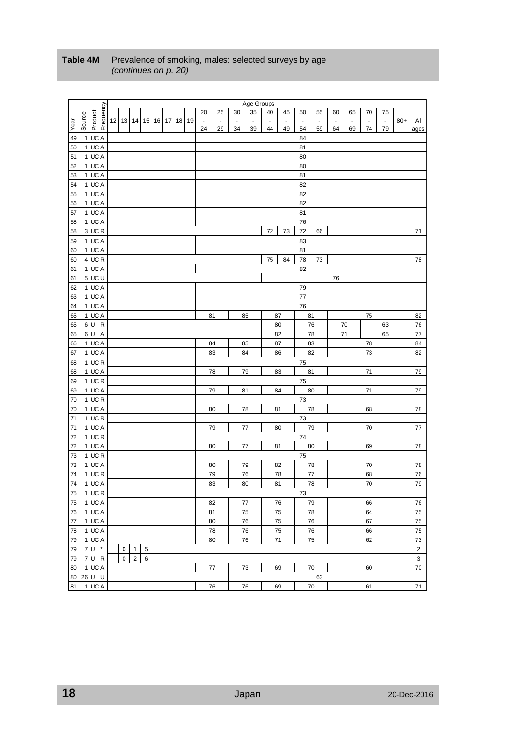|      |        |                  |           |              |              |                 |                |  |                |                          |                | Age Groups     |                          |                |                |                |                |                |                      |                |       |                |
|------|--------|------------------|-----------|--------------|--------------|-----------------|----------------|--|----------------|--------------------------|----------------|----------------|--------------------------|----------------|----------------|----------------|----------------|----------------|----------------------|----------------|-------|----------------|
|      |        |                  | Frequency |              |              |                 |                |  | 20             | 25                       | 30             | 35             | 40                       | 45             | 50             | 55             | 60             | 65             | 70                   | 75             |       |                |
|      |        |                  |           | 12 13 14     |              |                 | 15 16 17 18 19 |  | $\blacksquare$ | $\overline{\phantom{a}}$ | $\blacksquare$ | $\blacksquare$ | $\overline{\phantom{a}}$ | $\blacksquare$ | $\blacksquare$ | $\blacksquare$ | $\blacksquare$ | $\blacksquare$ | $\ddot{\phantom{a}}$ | $\blacksquare$ | $80+$ | Αll            |
| Year | Source | Product          |           |              |              |                 |                |  | 24             | 29                       | 34             | 39             | 44                       | 49             | 54             | 59             | 64             | 69             | 74                   | 79             |       | ages           |
| 49   |        | 1 UC A           |           |              |              |                 |                |  |                |                          |                |                |                          |                | 84             |                |                |                |                      |                |       |                |
| 50   |        | 1 UC A           |           |              |              |                 |                |  |                |                          |                |                |                          |                | 81             |                |                |                |                      |                |       |                |
| 51   |        | 1 UC A           |           |              |              |                 |                |  |                |                          |                |                |                          |                | 80             |                |                |                |                      |                |       |                |
| 52   |        | 1 UC A           |           |              |              |                 |                |  |                |                          |                |                |                          |                | 80             |                |                |                |                      |                |       |                |
| 53   |        | 1 UC A           |           |              |              |                 |                |  |                |                          |                |                |                          |                | 81             |                |                |                |                      |                |       |                |
|      |        | 1 UC A           |           |              |              |                 |                |  |                |                          |                |                |                          |                | 82             |                |                |                |                      |                |       |                |
| 54   |        |                  |           |              |              |                 |                |  |                |                          |                |                |                          |                |                |                |                |                |                      |                |       |                |
| 55   |        | 1 UC A           |           |              |              |                 |                |  |                |                          |                |                |                          |                | 82             |                |                |                |                      |                |       |                |
| 56   |        | 1 UC A           |           |              |              |                 |                |  |                |                          |                |                |                          |                | 82             |                |                |                |                      |                |       |                |
| 57   |        | 1 UC A           |           |              |              |                 |                |  |                |                          |                |                |                          |                | 81             |                |                |                |                      |                |       |                |
| 58   |        | 1 UC A           |           |              |              |                 |                |  |                |                          |                |                |                          |                | 76             |                |                |                |                      |                |       |                |
| 58   |        | 3 UCR            |           |              |              |                 |                |  |                |                          |                |                | 72                       | 73             | 72             | 66             |                |                |                      |                |       | 71             |
| 59   |        | 1 UC A           |           |              |              |                 |                |  |                |                          |                |                |                          |                | 83             |                |                |                |                      |                |       |                |
| 60   |        | 1 UC A           |           |              |              |                 |                |  |                |                          |                |                |                          |                | 81             |                |                |                |                      |                |       |                |
| 60   |        | 4 UC R           |           |              |              |                 |                |  |                |                          |                |                | 75                       | 84             | 78             | 73             |                |                |                      |                |       | 78             |
| 61   |        | 1 UC A           |           |              |              |                 |                |  |                |                          |                |                |                          |                | 82             |                |                |                |                      |                |       |                |
| 61   |        | 5 UC U           |           |              |              |                 |                |  |                |                          |                |                |                          |                |                |                | 76             |                |                      |                |       |                |
| 62   |        | 1 UC A           |           |              |              |                 |                |  |                |                          |                |                |                          |                | 79             |                |                |                |                      |                |       |                |
| 63   |        | 1 UC A           |           |              |              |                 |                |  |                |                          |                |                |                          |                | $77$           |                |                |                |                      |                |       |                |
| 64   |        | 1 UC A           |           |              |              |                 |                |  |                |                          |                |                |                          |                | 76             |                |                |                |                      |                |       |                |
| 65   |        | 1 UC A           |           |              |              |                 |                |  |                | 81                       |                | 85             | 87                       |                |                | 81             |                |                | 75                   |                |       | 82             |
| 65   |        | 6 U R            |           |              |              |                 |                |  |                |                          |                |                | 80                       |                |                | 76             |                | 70             |                      | 63             |       | 76             |
| 65   |        | 6 U A            |           |              |              |                 |                |  |                |                          |                |                | 82                       |                |                | 78             | 71             |                |                      | 65             |       | $77 \,$        |
| 66   |        | 1 UC A           |           |              |              |                 |                |  |                | 84                       |                | 85             |                          |                |                | 83             |                |                | 78                   |                |       | 84             |
| 67   |        | 1 UC A           |           |              |              |                 |                |  |                | 83                       |                | 84             | 87<br>86                 |                |                | 82             |                | 73             |                      |                |       |                |
| 68   |        | $1$ UC R         |           |              |              |                 |                |  |                |                          |                |                |                          |                | 75             |                |                |                |                      |                |       | 82             |
|      |        |                  |           |              |              |                 |                |  |                |                          |                |                |                          |                |                |                |                |                |                      |                |       |                |
| 68   |        | 1 UC A           |           |              |              |                 |                |  |                | 78                       |                | 79             | 83                       |                | 75             | 81             |                |                | 71                   |                |       | 79             |
| 69   |        | 1 UC R           |           |              |              |                 |                |  |                |                          |                |                |                          |                |                |                |                |                |                      |                |       |                |
| 69   |        | 1 UC A           |           |              |              |                 |                |  |                | 79                       |                | 81             | 84                       |                |                | 80             |                |                | 71                   |                |       | 79             |
| 70   |        | 1 UC R           |           |              |              |                 |                |  |                |                          |                |                |                          |                | 73             |                |                |                |                      |                |       |                |
| 70   |        | 1 UC A           |           |              |              |                 |                |  |                | 80                       |                | 78             | 81                       |                |                | 78             |                |                | 68                   |                |       | 78             |
| 71   |        | $1$ UC R         |           |              |              |                 |                |  |                |                          |                |                |                          |                | 73             |                |                |                |                      |                |       |                |
| 71   |        | 1 UC A           |           |              |              |                 |                |  |                | 79                       |                | 77             | 80                       |                |                | 79             |                |                | 70                   |                |       | 77             |
| 72   |        | $1$ UC R         |           |              |              |                 |                |  |                |                          |                |                |                          |                | ${\bf 74}$     |                |                |                |                      |                |       |                |
| 72   |        | 1 UC A           |           |              |              |                 |                |  |                | 80                       |                | 77             | 81                       |                |                | 80             |                |                | 69                   |                |       | 78             |
| 73   |        | 1 UC R           |           |              |              |                 |                |  |                |                          |                |                |                          |                | 75             |                |                |                |                      |                |       |                |
| 73   |        | 1 UC A           |           |              |              |                 |                |  |                | 80                       |                | 79             | 82                       |                |                | 78             |                |                | 70                   |                |       | 78             |
| 74   |        | $1 \text{ UC} R$ |           |              |              |                 |                |  |                | 79                       |                | 76             | 78                       |                |                | 77             |                |                | 68                   |                |       | 76             |
| 74   |        | 1 UC A           |           |              |              |                 |                |  |                | 83                       |                | 80             | 81                       |                |                | 78             |                |                | 70                   |                |       | 79             |
| 75   |        | 1 UC R           |           |              |              |                 |                |  |                |                          |                |                |                          |                | 73             |                |                |                |                      |                |       |                |
| 75   |        | 1 UC A           |           |              |              |                 |                |  |                | 82                       |                | 77             | 76                       |                |                | 79             |                |                | 66                   |                |       | 76             |
| 76   |        | 1 UC A           |           |              |              |                 |                |  |                | 81                       |                | 75             | 75                       |                |                | 78             |                |                | 64                   |                |       | 75             |
| 77   |        | 1 UC A           |           |              |              |                 |                |  |                | 80                       |                | 76             | 75                       |                |                | 76             |                |                | 67                   |                |       | 75             |
| 78   |        | 1 UC A           |           |              |              |                 |                |  |                | 78                       |                | 76             | 75                       |                |                | 76             |                |                | 66                   |                |       | 75             |
| 79   |        | 1 UC A           |           |              |              |                 |                |  |                | 80                       |                | 76             | 71                       |                |                | 75             |                |                | 62                   |                |       | 73             |
| 79   |        | 7 U *            |           | $\mathbf 0$  | $\mathbf{1}$ | $5\phantom{.0}$ |                |  |                |                          |                |                |                          |                |                |                |                |                |                      |                |       | $\overline{2}$ |
| 79   |        | 7 U R            |           | $\mathbf{0}$ | 2            | 6               |                |  |                |                          |                |                |                          |                |                |                |                |                |                      |                |       | 3              |
|      |        | 1 UC A           |           |              |              |                 |                |  |                | 77                       |                |                | 69                       |                |                | 70             |                |                |                      |                |       | 70             |
| 80   |        |                  |           |              |              |                 |                |  |                |                          |                | 73             |                          |                |                |                |                |                | 60                   |                |       |                |
|      |        | 80 26 U U        |           |              |              |                 |                |  |                |                          |                |                |                          |                |                | 63             |                |                |                      |                |       |                |
|      |        | 81 1 UC A        |           |              |              |                 |                |  |                | 76                       |                | 76             |                          | 69             |                | 70             |                |                | 61                   |                |       | 71             |

# <span id="page-17-0"></span>**Table 4M** Prevalence of smoking, males: selected surveys by age *(continues on p. [20\)](#page-19-0)*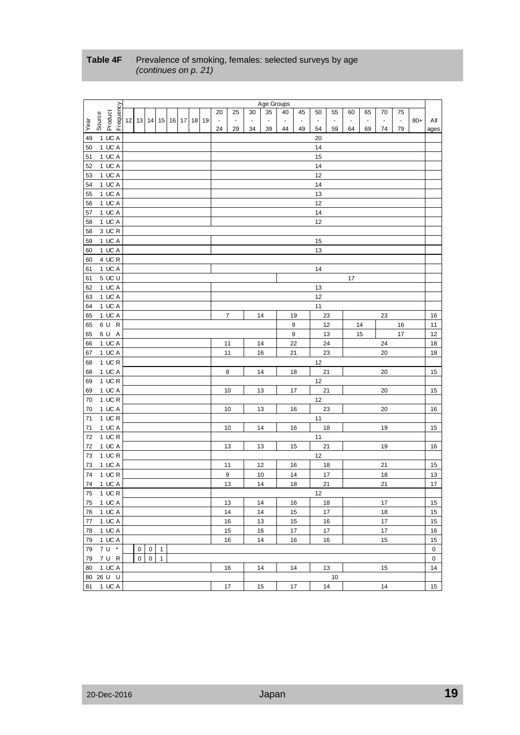|                                |   |                               |              |  |                          |                          |                          | Age Groups               |                |                          |                |                |    |                          |                |                |       |      |
|--------------------------------|---|-------------------------------|--------------|--|--------------------------|--------------------------|--------------------------|--------------------------|----------------|--------------------------|----------------|----------------|----|--------------------------|----------------|----------------|-------|------|
|                                |   |                               |              |  | 20                       | 25                       | 30                       | 35                       | 40             | 45                       | 50             | 55             | 60 | 65                       | 70             | 75             |       |      |
| Product<br>Frequency<br>Source |   | 12 13 14 15 16 17 18 19       |              |  | $\overline{\phantom{a}}$ | $\overline{\phantom{a}}$ | $\overline{\phantom{a}}$ | $\overline{\phantom{a}}$ | $\blacksquare$ | $\overline{\phantom{a}}$ | $\blacksquare$ | $\blacksquare$ |    | $\overline{\phantom{a}}$ | $\blacksquare$ | $\blacksquare$ | $80+$ | All  |
| Year                           |   |                               |              |  | 24                       | 29                       | 34                       | 39                       | 44             | 49                       | 54             | 59             | 64 | 69                       | 74             | 79             |       | ages |
| 1 UC A<br>49                   |   |                               |              |  |                          |                          |                          |                          |                |                          | 20             |                |    |                          |                |                |       |      |
| 1 UC A<br>50                   |   |                               |              |  |                          |                          |                          |                          |                |                          | 14             |                |    |                          |                |                |       |      |
| 51<br>1 UC A                   |   |                               |              |  |                          |                          |                          |                          |                |                          | 15             |                |    |                          |                |                |       |      |
| 1 UC A<br>52                   |   |                               |              |  |                          |                          |                          |                          |                |                          | 14             |                |    |                          |                |                |       |      |
| 1 UC A<br>53                   |   |                               |              |  |                          |                          |                          |                          |                |                          | 12             |                |    |                          |                |                |       |      |
| 1 UC A<br>54                   |   |                               |              |  |                          |                          |                          |                          |                |                          | 14             |                |    |                          |                |                |       |      |
| 1 UC A<br>55                   |   |                               |              |  |                          |                          |                          |                          |                |                          | 13             |                |    |                          |                |                |       |      |
| 1 UC A<br>56                   |   |                               |              |  |                          |                          |                          |                          |                |                          | 12             |                |    |                          |                |                |       |      |
| 1 UC A<br>57                   |   |                               |              |  |                          |                          |                          |                          |                |                          | 14             |                |    |                          |                |                |       |      |
| 1 UC A<br>58                   |   |                               |              |  |                          |                          |                          |                          |                |                          | 12             |                |    |                          |                |                |       |      |
| 3 UCR<br>58                    |   |                               |              |  |                          |                          |                          |                          |                |                          |                |                |    |                          |                |                |       |      |
| 1 UC A<br>59                   |   |                               |              |  |                          |                          |                          |                          |                |                          | 15             |                |    |                          |                |                |       |      |
| 1 UC A<br>60                   |   |                               |              |  |                          |                          |                          |                          |                |                          | 13             |                |    |                          |                |                |       |      |
| 4 UC R<br>60                   |   |                               |              |  |                          |                          |                          |                          |                |                          |                |                |    |                          |                |                |       |      |
| 1 UC A<br>61                   |   |                               |              |  |                          |                          |                          |                          |                |                          | 14             |                |    |                          |                |                |       |      |
| 5 UC U<br>61                   |   |                               |              |  |                          |                          |                          |                          |                |                          |                |                |    |                          |                |                |       |      |
|                                |   |                               |              |  |                          |                          |                          |                          |                |                          |                |                | 17 |                          |                |                |       |      |
| 1 UC A<br>62                   |   |                               |              |  |                          |                          |                          |                          |                |                          | 13             |                |    |                          |                |                |       |      |
| 1 UC A<br>63                   |   |                               |              |  |                          |                          |                          |                          |                |                          | 12             |                |    |                          |                |                |       |      |
| 1 UC A<br>64                   |   |                               |              |  |                          |                          |                          |                          |                |                          | 11             |                |    |                          |                |                |       |      |
| 1 UC A<br>65                   |   |                               |              |  |                          | $\overline{\mathbf{7}}$  | 14                       |                          |                | 19                       |                | 23             |    |                          | 23             |                |       | 16   |
| 6 U R<br>65                    |   |                               |              |  |                          |                          |                          |                          |                | 9<br>9                   |                | 12             |    | 14                       |                | 16             |       | 11   |
| 6 U A<br>65<br>1 UC A          |   |                               |              |  |                          |                          |                          |                          |                | 22                       |                | 13             |    | 15                       |                | 17             |       | 12   |
| 66                             |   |                               |              |  |                          | 11                       | 14                       |                          |                | 21                       |                | 24<br>23       |    |                          | 24<br>20       |                |       | 18   |
| 1 UC A<br>67<br>1 UC R<br>68   |   |                               |              |  |                          | 11                       | 16                       |                          |                |                          | 12             |                |    |                          |                |                |       | 18   |
|                                |   |                               |              |  |                          | 8                        | 14                       |                          |                | 18                       |                | 21             |    |                          | 20             |                |       |      |
| 68<br>$1$ UC A<br>1 UC R<br>69 |   |                               |              |  |                          |                          |                          |                          |                |                          | 12             |                |    |                          |                |                |       | 15   |
|                                |   |                               |              |  |                          | 10                       | 13                       |                          |                |                          |                | 21             |    |                          | 20             |                |       | 15   |
| 1 UC A<br>69<br>$1$ UC R<br>70 |   |                               |              |  |                          |                          |                          |                          |                | 17                       | 12             |                |    |                          |                |                |       |      |
| 1 UC A                         |   |                               |              |  |                          | 10                       |                          |                          |                |                          |                | 23             |    |                          | 20             |                |       |      |
| 70<br>1 UC R<br>71             |   |                               |              |  |                          |                          | 13                       |                          |                | 16                       | 11             |                |    |                          |                |                |       | 16   |
| 1 UC A                         |   |                               |              |  |                          | 10                       | 14                       |                          |                | 16                       |                | 18             |    |                          | 19             |                |       | 15   |
| 71<br>1 UC R<br>72             |   |                               |              |  |                          |                          |                          |                          |                |                          | 11             |                |    |                          |                |                |       |      |
| 1 UC A<br>72                   |   |                               |              |  |                          | 13                       | 13                       |                          |                | 15                       |                | 21             |    |                          | 19             |                |       | 16   |
| 1 UC R<br>73                   |   |                               |              |  |                          |                          |                          |                          |                |                          | 12             |                |    |                          |                |                |       |      |
| 1 UC A<br>73                   |   |                               |              |  |                          | 11                       | 12                       |                          |                | 16                       |                | 18             |    |                          | 21             |                |       | 15   |
| $1 \text{ UC} R$<br>74         |   |                               |              |  |                          | 9                        | 10                       |                          |                | 14                       |                | 17             |    |                          | 18             |                |       | 13   |
| 74 1 UC A                      |   |                               |              |  |                          | 13                       | 14                       |                          |                | 18                       |                | 21             |    |                          | 21             |                |       | 17   |
| 1 UC R<br>75                   |   |                               |              |  |                          |                          |                          |                          |                |                          | 12             |                |    |                          |                |                |       |      |
| 75 1 UC A                      |   |                               |              |  |                          | 13                       | 14                       |                          |                | 16                       |                | 18             |    |                          | 17             |                |       | 15   |
| 76 1 UC A                      |   |                               |              |  |                          | 14                       | 14                       |                          |                | 15                       |                | 17             |    |                          | 18             |                |       | 15   |
| 77 1 UC A                      |   |                               |              |  |                          | 16                       | 13                       |                          |                | 15                       |                | 16             |    |                          | 17             |                |       | 15   |
| 78 1 UC A                      |   |                               |              |  |                          | 15                       | 16                       |                          |                | 17                       |                | 17             |    |                          | 17             |                |       | 16   |
| 79 1 UC A                      |   |                               |              |  |                          | 16                       | 14                       |                          |                | 16                       |                | 16             |    |                          | 15             |                |       | 15   |
| 7 U *<br>79                    | 0 | $\overline{1}$<br>$\mathbf 0$ |              |  |                          |                          |                          |                          |                |                          |                |                |    |                          |                |                |       | 0    |
| 79 7 U R                       | 0 | 0                             | $\mathbf{1}$ |  |                          |                          |                          |                          |                |                          |                |                |    |                          |                |                |       | 0    |
| 80 1 UC A                      |   |                               |              |  |                          | 16                       | 14                       |                          |                | 14                       |                | 13             |    |                          | 15             |                |       | 14   |
| 80 26 U U                      |   |                               |              |  |                          |                          |                          |                          |                |                          |                | 10             |    |                          |                |                |       |      |
| 81 1 UC A                      |   |                               |              |  |                          | 17                       | 15                       |                          |                | 17                       |                | 14             |    |                          | 14             |                |       | 15   |

# <span id="page-18-0"></span>**Table 4F** Prevalence of smoking, females: selected surveys by age *(continues on p. [21\)](#page-20-0)*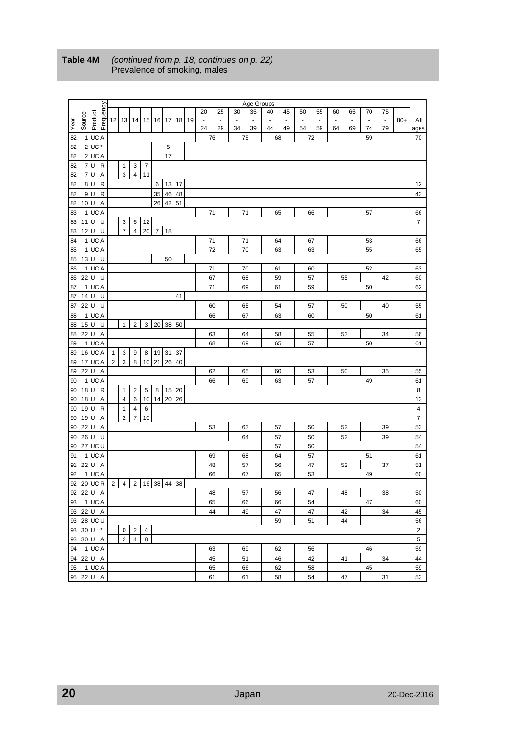|      |            |         |              |                         |                 |                |                |                |             |                 |    |                |                            |                | Age Groups |    |    |               |                |                      |                          |                |                |       |                         |
|------|------------|---------|--------------|-------------------------|-----------------|----------------|----------------|----------------|-------------|-----------------|----|----------------|----------------------------|----------------|------------|----|----|---------------|----------------|----------------------|--------------------------|----------------|----------------|-------|-------------------------|
|      |            |         |              |                         |                 |                |                |                |             |                 |    | 20             | 25                         | 30             | 35         | 40 | 45 | 50            | 55             | 60                   | 65                       | 70             | 75             |       |                         |
|      | Source     | Product | Frequency    | 12 <sub>1</sub>         | 13 <sup>1</sup> | 14             | 15             | 16             | 17          | 18 <sup>1</sup> | 19 | $\blacksquare$ | $\overline{\phantom{a}}$   | $\blacksquare$ |            |    | ä, | $\frac{1}{2}$ | $\blacksquare$ | $\ddot{\phantom{0}}$ | $\overline{\phantom{a}}$ | $\blacksquare$ | $\blacksquare$ | $80+$ | All                     |
| Year |            |         |              |                         |                 |                |                |                |             |                 |    | 24             | 29                         | 34             | 39         | 44 | 49 | 54            | 59             | 64                   | 69                       | 74             | 79             |       | ages                    |
| 82   |            | 1 UC A  |              |                         |                 |                |                |                |             |                 |    |                | 76                         |                | 75         | 68 |    |               | 72             |                      |                          | 59             |                |       | 70                      |
| 82   |            | 2 UC *  |              |                         |                 |                |                |                | 5           |                 |    |                |                            |                |            |    |    |               |                |                      |                          |                |                |       |                         |
| 82   |            | 2 UC A  |              |                         |                 |                |                |                | 17          |                 |    |                |                            |                |            |    |    |               |                |                      |                          |                |                |       |                         |
| 82   |            | 7 U     | $\mathsf{R}$ |                         | 1               | 3              | 7              |                |             |                 |    |                |                            |                |            |    |    |               |                |                      |                          |                |                |       |                         |
| 82   | 7 U        |         | Α            |                         | 3               | $\overline{4}$ | 11             |                |             |                 |    |                |                            |                |            |    |    |               |                |                      |                          |                |                |       |                         |
| 82   | 8 U        |         | R            |                         |                 |                |                | 6              | 13          | 17              |    |                |                            |                |            |    |    |               |                |                      |                          |                |                |       | 12                      |
|      |            |         |              |                         |                 |                |                |                |             |                 |    |                |                            |                |            |    |    |               |                |                      |                          |                |                |       |                         |
| 82   | 9 U        |         | R            |                         |                 |                |                | 35             | 46          | 48              |    |                |                            |                |            |    |    |               |                |                      |                          |                |                |       | 43                      |
| 82   | 10 U       |         | Α            |                         |                 |                |                | 26             | 42          | 51              |    |                |                            |                |            |    |    |               |                |                      |                          |                |                |       |                         |
| 83   |            | 1 UC A  |              |                         |                 |                |                |                |             |                 |    |                | 71                         |                | 71         | 65 |    |               | 66             |                      |                          | 57             |                |       | 66                      |
| 83   | 11 U       |         | U            |                         | 3               | 6              | 12             |                |             |                 |    |                |                            |                |            |    |    |               |                |                      |                          |                |                |       | $\overline{7}$          |
| 83   | 12 U       |         | U            |                         | $\overline{7}$  | $\overline{4}$ | 20             | $\overline{7}$ | 18          |                 |    |                |                            |                |            |    |    |               |                |                      |                          |                |                |       |                         |
| 84   |            | 1 UC A  |              |                         |                 |                |                |                |             |                 |    |                | 71                         |                | 71         |    | 64 |               | 67             |                      |                          | 53             |                |       | 66                      |
| 85   |            | 1 UC A  |              |                         |                 |                |                |                |             |                 |    |                | 72                         |                | 70         | 63 |    |               | 63             |                      |                          | 55             |                |       | 65                      |
| 85   | 13 U       |         | U            | 50                      |                 |                |                |                |             |                 |    |                |                            |                |            |    |    |               |                |                      |                          |                |                |       |                         |
| 86   |            | 1 UC A  |              |                         |                 |                |                |                |             |                 |    |                | 71                         |                | 70         | 61 |    |               | 60             |                      |                          | 52             |                |       | 63                      |
| 86   | 22 U       |         | U            |                         |                 |                |                |                |             |                 |    |                | 67                         |                | 68         | 59 |    |               | 57             |                      | 55                       |                | 42             |       | 60                      |
| 87   |            | 1 UC A  |              |                         |                 |                |                |                |             |                 |    |                | 71                         |                | 69         | 61 |    |               | 59             |                      |                          | 50             |                |       | 62                      |
| 87   | 14 U       |         | U            |                         |                 |                |                |                |             | 41              |    |                |                            |                |            |    |    |               |                |                      |                          |                |                |       |                         |
| 87   | 22 U       |         | U            |                         |                 |                |                |                |             |                 |    |                | 60                         |                | 65         |    | 54 |               | 57             |                      | 50                       |                | 40             |       | 55                      |
| 88   |            | 1 UC A  |              |                         |                 |                |                |                |             |                 |    |                | 63<br>66<br>67<br>60<br>50 |                |            |    |    |               |                |                      | 61                       |                |                |       |                         |
| 88   | 15 U       |         | U            |                         | 1               | 2              | 3              | 20             | 38          | 50              |    |                |                            |                |            |    |    |               |                |                      |                          |                |                |       |                         |
| 88   | 22 U       |         | Α            |                         |                 |                |                |                |             |                 |    |                | 63                         |                | 64         | 58 |    |               | 55             |                      | 53                       |                | 34             |       | 56                      |
| 89   |            | 1 UC A  |              |                         |                 |                |                |                |             |                 |    |                | 68                         |                | 69         |    | 65 |               | 57             |                      |                          | 50             |                |       | 61                      |
|      |            | 16 UC A |              | 1                       | 3               | 9              | 8              | 19             | 31          | 37              |    |                |                            |                |            |    |    |               |                |                      |                          |                |                |       |                         |
| 89   |            | 17 UC A |              | $\overline{2}$          | 3               | 8              |                | 21             |             | 40              |    |                |                            |                |            |    |    |               |                |                      |                          |                |                |       |                         |
| 89   |            |         |              |                         |                 |                | 10             |                | 26          |                 |    |                |                            |                |            |    |    |               |                |                      |                          |                |                |       |                         |
| 89   | 22 U       |         | Α            |                         |                 |                |                |                |             |                 |    |                | 62                         |                | 65         | 60 |    |               | 53             |                      | 50                       |                | 35             |       | 55                      |
| 90   |            | 1 UC A  |              |                         |                 |                |                |                |             |                 |    |                | 66                         |                | 69         | 63 |    |               | 57             |                      |                          | 49             |                |       | 61                      |
| 90   | 18 U       |         | R            |                         | 1               | 2              | 5              | 8              |             | 15 20           |    |                |                            |                |            |    |    |               |                |                      |                          |                |                |       | 8                       |
| 90   | 18 U       |         | Α            |                         | 4               | 6              | 10             | 14             | 20          | 26              |    |                |                            |                |            |    |    |               |                |                      |                          |                |                |       | 13                      |
| 90   | 19 U       |         | R            |                         | 1               | 4              | 6              |                |             |                 |    |                |                            |                |            |    |    |               |                |                      |                          |                |                |       | $\overline{\mathbf{4}}$ |
| 90   | 19 U       |         | Α            |                         | $\overline{2}$  | 7              | 10             |                |             |                 |    |                |                            |                |            |    |    |               |                |                      |                          |                |                |       | $\overline{7}$          |
| 90   | 22 U       |         | Α            |                         |                 |                |                |                |             |                 |    |                | 53                         |                | 63         | 57 |    |               | 50             |                      | 52                       |                | 39             |       | 53                      |
| 90   | 26 U       |         | U            |                         |                 |                |                |                |             |                 |    |                |                            |                | 64         | 57 |    |               | 50             |                      | 52                       |                | 39             |       | 54                      |
| 90   |            | 27 UC U |              |                         |                 |                |                |                |             |                 |    |                |                            |                |            | 57 |    |               | 50             |                      |                          |                |                |       | 54                      |
| 91   |            | 1 UC A  |              |                         |                 |                |                |                |             |                 |    |                | 69                         |                | 68         |    | 64 |               | 57             |                      |                          | 51             |                |       | 61                      |
| 91   | 22 U       |         | Α            |                         |                 |                |                |                |             |                 |    |                | 48                         |                | 57         | 56 |    |               | 47             |                      | 52                       |                | 37             |       | 51                      |
| 92   |            | 1 UC A  |              |                         |                 |                |                |                |             |                 |    |                | 66                         |                | 67         | 65 |    |               | 53             |                      |                          | 49             |                |       | 60                      |
|      | 92 20 UC R |         |              | $\overline{\mathbf{c}}$ | 4               | $\sqrt{2}$     |                |                | 16 38 44 38 |                 |    |                |                            |                |            |    |    |               |                |                      |                          |                |                |       |                         |
|      | 92 22 U A  |         |              |                         |                 |                |                |                |             |                 |    |                | 48                         |                | 57         |    | 56 |               | 47             |                      | 48                       |                | 38             |       | 50                      |
|      | 93 1 UC A  |         |              |                         |                 |                |                |                |             |                 |    |                | 65                         |                | 66         |    | 66 |               | 54             |                      |                          | 47             |                |       | 60                      |
|      | 93 22 U A  |         |              |                         |                 |                |                |                |             |                 |    |                | 44                         |                | 49         |    | 47 |               | 47             |                      | 42                       |                | 34             |       | 45                      |
|      | 93 28 UC U |         |              |                         |                 |                |                |                |             |                 |    |                |                            |                |            |    | 59 |               | 51             |                      | 44                       |                |                |       | 56                      |
|      | 93 30 U *  |         |              |                         |                 | $0 \mid 2$     | $\overline{4}$ |                |             |                 |    |                |                            |                |            |    |    |               |                |                      |                          |                |                |       | $\overline{c}$          |
|      | 93 30 U A  |         |              |                         | $\overline{2}$  | $\overline{4}$ | 8              |                |             |                 |    |                |                            |                |            |    |    |               |                |                      |                          |                |                |       | 5                       |
|      | 94 1 UC A  |         |              |                         |                 |                |                |                |             |                 |    |                | 63                         |                | 69         |    |    |               | 56             |                      |                          | 46             |                |       | 59                      |
|      |            |         |              |                         |                 |                |                |                |             |                 |    |                |                            |                |            |    | 62 |               |                |                      |                          |                |                |       |                         |
|      | 94 22 U A  |         |              |                         |                 |                |                |                |             |                 |    |                | 45                         |                | 51         |    | 46 |               | 42             |                      | 41                       |                | 34             |       | 44                      |
|      | 95 1 UC A  |         |              |                         |                 |                |                |                |             |                 |    |                | 65                         |                | 66         |    | 62 |               | 58             |                      |                          | 45             |                |       | 59                      |
|      | 95 22 U A  |         |              |                         |                 |                |                |                |             |                 |    |                | 61                         |                | 61         |    | 58 |               | 54             |                      | 47                       |                | 31             |       | 53                      |

# <span id="page-19-0"></span>**Table 4M** *(continued from p. [18,](#page-17-0) continues on p. [22\)](#page-21-0)* Prevalence of smoking, males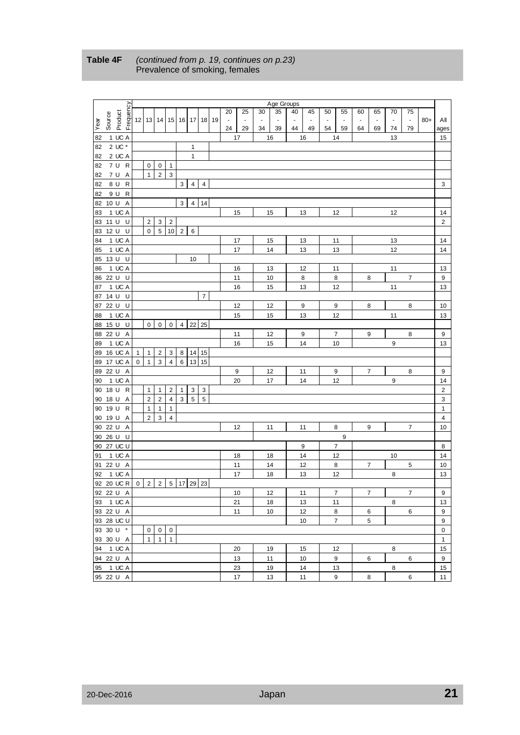<span id="page-20-0"></span>

|                                |             |                |                |                |                |              |                         |    |    |    | Age Groups |    |    |    |                |    |    |                |                          |       |                         |
|--------------------------------|-------------|----------------|----------------|----------------|----------------|--------------|-------------------------|----|----|----|------------|----|----|----|----------------|----|----|----------------|--------------------------|-------|-------------------------|
| Source<br>Product<br>Frequency |             |                |                |                |                |              |                         | 20 | 25 | 30 | 35         | 40 | 45 | 50 | 55             | 60 | 65 | 70             | 75                       |       |                         |
| Year                           |             |                |                |                |                |              | 12 13 14 15 16 17 18 19 |    |    |    |            |    |    |    |                |    |    | $\blacksquare$ | $\overline{\phantom{a}}$ | $80+$ | All                     |
|                                |             |                |                |                |                |              |                         | 24 | 29 | 34 | 39         | 44 | 49 | 54 | 59             | 64 | 69 | 74             | 79                       |       | ages                    |
| 1 UC A<br>82                   |             |                |                |                |                |              |                         |    | 17 | 16 |            |    | 16 |    | 14             |    |    | 13             |                          |       | 15                      |
| 2 UC *<br>82                   |             |                |                |                |                | 1            |                         |    |    |    |            |    |    |    |                |    |    |                |                          |       |                         |
| 2 UC A<br>82                   |             |                |                |                |                | $\mathbf{1}$ |                         |    |    |    |            |    |    |    |                |    |    |                |                          |       |                         |
| 7 U<br>$\mathsf{R}$<br>82      |             | 0              | 0              | 1              |                |              |                         |    |    |    |            |    |    |    |                |    |    |                |                          |       |                         |
| 7 U<br>82<br>A                 |             | $\mathbf{1}$   | $\overline{2}$ | $\mathbf{3}$   |                |              |                         |    |    |    |            |    |    |    |                |    |    |                |                          |       |                         |
| 8 U<br>R<br>82                 |             |                |                |                | 3              | 4            | 4                       |    |    |    |            |    |    |    |                |    |    |                |                          |       | 3                       |
| $\mathsf{R}$<br>9 U<br>82      |             |                |                |                |                |              |                         |    |    |    |            |    |    |    |                |    |    |                |                          |       |                         |
| 82 10 U A                      |             |                |                |                | $\mathbf{3}$   |              | $4 \mid 14$             |    |    |    |            |    |    |    |                |    |    |                |                          |       |                         |
| 1 UC A<br>83                   |             |                |                |                |                |              |                         |    | 15 | 15 |            |    | 13 |    | 12             |    |    | 12             |                          |       | 14                      |
| 11 U U<br>83                   |             | $\overline{2}$ | 3              | $\overline{2}$ |                |              |                         |    |    |    |            |    |    |    |                |    |    |                |                          |       | $\overline{c}$          |
| U<br>12 U<br>83                |             | $\mathbf 0$    | $\sqrt{5}$     | 10             | $\overline{2}$ | 6            |                         |    |    |    |            |    |    |    |                |    |    |                |                          |       |                         |
| 1 UC A<br>84                   |             |                |                |                |                |              |                         |    | 17 | 15 |            |    | 13 | 11 |                |    |    | 13             |                          |       | 14                      |
| 1 UC A<br>85                   |             |                |                |                |                |              |                         |    | 17 | 14 |            |    | 13 |    | 13             |    |    | 12             |                          |       | 14                      |
| 85 13 U U                      |             |                |                |                |                | 10           |                         |    |    |    |            |    |    |    |                |    |    |                |                          |       |                         |
| 1 UC A<br>86                   |             |                |                |                |                |              |                         |    | 16 | 13 |            |    | 12 | 11 |                |    |    | 11             |                          |       | 13                      |
| 86 22 U U                      |             |                |                |                |                |              |                         |    | 11 | 10 |            |    | 8  |    | 8              |    | 8  |                | 7                        |       | 9                       |
| 1 UC A<br>87                   |             |                |                |                |                |              |                         |    | 16 | 15 |            |    | 13 |    | 12             |    |    | 11             |                          |       | 13                      |
| 14 U<br>U<br>87                |             |                |                |                |                |              | $\overline{7}$          |    |    |    |            |    |    |    |                |    |    |                |                          |       |                         |
| 22 U U<br>87                   |             |                |                |                |                |              |                         |    | 12 | 12 |            |    | 9  | 9  |                |    | 8  |                | 8                        |       | 10                      |
| 1 UC A<br>88                   |             |                |                |                |                |              |                         |    | 15 | 15 |            |    | 13 |    | 12             |    |    | 11             |                          |       | 13                      |
| 88 15 U U                      |             | 0              | 0              | 0              | $\overline{4}$ | 22 25        |                         |    |    |    |            |    |    |    |                |    |    |                |                          |       |                         |
| 22 U A<br>88                   |             |                |                |                |                |              |                         |    | 11 | 12 |            |    | 9  |    | $\overline{7}$ |    | 9  |                | 8                        |       | 9                       |
| 1 UC A<br>89                   |             |                |                |                |                |              |                         |    | 16 | 15 |            |    | 14 |    | 10             |    |    | 9              |                          |       | 13                      |
| 89 16 UC A                     | 1           | $\mathbf{1}$   | $\overline{2}$ | $\mathbf{3}$   | 8              | $14$ 15      |                         |    |    |    |            |    |    |    |                |    |    |                |                          |       |                         |
| 17 UC A<br>89                  | 0           | $\mathbf{1}$   | 3              | $\overline{4}$ | 6              | 13           | 15                      |    |    |    |            |    |    |    |                |    |    |                |                          |       |                         |
| 89 22 U<br>$\overline{A}$      |             |                |                |                |                |              |                         |    | 9  | 12 |            | 11 |    |    | 9              |    | 7  |                | 8                        |       | 9                       |
| 1 UC A<br>90                   |             |                |                |                |                |              |                         |    | 20 | 17 |            |    | 14 |    | 12             |    |    | 9              |                          |       | 14                      |
| 18 U R<br>90                   |             | 1              | 1              | $\overline{2}$ | 1              | 3            | 3                       |    |    |    |            |    |    |    |                |    |    |                |                          |       | $\overline{\mathbf{c}}$ |
| 18 U<br>90<br>A                |             | $\sqrt{2}$     | $\overline{c}$ | 4              | $\mathsf 3$    | $\,$ 5 $\,$  | 5                       |    |    |    |            |    |    |    |                |    |    |                |                          |       | 3                       |
| $\mathsf{R}$<br>19 U<br>90     |             | 1              | 1              | 1              |                |              |                         |    |    |    |            |    |    |    |                |    |    |                |                          |       | $\mathbf{1}$            |
| 90 19 U A                      |             | $\overline{2}$ | 3              | 4              |                |              |                         |    |    |    |            |    |    |    |                |    |    |                |                          |       | $\overline{4}$          |
| 90 22 U A                      |             |                |                |                |                |              |                         |    | 12 | 11 |            | 11 |    |    | 8              |    | 9  |                | $\overline{7}$           |       | 10                      |
| 90 26 U U                      |             |                |                |                |                |              |                         |    |    |    |            |    |    |    | 9              |    |    |                |                          |       |                         |
| 27 UC U<br>90                  |             |                |                |                |                |              |                         |    |    |    |            |    | 9  | 7  |                |    |    |                |                          |       | 8                       |
| 1 UC A<br>91                   |             |                |                |                |                |              |                         |    | 18 | 18 |            |    | 14 |    | 12             |    |    | 10             |                          |       | 14                      |
| 91 22 U A                      |             |                |                |                |                |              |                         |    | 11 | 14 |            |    | 12 | 8  |                |    | 7  |                | 5                        |       | 10                      |
| 1 UC A<br>92                   |             |                |                |                |                |              |                         |    | 17 | 18 |            |    | 13 |    | 12             |    |    | 8              |                          |       | 13                      |
| 92 20 UC R                     | $\mathbf 0$ | $\overline{2}$ | $\overline{2}$ | 5              | 17 29 23       |              |                         |    |    |    |            |    |    |    |                |    |    |                |                          |       |                         |
| 92 22 U A                      |             |                |                |                |                |              |                         |    | 10 | 12 |            |    | 11 |    | 7              |    | 7  |                | 7                        |       | 9                       |
| 93 1 UC A                      |             |                |                |                |                |              |                         |    | 21 | 18 |            |    | 13 |    | 11             |    |    | 8              |                          |       | 13                      |
| 93 22 U A                      |             |                |                |                |                |              |                         |    | 11 | 10 |            |    | 12 |    | 8              |    | 6  |                | 6                        |       | 9                       |
| 93 28 UC U                     |             |                |                |                |                |              |                         |    |    |    |            |    | 10 |    | $\overline{7}$ |    | 5  |                |                          |       | 9                       |
| 93 30 U *                      |             | $\mathbf 0$    | $0 \quad 0$    |                |                |              |                         |    |    |    |            |    |    |    |                |    |    |                |                          |       | 0                       |
| 93 30 U A                      |             | $\mathbf{1}$   | $\mathbf{1}$   | $\overline{1}$ |                |              |                         |    |    |    |            |    |    |    |                |    |    |                |                          |       | $\mathbf{1}$            |
| 94 1 UC A                      |             |                |                |                |                |              |                         |    | 20 | 19 |            |    | 15 |    | 12             |    |    | 8              |                          |       | 15                      |
| 94 22 U A                      |             |                |                |                |                |              |                         |    | 13 | 11 |            |    | 10 |    | 9              |    | 6  |                | 6                        |       | 9                       |
| 95 1 UC A                      |             |                |                |                |                |              |                         |    | 23 | 19 |            |    | 14 |    | 13             |    |    | 8              |                          |       | 15                      |
| 95 22 U A                      |             |                |                |                |                |              |                         |    | 17 | 13 |            |    | 11 |    | 9              |    | 8  |                | 6                        |       | 11                      |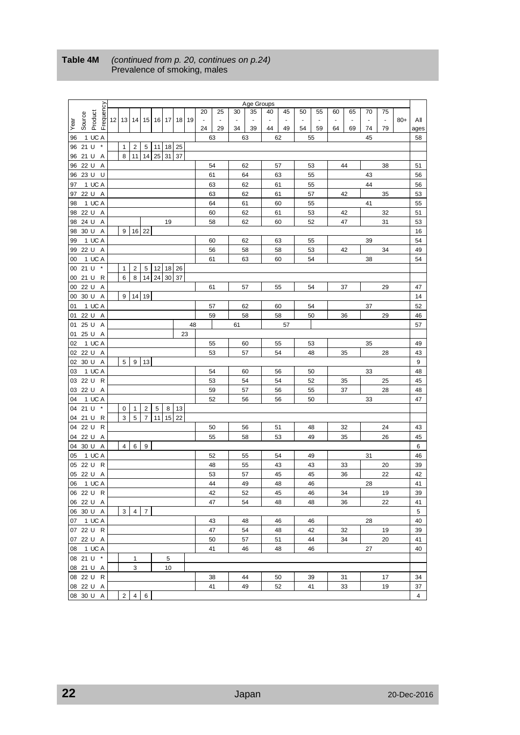|                        |                |              |                |                |                |              |    |         |    |                |          |                | Age Groups     |                |    |    |                |    |                |                |                          |       |          |
|------------------------|----------------|--------------|----------------|----------------|----------------|--------------|----|---------|----|----------------|----------|----------------|----------------|----------------|----|----|----------------|----|----------------|----------------|--------------------------|-------|----------|
|                        |                |              |                |                |                |              |    |         |    | 20             | 25       | 30             | 35             | 40             | 45 | 50 | 55             | 60 | 65             | 70             | 75                       |       |          |
| Source<br>Year         | Product        | Frequency    | 12 13 14       |                |                | 15   16   17 |    | 18   19 |    | $\blacksquare$ |          | $\blacksquare$ | $\blacksquare$ | $\blacksquare$ | ÷, |    | $\blacksquare$ |    | $\blacksquare$ | $\blacksquare$ | $\overline{\phantom{a}}$ | $80+$ | All      |
|                        |                |              |                |                |                |              |    |         |    | 24             | 29       | 34             | 39             | 44             | 49 | 54 | 59             | 64 | 69             | 74             | 79                       |       | ages     |
| 96                     | 1 UC A         |              |                |                |                |              |    |         |    |                | 63       | 63             |                | 62             |    | 55 |                |    |                | 45             |                          |       | 58       |
| 96                     | 21 U           | $\pmb{\ast}$ | 1              | 2              | 5              | 11           | 18 | 25      |    |                |          |                |                |                |    |    |                |    |                |                |                          |       |          |
| 96                     | 21 U           | Α            | 8              | 11             | 14             | 25           | 31 | 37      |    |                |          |                |                |                |    |    |                |    |                |                |                          |       |          |
| 96                     | 22 U           | A            |                |                |                |              |    |         |    |                | 54       |                | 62             | 57             |    |    | 53             |    | 44             |                | 38                       |       | 51       |
| 96                     | 23 U           | U            |                |                |                |              |    |         |    |                | 61       |                | 64             | 63             |    |    | 55             |    |                | 43             |                          |       | 56       |
| 97                     | 1 UC A         |              |                |                |                |              |    |         |    |                | 63       |                | 62             | 61             |    |    | 55             |    |                | 44             |                          |       | 56       |
| 97                     | 22 U<br>1 UC A | Α            |                |                |                |              |    |         |    |                | 63       |                | 62             | 61             |    |    | 57             |    | 42             |                | 35                       |       | 53       |
| 98<br>98               | 22 U           | Α            |                |                |                |              |    |         |    |                | 64<br>60 |                | 61<br>62       | 60<br>61       |    |    | 55<br>53       |    | 42             | 41             | 32                       |       | 55<br>51 |
| 98                     | 24 U           | Α            |                |                |                |              | 19 |         |    |                | 58       |                | 62             | 60             |    |    | 52             |    | 47             |                | 31                       |       | 53       |
| 98                     | 30 U           | Α            | 9              |                | 16 22          |              |    |         |    |                |          |                |                |                |    |    |                |    |                |                |                          |       | 16       |
| 99                     | 1 UC A         |              |                |                |                |              |    |         |    |                | 60       |                | 62             | 63             |    |    | 55             |    |                | 39             |                          |       | 54       |
| 99                     | 22 U           | A            |                |                |                |              |    |         |    |                | 56       |                | 58             | 58             |    |    | 53             |    | 42             |                | 34                       |       | 49       |
| 00                     | 1 UC A         |              |                |                |                |              |    |         |    |                | 61       |                | 63             | 60             |    |    | 54             |    |                | 38             |                          |       | 54       |
| 00                     | 21 U           | $\pmb{\ast}$ | 1              | 2              | 5              | 12           | 18 | 26      |    |                |          |                |                |                |    |    |                |    |                |                |                          |       |          |
| 00                     | 21 U           | R            | 6              | 8              | 14             | 24           | 30 | 37      |    |                |          |                |                |                |    |    |                |    |                |                |                          |       |          |
| 00                     | 22 U           | Α            |                |                |                |              |    |         |    |                | 61       |                | 57             | 55             |    |    | 54             |    | 37             |                | 29                       |       | 47       |
| 00                     | 30 U           | Α            | 9              | 14             | 19             |              |    |         |    |                |          |                |                |                |    |    |                |    |                |                |                          |       | 14       |
| 01                     | 1 UC A         |              |                |                |                |              |    |         |    |                | 57       |                | 62             | 60             |    |    | 54             |    |                | 37             |                          |       | 52       |
| 01                     | 22 U           | Α            |                |                |                |              |    |         |    |                | 59       |                | 58             | 58             |    |    | 50             |    | 36             |                | 29                       |       | 46       |
| 01                     | 25 U           | Α            |                |                |                |              |    |         | 48 |                |          | 61             |                |                | 57 |    |                |    |                |                |                          |       | 57       |
| 01                     | 25 U           | Α            |                |                |                |              |    | 23      |    |                |          |                |                |                |    |    |                |    |                |                |                          |       |          |
| 02                     | 1 UC A         |              |                |                |                |              |    |         |    |                | 55       |                | 60             | 55             |    |    | 53             |    |                | 35             |                          |       | 49       |
| 02                     | 22 U           | Α            |                |                |                |              |    |         |    |                | 53       |                | 57             | 54             |    |    | 48             |    | 35             |                | 28                       |       | 43       |
| 02                     | 30 U           | Α            | 5              | 9              | 13             |              |    |         |    |                |          |                |                |                |    |    |                |    |                |                |                          |       | 9        |
| 03                     | 1 UC A         |              |                |                |                |              |    |         |    |                | 54       |                | 60             | 56             |    |    | 50             |    |                | 33             |                          |       | 48       |
| 03 22 U                |                | $\mathsf{R}$ |                |                |                |              |    |         |    |                | 53       |                | 54             | 54             |    |    | 52             |    | 35             |                | 25                       |       | 45       |
| 03 22 U A              |                |              |                |                |                |              |    |         |    |                | 59       |                | 57             | 56             |    |    | 55             |    | 37             |                | 28                       |       | 48       |
| 04                     | 1 UC A         |              |                |                |                |              |    |         |    |                | 52       |                | 56             | 56             |    |    | 50             |    |                | 33             |                          |       | 47       |
| 04                     | 21 U           | $\pmb{\ast}$ | 0              | $\mathbf{1}$   | $\overline{2}$ | $\sqrt{5}$   | 8  | 13      |    |                |          |                |                |                |    |    |                |    |                |                |                          |       |          |
| 04                     | 21 U           | R            | 3              | 5              | $\overline{7}$ | 11           | 15 | 22      |    |                |          |                |                |                |    |    |                |    |                |                |                          |       |          |
| 04                     | 22 U           | $\mathsf{R}$ |                |                |                |              |    |         |    |                | 50       |                | 56             | 51             |    |    | 48             |    | 32             |                | 24                       |       | 43       |
| 04                     | 22 U           | Α            |                |                |                |              |    |         |    |                | 55       |                | 58             | 53             |    |    | 49             |    | 35             |                | 26                       |       | 45       |
| 04                     | 30 U           | Α            | 4              | 6              | 9              |              |    |         |    |                |          |                |                |                |    |    |                |    |                |                |                          |       | 6        |
| 05                     | 1 UC A         |              |                |                |                |              |    |         |    |                | 52       |                | 55             | 54             |    |    | 49             |    |                | 31             |                          |       | 46       |
| 05                     | 22 U           | $\mathsf{R}$ |                |                |                |              |    |         |    |                | 48       |                | 55             | 43             |    |    | 43             |    | 33             |                | 20                       |       | 39       |
| 05                     | 22 U A         |              |                |                |                |              |    |         |    |                | 53       |                | 57             | 45             |    |    | 45             |    | 36             |                | 22                       |       | 42       |
| 06                     | 1 UC A         |              |                |                |                |              |    |         |    |                | 44       |                | 49             | 48             |    |    | 46             |    |                | 28             |                          |       | 41       |
| 06 22 U R              |                |              |                |                |                |              |    |         |    |                | 42       |                | 52             | 45             |    |    | 46             |    | 34             |                | 19                       |       | 39       |
| 06 22 U A<br>06 30 U A |                |              | 3              | $\overline{4}$ | $\overline{7}$ |              |    |         |    |                | 47       |                | 54             | 48             |    |    | 48             |    | 36             |                | 22                       |       | 41<br>5  |
|                        |                |              |                |                |                |              |    |         |    |                | 43       |                |                |                |    |    |                |    |                |                |                          |       | 40       |
| 07 1 UC A<br>07 22 U R |                |              |                |                |                |              |    |         |    |                | 47       |                | 48<br>54       | 46<br>48       |    |    | 46<br>42       |    | 32             | 28             | 19                       |       | 39       |
| 07 22 U A              |                |              |                |                |                |              |    |         |    |                | 50       |                | 57             | 51             |    |    | 44             |    | 34             |                | 20                       |       | 41       |
| 08 1 UC A              |                |              |                |                |                |              |    |         |    |                | 41       |                | 46             |                | 48 |    | 46             |    |                | 27             |                          |       | 40       |
| 08 21 U *              |                |              |                | $\mathbf{1}$   |                |              | 5  |         |    |                |          |                |                |                |    |    |                |    |                |                |                          |       |          |
| 08 21 U A              |                |              |                | 3              |                |              | 10 |         |    |                |          |                |                |                |    |    |                |    |                |                |                          |       |          |
| 08 22 U R              |                |              |                |                |                |              |    |         |    |                | 38       |                | 44             | 50             |    |    | 39             |    | 31             |                | 17                       |       | 34       |
| 08 22 U A              |                |              |                |                |                |              |    |         |    |                | 41       |                | 49             | 52             |    |    | 41             |    | 33             |                | 19                       |       | 37       |
| 08 30 U A              |                |              | 2 <sup>1</sup> | 4              | 6              |              |    |         |    |                |          |                |                |                |    |    |                |    |                |                |                          |       | 4        |

# <span id="page-21-0"></span>**Table 4M** *(continued from p. [20,](#page-19-0) continues on p[.24\)](#page-23-0)* Prevalence of smoking, males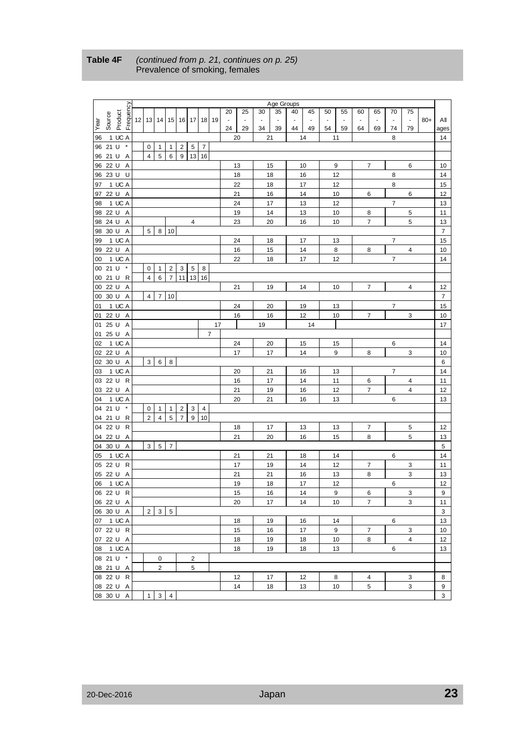|                         |                                       |                |                |                         |                |                |    |    |    |    | Age Groups |                          |    |    |                 |    |                |                |                          |       |                |
|-------------------------|---------------------------------------|----------------|----------------|-------------------------|----------------|----------------|----|----|----|----|------------|--------------------------|----|----|-----------------|----|----------------|----------------|--------------------------|-------|----------------|
| Product<br>Frequency    |                                       |                |                |                         |                |                |    | 20 | 25 | 30 | 35         | 40                       | 45 | 50 | 55              | 60 | 65             | 70             | 75                       |       |                |
| Source<br>Year          | 12   13   14   15   16   17   18   19 |                |                |                         |                |                |    |    |    |    |            | $\overline{\phantom{a}}$ |    |    |                 |    |                | $\blacksquare$ | $\overline{\phantom{a}}$ | $80+$ | All            |
|                         |                                       |                |                |                         |                |                |    | 24 | 29 | 34 | 39         | 44                       | 49 | 54 | 59              | 64 | 69             | 74             | 79                       |       | ages           |
| 1 UC A<br>96            |                                       |                |                |                         |                |                |    |    | 20 | 21 |            |                          | 14 | 11 |                 |    |                | 8              |                          |       | 14             |
| $\pmb{\ast}$<br>96 21 U | 0                                     | 1              | 1              | $\overline{2}$          | 5              | $\overline{7}$ |    |    |    |    |            |                          |    |    |                 |    |                |                |                          |       |                |
| 21 U<br>A<br>96         | $\overline{4}$                        | 5              | 6              | 9                       | 13             | 16             |    |    |    |    |            |                          |    |    |                 |    |                |                |                          |       |                |
| 22 U<br>A<br>96         |                                       |                |                |                         |                |                |    |    | 13 |    | 15         |                          | 10 |    | 9               |    | $\overline{7}$ |                | 6                        |       | 10             |
| 96 23 U<br>U            |                                       |                |                |                         |                |                |    |    | 18 |    | 18         |                          | 16 |    | 12              |    |                | 8              |                          |       | 14             |
| 1 UC A<br>97            |                                       |                |                |                         |                |                |    |    | 22 |    | 18         |                          | 17 |    | 12              |    |                | 8              |                          |       | 15             |
| 97 22 U<br>Α            |                                       |                |                |                         |                |                |    |    | 21 |    | 16         |                          | 14 |    | 10              |    | 6              |                | 6                        |       | 12             |
| 1 UC A<br>98            |                                       |                |                |                         |                |                |    |    | 24 |    | 17         |                          | 13 |    | 12              |    |                | $\overline{7}$ |                          |       | 13             |
| 22 U<br>A<br>98         |                                       |                |                |                         |                |                |    |    | 19 |    | 14         |                          | 13 |    | 10              |    | 8              |                | 5                        |       | 11             |
| 98 24 U<br>A            |                                       |                |                |                         | 4              |                |    |    | 23 |    | 20         |                          | 16 |    | 10              |    | $\overline{7}$ |                | 5                        |       | 13             |
| 30 U<br>98<br>Α         | 5                                     | 8              | 10             |                         |                |                |    |    |    |    |            |                          |    |    |                 |    |                |                |                          |       | $\overline{7}$ |
| 1 UC A<br>99            |                                       |                |                |                         |                |                |    |    | 24 |    | 18         |                          | 17 |    | 13              |    |                | 7              |                          |       | 15             |
| 99 22 U<br>A            |                                       |                |                |                         |                |                |    |    | 16 |    | 15         |                          | 14 |    | 8               |    | 8              |                | 4                        |       | 10             |
| 1 UC A<br>00            |                                       |                |                |                         |                |                |    |    | 22 |    | 18         |                          | 17 |    | 12              |    |                | 7              |                          |       | 14             |
| 00 21 U<br>$\pmb{\ast}$ | 0                                     | 1              | $\overline{2}$ | 3                       | 5              | 8              |    |    |    |    |            |                          |    |    |                 |    |                |                |                          |       |                |
| 00 21 U<br>$\mathsf{R}$ | $\overline{4}$                        | 6              | $\overline{7}$ | 11                      | 13             | 16             |    |    |    |    |            |                          |    |    |                 |    |                |                |                          |       |                |
| 00 22 U A               |                                       |                |                |                         |                |                |    |    | 21 |    | 19         |                          | 14 |    | 10              |    | $\overline{7}$ |                | 4                        |       | 12             |
| 00 30 U<br>A            | $\overline{4}$                        | $\overline{7}$ | 10             |                         |                |                |    |    |    |    |            |                          |    |    |                 |    |                |                |                          |       | $\overline{7}$ |
| 1 UC A<br>01            |                                       |                |                |                         |                |                |    |    | 24 |    | 20         |                          | 19 |    | 13              |    |                | 7              |                          |       | 15             |
| 22 U<br>01<br>A         |                                       |                |                |                         |                |                |    |    | 16 |    | 16         |                          | 12 |    | 10              |    | $\overline{7}$ |                | 3                        |       | 10             |
| 01 25 U A               |                                       |                |                |                         |                |                | 17 |    |    | 19 |            |                          | 14 |    |                 |    |                |                |                          |       | 17             |
| 01 25 U A               |                                       |                |                |                         |                | $\overline{7}$ |    |    |    |    |            |                          |    |    |                 |    |                |                |                          |       |                |
| 1 UC A<br>02            |                                       |                |                |                         |                |                |    |    | 24 |    | 20         |                          | 15 |    | 15              |    |                | 6              |                          |       | 14             |
| 02 22 U A               |                                       |                |                |                         |                |                |    |    | 17 |    | 17         |                          | 14 |    | 9               |    | 8              |                | 3                        |       | 10             |
| 02 30 U<br>Α            | 3                                     | 6              | 8              |                         |                |                |    |    |    |    |            |                          |    |    |                 |    |                |                |                          |       | 6              |
| 1 UC A<br>03            |                                       |                |                |                         |                |                |    |    | 20 | 21 |            |                          | 16 |    | 13              |    |                | 7              |                          |       | 14             |
| 03 22 U<br>$\mathsf{R}$ |                                       |                |                |                         |                |                |    |    | 16 |    | 17         |                          | 14 | 11 |                 |    | 6              |                | 4                        |       | 11             |
| 03 22 U A               |                                       |                |                |                         |                |                |    |    | 21 |    | 19         |                          | 16 |    | 12              |    | $\overline{7}$ |                | 4                        |       | 12             |
| 1 UC A<br>04            |                                       |                |                |                         |                |                |    |    | 20 | 21 |            |                          | 16 |    | 13              |    |                | 6              |                          |       | 13             |
| 04 21 U<br>$\pmb{\ast}$ | 0                                     | 1              | 1              | $\overline{\mathbf{c}}$ | 3              | 4              |    |    |    |    |            |                          |    |    |                 |    |                |                |                          |       |                |
| 04 21 U R               | $\overline{2}$                        | $\overline{4}$ | 5              | $\overline{7}$          | 9              | 10             |    |    |    |    |            |                          |    |    |                 |    |                |                |                          |       |                |
| 04 22 U<br>$\mathsf{R}$ |                                       |                |                |                         |                |                |    |    | 18 |    | 17         |                          | 13 |    | 13              |    | $\overline{7}$ |                | $\mathbf 5$              |       | 12             |
| 04 22 U A               |                                       |                |                |                         |                |                |    |    | 21 |    | 20         |                          | 16 |    | 15              |    | 8              |                | 5                        |       | 13             |
| 30 U<br>Α<br>04         | 3                                     | 5              | $\overline{7}$ |                         |                |                |    |    |    |    |            |                          |    |    |                 |    |                |                |                          |       | 5              |
| 1 UC A<br>05            |                                       |                |                |                         |                |                |    |    | 21 |    | 21         |                          | 18 |    | 14              |    |                | 6              |                          |       | 14             |
| $\mathsf{R}$<br>05 22 U |                                       |                |                |                         |                |                |    |    | 17 |    | 19         |                          | 14 |    | 12              |    | 7              |                | 3                        |       | 11             |
| 05 22 U A               |                                       |                |                |                         |                |                |    |    | 21 | 21 |            |                          | 16 |    | 13              |    | 8              |                | 3                        |       | 13             |
| 1 UC A<br>06            |                                       |                |                |                         |                |                |    |    | 19 |    | 18         |                          | 17 |    | 12              |    |                | 6              |                          |       | 12             |
| 06 22 U R               |                                       |                |                |                         |                |                |    |    | 15 |    | 16         |                          | 14 |    | 9               |    | 6              |                | З                        |       | 9              |
| 06 22 U A               |                                       |                |                |                         |                |                |    |    | 20 |    | 17         |                          | 14 |    | 10              |    | $\overline{7}$ |                | $\mathbf{3}$             |       | 11             |
| 06 30 U A               | $\overline{2}$                        | $\mathbf{3}$   | $\,$ 5 $\,$    |                         |                |                |    |    |    |    |            |                          |    |    |                 |    |                |                |                          |       | 3              |
| 07 1 UC A               |                                       |                |                |                         |                |                |    |    | 18 |    | 19         |                          | 16 |    | 14              |    |                | 6              |                          |       | 13             |
| 07 22 U R               |                                       |                |                |                         |                |                |    |    | 15 |    | 16         |                          | 17 |    | 9               |    | 7              |                | $\mathbf{3}$             |       | 10             |
| 07 22 U A               |                                       |                |                |                         |                |                |    |    | 18 |    | 19         |                          | 18 |    | 10 <sup>°</sup> |    | 8              |                | $\overline{4}$           |       | 12             |
| 08 1 UC A               |                                       |                |                |                         |                |                |    |    | 18 |    | 19         |                          | 18 |    | 13              |    |                | 6              |                          |       | 13             |
| 08 21 U *               |                                       | $\mathbf 0$    |                |                         | $\overline{2}$ |                |    |    |    |    |            |                          |    |    |                 |    |                |                |                          |       |                |
| 08 21 U A               |                                       | $\overline{2}$ |                |                         | 5              |                |    |    |    |    |            |                          |    |    |                 |    |                |                |                          |       |                |
| 08 22 U R               |                                       |                |                |                         |                |                |    |    | 12 |    | 17         |                          | 12 |    | 8               |    | 4              |                | 3                        |       | 8              |
| 08 22 U A               |                                       |                |                |                         |                |                |    |    | 14 |    | 18         |                          | 13 |    | 10              |    | 5              |                | $\mathbf{3}$             |       | 9              |
| 08 30 U A               | $\mathbf{1}$                          | $3 \quad 4$    |                |                         |                |                |    |    |    |    |            |                          |    |    |                 |    |                |                |                          |       | 3              |

# <span id="page-22-0"></span>**Table 4F** *(continued from p. [21,](#page-20-0) continues on p. [25\)](#page-24-0)* Prevalence of smoking, females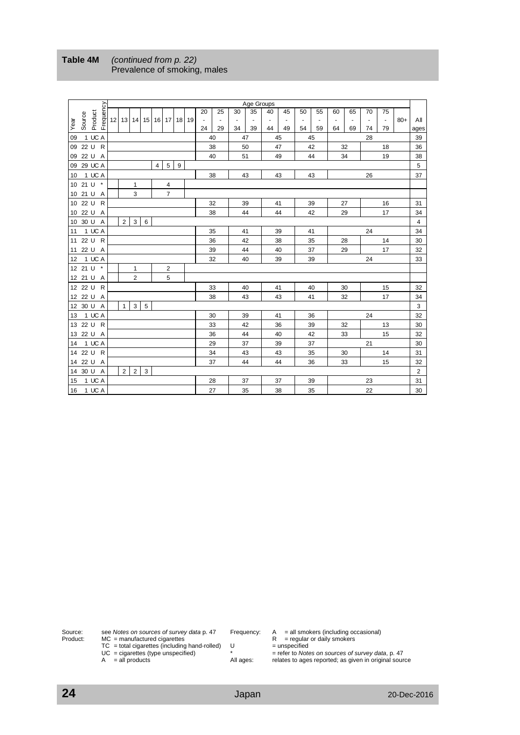|      |            | Product<br>Frequency |              |                                       |                |                |   |  |                |                         |   |                      |                |                |                | Age Groups |                          |                          |    |                |    |                |                |                |       |                |
|------|------------|----------------------|--------------|---------------------------------------|----------------|----------------|---|--|----------------|-------------------------|---|----------------------|----------------|----------------|----------------|------------|--------------------------|--------------------------|----|----------------|----|----------------|----------------|----------------|-------|----------------|
|      |            |                      |              |                                       |                |                |   |  |                |                         |   |                      | 20             | 25             | 30             | 35         | 40                       | 45                       | 50 | 55             | 60 | 65             | 70             | 75             |       |                |
| Vear | Source     |                      |              | 12                                    |                |                |   |  |                |                         |   | 13 14 15 16 17 18 19 | $\blacksquare$ | $\blacksquare$ | $\blacksquare$ |            | $\overline{\phantom{a}}$ | $\overline{\phantom{a}}$ |    | $\blacksquare$ |    | $\blacksquare$ | $\blacksquare$ | $\blacksquare$ | $80+$ | All            |
|      |            |                      |              |                                       |                |                |   |  |                |                         |   |                      | 24             | 29             | 34             | 39         | 44                       | 49                       | 54 | 59             | 64 | 69             | 74             | 79             |       | ages           |
| 09   |            | 1 UC A               |              |                                       |                |                |   |  |                |                         |   |                      |                | 40             |                | 47         |                          | 45                       |    | 45             |    |                | 28             |                |       | 39             |
|      | 09 22 U R  |                      |              |                                       |                |                |   |  |                |                         |   |                      |                | 38             |                | 50         |                          | 47                       |    | 42             |    | 32             |                | 18             |       | 36             |
|      | 09 22 U A  |                      |              |                                       |                |                |   |  |                |                         |   |                      |                | 40             |                | 51         |                          | 49                       |    | 44             |    | 34             |                | 19             |       | 38             |
|      | 09 29 UC A |                      |              |                                       |                |                |   |  | $\overline{4}$ | 5                       | 9 |                      |                |                |                |            |                          |                          |    |                |    |                |                |                |       | 5              |
| 10   |            | 1 UC A               |              |                                       |                |                |   |  |                |                         |   |                      |                | 38             |                | 43         |                          | 43                       |    | 43             |    |                | 26             |                |       | 37             |
|      | 10 21 U    |                      | $\,$ $\,$    |                                       |                | 1              |   |  |                | $\overline{\mathbf{4}}$ |   |                      |                |                |                |            |                          |                          |    |                |    |                |                |                |       |                |
| 10   | 21 U       |                      | A            |                                       |                | 3              |   |  |                | $\overline{7}$          |   |                      |                |                |                |            |                          |                          |    |                |    |                |                |                |       |                |
|      | 10 22 U    |                      | $\mathsf{R}$ |                                       |                |                |   |  |                |                         |   |                      |                | 32             |                | 39         |                          | 41                       |    | 39             |    | 27             |                | 16             |       | 31             |
|      | 10 22 U A  |                      |              |                                       |                |                |   |  |                |                         |   |                      |                | 38             |                | 44         |                          | 44                       |    | 42             |    | 29             |                | 17             |       | 34             |
|      | 10 30 U A  |                      |              |                                       | 2 <sup>1</sup> | 3              | 6 |  |                |                         |   |                      |                |                |                |            |                          |                          |    |                |    |                |                |                |       | $\overline{4}$ |
| 11   |            | 1 UC A               |              |                                       |                |                |   |  |                |                         |   |                      |                | 35             |                | 41         |                          | 39                       |    | 41             |    |                | 24             |                |       | 34             |
|      | 11 22 U R  |                      |              |                                       |                |                |   |  |                |                         |   |                      |                | 36             |                | 42         |                          | 38                       |    | 35             |    | 28             |                | 14             |       | 30             |
|      | 11 22 U A  |                      |              |                                       |                |                |   |  |                |                         |   |                      |                | 39             |                | 44         |                          | 40                       |    | 37             |    | 29             |                | 17             |       | 32             |
|      | 12 1 UC A  |                      |              |                                       |                |                |   |  |                |                         |   |                      |                | 32             |                | 40         |                          | 39                       |    | 39             |    |                | 24             |                |       | 33             |
|      | 12 21 U *  |                      |              |                                       |                | 1              |   |  |                | $\overline{2}$          |   |                      |                |                |                |            |                          |                          |    |                |    |                |                |                |       |                |
|      | 12 21 U A  |                      |              |                                       |                | $\overline{2}$ |   |  |                | 5                       |   |                      |                |                |                |            |                          |                          |    |                |    |                |                |                |       |                |
|      | 12 22 U    |                      | $\mathsf{R}$ |                                       |                |                |   |  |                |                         |   |                      |                | 33             |                | 40         |                          | 41                       |    | 40             |    | 30             |                | 15             |       | 32             |
|      | 12 22 U A  |                      |              |                                       |                |                |   |  |                |                         |   |                      |                | 38             |                | 43         |                          | 43                       |    | 41             |    | 32             |                | 17             |       | 34             |
|      | 12 30 U A  |                      |              |                                       | 1              | 3              | 5 |  |                |                         |   |                      |                |                |                |            |                          |                          |    |                |    |                |                |                |       | 3              |
| 13   |            | 1 UC A               |              |                                       |                |                |   |  |                |                         |   |                      |                | 30             |                | 39         |                          | 41                       |    | 36             |    |                | 24             |                |       | 32             |
|      | 13 22 U R  |                      |              |                                       |                |                |   |  |                |                         |   |                      |                | 33             |                | 42         |                          | 36                       |    | 39             |    | 32             |                | 13             |       | 30             |
|      | 13 22 U A  |                      |              |                                       |                |                |   |  |                |                         |   |                      |                | 36             |                | 44         |                          | 40                       |    | 42             |    | 33             |                | 15             |       | 32             |
| 14   |            | 1 UC A               |              |                                       |                |                |   |  |                |                         |   |                      |                | 29             |                | 37         |                          | 39                       |    | 37             |    |                | 21             |                |       | 30             |
|      | 14 22 U R  |                      |              |                                       |                |                |   |  |                |                         |   |                      |                | 34             |                | 43         |                          | 43                       |    | 35             |    | 30             |                | 14             |       | 31             |
|      | 14 22 U A  |                      |              |                                       |                |                |   |  |                |                         |   |                      |                | 37             |                | 44         |                          | 44                       |    | 36             |    | 33             |                | 15             |       | 32             |
|      | 14 30 U A  |                      |              | $\overline{2}$<br>3<br>$\overline{2}$ |                |                |   |  |                |                         |   |                      |                |                |                |            |                          |                          |    |                |    |                |                |                |       | $\overline{2}$ |
| 15   |            | 1 UC A               |              |                                       |                |                |   |  |                |                         |   |                      |                | 28             |                | 37         |                          | 37                       |    | 39             |    |                | 23             |                |       | 31             |
| 16   |            | 1 UC A               |              |                                       |                |                |   |  |                |                         |   |                      |                | 27             |                | 35         |                          | 38                       |    | 35             |    |                | 22             |                |       | 30             |

# <span id="page-23-0"></span>**Table 4M** *(continued from p. [22\)](#page-21-0)* Prevalence of smoking, males

Source: see *Notes on sources of survey data* p. 47 Frequency: A = all smokers (including occasional) Product: MC = manufactured cigarettes **R** = regular or daily smokers  $TC = total$  cigarettes (including hand-rolled)  $U =$  unspecified UC = cigarettes (type unspecified) \* = refer to *[Notes on sources of survey](#page-46-1) data*, p[. 47](#page-46-0) A = all products All ages: relates to ages reported; as given in original source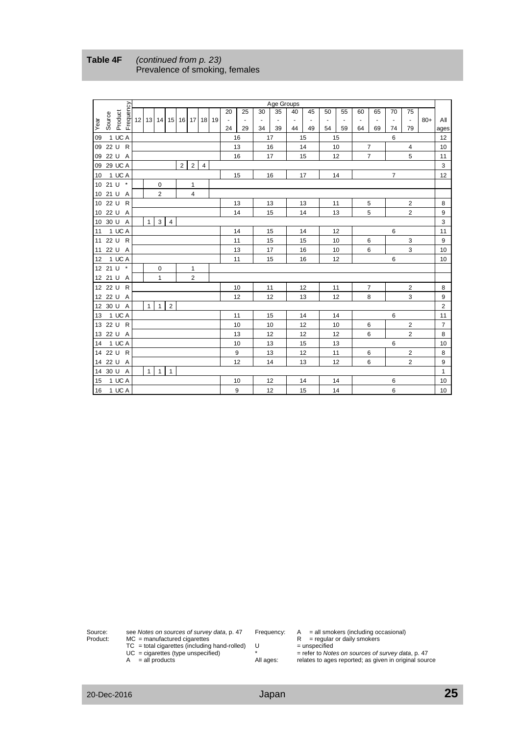|                 |         |                |           |                                     |                |                |                |                |                |                |                                       |                |                  |                | Age Groups |                |                |                |                |                |                |                |                |       |                  |
|-----------------|---------|----------------|-----------|-------------------------------------|----------------|----------------|----------------|----------------|----------------|----------------|---------------------------------------|----------------|------------------|----------------|------------|----------------|----------------|----------------|----------------|----------------|----------------|----------------|----------------|-------|------------------|
|                 |         |                |           |                                     |                |                |                |                |                |                |                                       | 20             | 25               | 30             | 35         | 40             | 45             | 50             | 55             | 60             | 65             | 70             | 75             |       |                  |
| Year            | Source  | Product        | Frequency |                                     |                |                |                |                |                |                | 12   13   14   15   16   17   18   19 | $\blacksquare$ | $\blacksquare$   | $\blacksquare$ | $\omega$   | $\blacksquare$ | $\blacksquare$ | $\blacksquare$ | $\blacksquare$ | $\blacksquare$ | $\blacksquare$ | $\blacksquare$ | $\omega$       | $80+$ | All              |
|                 |         |                |           |                                     |                |                |                |                |                |                |                                       | 24             | 29               | 34             | 39         | 44             | 49             | 54             | 59             | 64             | 69             | 74             | 79             |       | ages             |
| 09              |         | 1 UC A         |           |                                     |                |                |                |                |                |                |                                       |                | 16               |                | 17         |                | 15             |                | 15             |                |                | 6              |                |       | 12               |
| 09              |         | 22 U R         |           |                                     |                |                |                |                |                |                |                                       |                | 13               |                | 16         |                | 14             |                | 10             |                | $\overline{7}$ |                | $\overline{4}$ |       | 10               |
|                 |         | 09 22 U A      |           |                                     |                |                |                |                |                |                |                                       |                | 16               |                | 17         |                | 15             |                | 12             |                | $\overline{7}$ |                | 5              |       | 11               |
|                 |         | 09 29 UC A     |           |                                     |                |                |                | $\overline{2}$ | $\overline{2}$ | $\overline{4}$ |                                       |                |                  |                |            |                |                |                |                |                |                |                |                |       | 3                |
| 10              |         | 1 UC A         |           |                                     |                |                |                |                |                |                |                                       |                | 15               |                | 16         |                | 17             |                | 14             |                |                | $\overline{7}$ |                |       | 12               |
|                 |         | 10 21 U *      |           |                                     |                | 0              |                |                | $\mathbf{1}$   |                |                                       |                |                  |                |            |                |                |                |                |                |                |                |                |       |                  |
| 10              | 21 U    | $\overline{A}$ |           |                                     |                | $\overline{2}$ |                |                | $\overline{4}$ |                |                                       |                |                  |                |            |                |                |                |                |                |                |                |                |       |                  |
|                 | 10 22 U | R              |           |                                     |                |                |                |                |                |                |                                       |                | 13               |                | 13         |                | 13             |                | 11             |                | 5              |                | $\overline{2}$ |       | 8                |
|                 |         | 10 22 U A      |           |                                     |                |                |                |                |                |                |                                       |                | 14               |                | 15         |                | 14             |                | 13             |                | 5              |                | $\overline{2}$ |       | 9                |
|                 |         | 10 30 U A      |           |                                     | $\mathbf{1}$   | $\mathbf{3}$   | $\overline{4}$ |                |                |                |                                       |                |                  |                |            |                |                |                |                |                |                |                |                |       | 3                |
| 11              |         | 1 UC A         |           |                                     |                |                |                |                |                |                |                                       |                | 14               |                | 15         |                | 14             |                | 12             |                |                | 6              |                |       | 11               |
|                 |         | 11 22 U R      |           |                                     |                |                |                |                |                |                |                                       |                | 11               |                | 15         |                | 15             |                | 10             |                | 6              |                | 3              |       | 9                |
|                 |         | 11 22 U A      |           |                                     |                |                |                |                |                |                |                                       |                | 13               |                | 17         |                | 16             |                | 10             |                | 6              |                | 3              |       | 10               |
| 12 <sup>2</sup> |         | 1 UC A         |           |                                     |                |                |                |                |                |                |                                       |                | 11               |                | 15         |                | 16             |                | 12             |                |                | 6              |                |       | 10               |
|                 | 12 21 U | $\;$ $\;$      |           |                                     |                | $\pmb{0}$      |                |                | $\mathbf{1}$   |                |                                       |                |                  |                |            |                |                |                |                |                |                |                |                |       |                  |
|                 | 12 21 U | $\overline{A}$ |           |                                     |                | $\mathbf{1}$   |                |                | $\overline{2}$ |                |                                       |                |                  |                |            |                |                |                |                |                |                |                |                |       |                  |
|                 |         | 12 22 U R      |           |                                     |                |                |                |                |                |                |                                       |                | 10               |                | 11         |                | 12             |                | 11             |                | $\overline{7}$ |                | $\overline{2}$ |       | 8                |
|                 |         | 12 22 U A      |           |                                     |                |                |                |                |                |                |                                       |                | 12               |                | 12         |                | 13             |                | 12             |                | 8              |                | 3              |       | 9                |
|                 |         | 12 30 U A      |           |                                     | 1 <sup>1</sup> | $\overline{1}$ | $\overline{2}$ |                |                |                |                                       |                |                  |                |            |                |                |                |                |                |                |                |                |       | $\overline{2}$   |
| 13              |         | 1 UC A         |           |                                     |                |                |                |                |                |                |                                       |                | 11               |                | 15         |                | 14             |                | 14             |                |                | 6              |                |       | 11               |
|                 |         | 13 22 U R      |           |                                     |                |                |                |                |                |                |                                       |                | 10               |                | 10         |                | 12             |                | 10             |                | 6              |                | $\overline{2}$ |       | $\overline{7}$   |
|                 |         | 13 22 U A      |           |                                     |                |                |                |                |                |                |                                       |                | 13               |                | 12         |                | 12             |                | 12             |                | 6              |                | $\overline{2}$ |       | 8                |
| 14              |         | 1 UC A         |           |                                     |                |                |                |                |                |                |                                       |                | 10               |                | 13         |                | 15             |                | 13             |                |                | 6              |                |       | 10               |
|                 |         | 14 22 U R      |           |                                     |                |                |                |                |                |                |                                       |                | $\boldsymbol{9}$ |                | 13         |                | 12             |                | 11             |                | 6              |                | $\mathbf 2$    |       | 8                |
|                 |         | 14 22 U A      |           |                                     |                |                |                |                |                |                |                                       |                | 12               |                | 14         |                | 13             |                | 12             |                | 6              |                | $\overline{2}$ |       | $\boldsymbol{9}$ |
|                 |         | 14 30 U A      |           | $\overline{1}$<br>$\mathbf{1}$<br>1 |                |                |                |                |                |                |                                       |                |                  |                |            |                |                |                |                |                |                |                |                |       | $\mathbf{1}$     |
| 15              |         | 1 UC A         |           |                                     |                |                |                |                |                |                |                                       |                | 10               |                | 12         |                | 14             |                | 14             |                |                | 6              |                |       | 10               |
| 16              |         | 1 UC A         |           |                                     |                |                |                |                |                |                |                                       |                | 9                |                | 12         |                | 15             |                | 14             |                |                | 6              |                |       | 10               |

<span id="page-24-0"></span>

| <b>Table 4F</b> | (continued from p. 23)         |
|-----------------|--------------------------------|
|                 | Prevalence of smoking, females |

Source: see *Notes on sources of survey data*, p. 47 Frequency: A = all smokers (including occasional)

Product: MC = manufactured cigarettes **R** = regular or daily smokers

 $TC = total$  cigarettes (including hand-rolled)  $U =$  unspecified

UC = cigarettes (type unspecified) \* = refer to *[Notes on sources of survey](#page-46-1) data*, p[. 47](#page-46-0)

A = all products All ages: relates to ages reported; as given in original source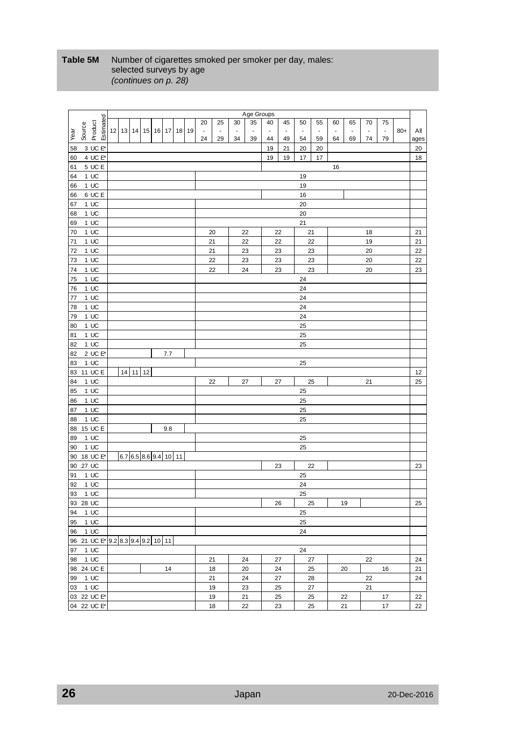# <span id="page-25-0"></span>**Table 5M** Number of cigarettes smoked per smoker per day, males: selected surveys by age *(continues on p. [28\)](#page-27-0)*

|          |         |                                               |                       |         |    |          |    |    |                |                          |                          | Age Groups               |                          |                          |                          |                |                |                          |                |                |       |      |
|----------|---------|-----------------------------------------------|-----------------------|---------|----|----------|----|----|----------------|--------------------------|--------------------------|--------------------------|--------------------------|--------------------------|--------------------------|----------------|----------------|--------------------------|----------------|----------------|-------|------|
|          |         | Estimated                                     |                       |         |    |          |    |    | 20             | 25                       | 30                       | 35                       | 40                       | 45                       | 50                       | 55             | 60             | 65                       | 70             | 75             |       |      |
|          |         |                                               | 12 13 14              |         |    | 15 16 17 | 18 | 19 | $\blacksquare$ | $\overline{\phantom{a}}$ | $\overline{\phantom{a}}$ | $\overline{\phantom{a}}$ | $\overline{\phantom{a}}$ | $\overline{\phantom{a}}$ | $\overline{\phantom{a}}$ | $\blacksquare$ | $\overline{a}$ | $\overline{\phantom{a}}$ | $\blacksquare$ | $\blacksquare$ | $80+$ | All  |
| Year     | Source  | Product                                       |                       |         |    |          |    |    | 24             | 29                       | 34                       | 39                       | 44                       | 49                       | 54                       | 59             | 64             | 69                       | 74             | 79             |       | ages |
| 58       |         | 3 UC E*                                       |                       |         |    |          |    |    |                |                          |                          |                          | 19                       | 21                       | 20                       | 20             |                |                          |                |                |       | 20   |
|          |         | 4 UC $E^*$                                    |                       |         |    |          |    |    |                |                          |                          |                          |                          |                          |                          |                |                |                          |                |                |       |      |
| 60       |         |                                               |                       |         |    |          |    |    |                |                          |                          |                          | 19                       | 19                       | 17                       | 17             |                |                          |                |                |       | 18   |
| 61       |         | 5 UC E                                        |                       |         |    |          |    |    |                |                          |                          |                          |                          |                          |                          |                | 16             |                          |                |                |       |      |
| 64       |         | $1 \text{ UC}$                                |                       |         |    |          |    |    |                |                          |                          |                          |                          |                          | 19                       |                |                |                          |                |                |       |      |
| 66       |         | 1 UC                                          |                       |         |    |          |    |    |                |                          |                          |                          |                          |                          | 19                       |                |                |                          |                |                |       |      |
| 66       |         | 6 UC E                                        |                       |         |    |          |    |    |                |                          |                          |                          |                          |                          | 16                       |                |                |                          |                |                |       |      |
| 67       |         | $1 \text{ UC}$                                |                       |         |    |          |    |    |                |                          |                          |                          |                          |                          | 20                       |                |                |                          |                |                |       |      |
| 68       |         | $1 \text{ UC}$                                |                       |         |    |          |    |    |                |                          |                          |                          |                          |                          | 20                       |                |                |                          |                |                |       |      |
| 69       |         | 1 UC                                          |                       |         |    |          |    |    |                |                          |                          |                          |                          |                          | 21                       |                |                |                          |                |                |       |      |
| 70       |         | 1 UC                                          |                       |         |    |          |    |    |                | 20                       |                          | 22                       |                          | 22                       |                          | 21             |                |                          | 18             |                |       | 21   |
| 71       |         | $1 \text{ UC}$                                |                       |         |    |          |    |    |                | 21                       |                          | 22                       | 22                       |                          |                          | 22             |                |                          | 19             |                |       | 21   |
|          |         |                                               |                       |         |    |          |    |    |                |                          |                          |                          |                          |                          |                          |                |                |                          |                |                |       |      |
| 72       |         | $1 \text{ UC}$                                |                       |         |    |          |    |    |                | 21                       |                          | 23                       | 23                       |                          |                          | 23             |                |                          | 20             |                |       | 22   |
| 73       |         | $1 \text{ UC}$                                |                       |         |    |          |    |    |                | 22                       |                          | 23                       | 23                       |                          |                          | 23             |                |                          | 20             |                |       | 22   |
| 74       |         | $1 \text{ UC}$                                |                       |         |    |          |    |    |                | 22                       |                          | 24                       | 23                       |                          |                          | 23             |                |                          | 20             |                |       | 23   |
| 75       |         | $1 \text{ UC}$                                |                       |         |    |          |    |    |                |                          |                          |                          |                          |                          | 24                       |                |                |                          |                |                |       |      |
| 76       |         | $1 \text{ UC}$                                |                       |         |    |          |    |    |                |                          |                          |                          |                          |                          | 24                       |                |                |                          |                |                |       |      |
| 77       |         | $1 \text{ UC}$                                |                       |         |    |          |    |    |                |                          |                          |                          |                          |                          | 24                       |                |                |                          |                |                |       |      |
| 78       |         | $1$ UC                                        |                       |         |    |          |    |    |                |                          |                          |                          |                          |                          | 24                       |                |                |                          |                |                |       |      |
| 79       |         | $1 \text{ UC}$                                |                       |         |    |          |    |    |                |                          |                          |                          |                          |                          | 24                       |                |                |                          |                |                |       |      |
| 80       |         | $1 \text{ UC}$                                |                       |         |    |          |    |    |                |                          |                          |                          |                          |                          | 25                       |                |                |                          |                |                |       |      |
| 81       |         | $1 \text{ UC}$                                |                       |         |    |          |    |    |                |                          |                          |                          |                          |                          | 25                       |                |                |                          |                |                |       |      |
|          |         |                                               |                       |         |    |          |    |    |                |                          |                          |                          |                          |                          |                          |                |                |                          |                |                |       |      |
| 82       |         | 1 UC                                          |                       |         |    |          |    |    |                |                          |                          |                          |                          |                          | 25                       |                |                |                          |                |                |       |      |
| 82       |         | 2 UC E*                                       |                       |         |    | 7.7      |    |    |                |                          |                          |                          |                          |                          |                          |                |                |                          |                |                |       |      |
| 83       |         | $1 \text{ UC}$                                |                       |         |    |          |    |    |                |                          |                          |                          |                          |                          | 25                       |                |                |                          |                |                |       |      |
| 83       |         | 11 UC E                                       |                       | $14$ 11 | 12 |          |    |    |                |                          |                          |                          |                          |                          |                          |                |                |                          |                |                |       | 12   |
| 84       |         | $1 \text{ UC}$                                |                       |         |    |          |    |    |                | 22                       |                          | 27                       | 27                       |                          | 25                       |                |                |                          | 21             |                |       | 25   |
| 85       |         | $1 \text{ UC}$                                |                       |         |    |          |    |    |                |                          |                          |                          |                          |                          | 25                       |                |                |                          |                |                |       |      |
| 86       |         | $1 \text{ UC}$                                |                       |         |    |          |    |    |                |                          |                          |                          |                          |                          | 25                       |                |                |                          |                |                |       |      |
| 87       |         | $1 \text{ UC}$                                |                       |         |    |          |    |    |                |                          |                          |                          |                          |                          | 25                       |                |                |                          |                |                |       |      |
| 88       |         | $1 \text{ UC}$                                |                       |         |    |          |    |    |                |                          |                          |                          |                          |                          | 25                       |                |                |                          |                |                |       |      |
| 88       |         | 15 UC E                                       |                       |         |    | 9.8      |    |    |                |                          |                          |                          |                          |                          |                          |                |                |                          |                |                |       |      |
| 89       |         | $1 \text{ UC}$                                |                       |         |    |          |    |    |                |                          |                          |                          |                          |                          | 25                       |                |                |                          |                |                |       |      |
|          |         | $1 \text{ UC}$                                |                       |         |    |          |    |    |                |                          |                          |                          |                          |                          | 25                       |                |                |                          |                |                |       |      |
| 90       |         |                                               |                       |         |    |          |    |    |                |                          |                          |                          |                          |                          |                          |                |                |                          |                |                |       |      |
| 90       |         | 18 UC E*                                      | 6.7 6.5 8.6 9.4 10 11 |         |    |          |    |    |                |                          |                          |                          |                          |                          |                          |                |                |                          |                |                |       |      |
| 90       | 27 UC   |                                               |                       |         |    |          |    |    |                |                          |                          |                          | 23                       |                          |                          | 22             |                |                          |                |                |       | 23   |
| 91       |         | $1 \text{ UC}$                                |                       |         |    |          |    |    |                |                          |                          |                          |                          |                          | 25                       |                |                |                          |                |                |       |      |
| 92       |         | $1 \text{ UC}$                                |                       |         |    |          |    |    |                |                          |                          |                          |                          |                          | 24                       |                |                |                          |                |                |       |      |
| 93       |         | $1$ UC                                        |                       |         |    |          |    |    |                |                          |                          |                          |                          |                          | 25                       |                |                |                          |                |                |       |      |
| 93 28 UC |         |                                               |                       |         |    |          |    |    |                |                          |                          |                          |                          | 26                       |                          | 25             |                | 19                       |                |                |       | 25   |
| 94       |         | 1 UC                                          |                       |         |    |          |    |    |                |                          |                          |                          |                          |                          | 25                       |                |                |                          |                |                |       |      |
|          | 95 1 UC |                                               |                       |         |    |          |    |    |                |                          |                          |                          |                          |                          | 25                       |                |                |                          |                |                |       |      |
|          |         | 96 1 UC                                       |                       |         |    |          |    |    |                |                          |                          |                          |                          |                          | 24                       |                |                |                          |                |                |       |      |
|          |         | 96 21 UC E <sup>*</sup> 9.2 8.3 9.4 9.2 10 11 |                       |         |    |          |    |    |                |                          |                          |                          |                          |                          |                          |                |                |                          |                |                |       |      |
| 97       |         | 1 UC                                          |                       |         |    |          |    |    |                |                          |                          |                          |                          |                          | 24                       |                |                |                          |                |                |       |      |
|          |         |                                               |                       |         |    |          |    |    |                |                          |                          |                          |                          |                          |                          |                |                |                          |                |                |       |      |
|          |         | 98 1 UC                                       |                       |         |    |          |    |    |                | 21                       |                          | 24                       |                          | 27                       |                          | 27             |                |                          | 22             |                |       | 24   |
|          |         | 98 24 UC E                                    |                       |         |    | 14       |    |    |                | 18                       |                          | 20                       |                          | 24                       |                          | 25             | 20             |                          |                | 16             |       | 21   |
| 99       |         | 1 UC                                          |                       |         |    |          |    |    |                | 21                       |                          | 24                       |                          | 27                       |                          | 28             |                |                          | 22             |                |       | 24   |
|          |         | 03 1 UC                                       |                       |         |    |          |    |    |                | 19                       |                          | 23                       |                          | 25                       |                          | 27             |                |                          | 21             |                |       |      |
|          |         | 03 22 UC E*                                   |                       |         |    |          |    |    |                | 19                       |                          | 21                       |                          | 25                       |                          | 25             |                | 22                       |                | 17             |       | 22   |
|          |         | 04 22 UC E*                                   |                       |         |    |          |    |    |                | 18                       |                          | 22                       |                          | 23                       |                          | 25             | 21             |                          |                | 17             |       | 22   |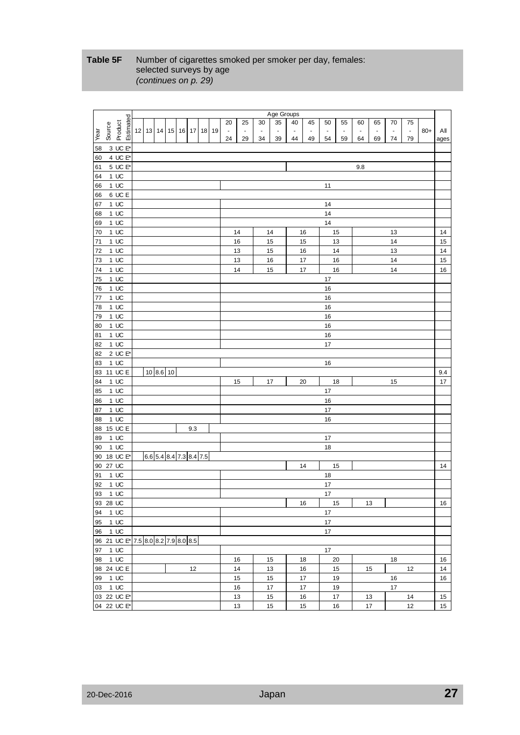# <span id="page-26-0"></span>**Table 5F** Number of cigarettes smoked per smoker per day, females: selected surveys by age *(continues on p. [29\)](#page-28-0)*

|      |          |                      |                                                 |                         |     |        |                |                          | Age Groups     |        |                |                          |                          |                |                |        |                |       |      |
|------|----------|----------------------|-------------------------------------------------|-------------------------|-----|--------|----------------|--------------------------|----------------|--------|----------------|--------------------------|--------------------------|----------------|----------------|--------|----------------|-------|------|
|      |          | Product<br>Estimated |                                                 |                         |     | 20     | 25             | 30                       | 35             | 40     | 45             | 50                       | 55                       | 60             | 65             | 70     | 75             |       |      |
|      | Source   |                      | 12   13   14   15   16   17   18   19           |                         |     | $\Box$ | $\blacksquare$ | $\overline{\phantom{a}}$ | $\blacksquare$ | $\Box$ | $\blacksquare$ | $\overline{\phantom{a}}$ | $\overline{\phantom{a}}$ | $\blacksquare$ | $\blacksquare$ | $\Box$ | $\blacksquare$ | $80+$ | All  |
| Year |          |                      |                                                 |                         |     | 24     | 29             | 34                       | 39             | 44     | 49             | 54                       | 59                       | 64             | 69             | 74     | 79             |       |      |
|      |          |                      |                                                 |                         |     |        |                |                          |                |        |                |                          |                          |                |                |        |                |       | ages |
| 58   |          | $3 \text{ UC} E^*$   |                                                 |                         |     |        |                |                          |                |        |                |                          |                          |                |                |        |                |       |      |
| 60   |          | 4 UC $E^*$           |                                                 |                         |     |        |                |                          |                |        |                |                          |                          |                |                |        |                |       |      |
| 61   |          | 5 UC E*              |                                                 |                         |     |        |                |                          |                |        |                |                          |                          | 9.8            |                |        |                |       |      |
| 64   |          | $1$ UC               |                                                 |                         |     |        |                |                          |                |        |                |                          |                          |                |                |        |                |       |      |
| 66   |          | $1$ UC               |                                                 |                         |     |        |                |                          |                |        |                | 11                       |                          |                |                |        |                |       |      |
| 66   |          | 6 UC E               |                                                 |                         |     |        |                |                          |                |        |                |                          |                          |                |                |        |                |       |      |
| 67   |          | $1 \text{ UC}$       |                                                 |                         |     |        |                |                          |                |        |                | 14                       |                          |                |                |        |                |       |      |
|      |          |                      |                                                 |                         |     |        |                |                          |                |        |                | 14                       |                          |                |                |        |                |       |      |
| 68   |          | $1 \text{ UC}$       |                                                 |                         |     |        |                |                          |                |        |                |                          |                          |                |                |        |                |       |      |
| 69   |          | 1 UC                 |                                                 |                         |     |        |                |                          |                |        |                | 14                       |                          |                |                |        |                |       |      |
| 70   |          | $1 \text{ UC}$       |                                                 |                         |     |        | 14             |                          | 14             |        | 16             |                          | 15                       |                |                | 13     |                |       | 14   |
| 71   |          | 1UC                  |                                                 |                         |     |        | 16             |                          | 15             |        | 15             |                          | 13                       |                |                | 14     |                |       | 15   |
| 72   |          | $1 \text{ UC}$       |                                                 |                         |     |        | 13             |                          | 15             |        | 16             |                          | 14                       |                |                | 13     |                |       | 14   |
| 73   |          | 1UC                  |                                                 |                         |     |        | 13             |                          | 16             |        | 17             |                          | 16                       |                |                | 14     |                |       | 15   |
| 74   |          | 1 UC                 |                                                 |                         |     |        | 14             |                          | 15             |        | 17             |                          | 16                       |                |                | 14     |                |       | 16   |
| 75   |          | $1$ UC               |                                                 |                         |     |        |                |                          |                |        |                | 17                       |                          |                |                |        |                |       |      |
| 76   |          | $1 \text{ UC}$       |                                                 |                         |     |        |                |                          |                |        |                | 16                       |                          |                |                |        |                |       |      |
| 77   |          | $1 \text{ UC}$       |                                                 |                         |     |        |                |                          |                |        |                | 16                       |                          |                |                |        |                |       |      |
| 78   |          | $1 \text{ UC}$       |                                                 |                         |     |        |                |                          |                |        |                | 16                       |                          |                |                |        |                |       |      |
| 79   |          | $1$ UC               |                                                 |                         |     |        |                |                          |                |        |                | 16                       |                          |                |                |        |                |       |      |
|      |          |                      |                                                 |                         |     |        |                |                          |                |        |                |                          |                          |                |                |        |                |       |      |
| 80   |          | $1 \text{ UC}$       |                                                 |                         |     |        |                |                          |                |        |                | 16                       |                          |                |                |        |                |       |      |
| 81   |          | 1 UC                 |                                                 |                         |     |        |                |                          |                |        |                | 16                       |                          |                |                |        |                |       |      |
| 82   |          | $1 \text{ UC}$       |                                                 |                         |     |        |                |                          |                |        |                | 17                       |                          |                |                |        |                |       |      |
| 82   |          | 2 UC $E^*$           |                                                 |                         |     |        |                |                          |                |        |                |                          |                          |                |                |        |                |       |      |
| 83   |          | $1 \text{ UC}$       |                                                 |                         |     |        |                |                          |                |        |                | 16                       |                          |                |                |        |                |       |      |
| 83   |          | 11 UC E              |                                                 | 10 8.6 10               |     |        |                |                          |                |        |                |                          |                          |                |                |        |                |       | 9.4  |
| 84   |          | 1 UC                 |                                                 |                         |     |        | 15             |                          | 17             |        | 20             |                          | 18                       |                |                | 15     |                |       | 17   |
| 85   |          | $1 \text{ UC}$       |                                                 |                         |     |        |                |                          |                |        |                | 17                       |                          |                |                |        |                |       |      |
| 86   |          | 1 UC                 |                                                 |                         |     |        |                |                          |                |        |                | 16                       |                          |                |                |        |                |       |      |
| 87   |          | $1$ UC               |                                                 |                         |     |        |                |                          |                |        |                | 17                       |                          |                |                |        |                |       |      |
| 88   |          | 1 UC                 |                                                 |                         |     |        |                |                          |                |        |                | 16                       |                          |                |                |        |                |       |      |
|      |          | 88 15 UC E           |                                                 |                         | 9.3 |        |                |                          |                |        |                |                          |                          |                |                |        |                |       |      |
|      |          |                      |                                                 |                         |     |        |                |                          |                |        |                |                          |                          |                |                |        |                |       |      |
| 89   |          | $1 \text{ UC}$       |                                                 |                         |     |        |                |                          |                |        |                | 17                       |                          |                |                |        |                |       |      |
| 90   | 1 UC     |                      |                                                 |                         |     |        |                |                          |                |        |                | 18                       |                          |                |                |        |                |       |      |
| 90   |          | 18 UC E*             |                                                 | 6.6 5.4 8.4 7.3 8.4 7.5 |     |        |                |                          |                |        |                |                          |                          |                |                |        |                |       |      |
|      | 90 27 UC |                      |                                                 |                         |     |        |                |                          |                |        | 14             |                          | 15                       |                |                |        |                |       | 14   |
| 91   |          | 1UC                  |                                                 |                         |     |        |                |                          |                |        |                | 18                       |                          |                |                |        |                |       |      |
| 92   |          | $1 \text{ UC}$       |                                                 |                         |     |        |                |                          |                |        |                | 17                       |                          |                |                |        |                |       |      |
| 93   |          | $1 \text{ UC}$       |                                                 |                         |     |        |                |                          |                |        |                | 17                       |                          |                |                |        |                |       |      |
|      | 93 28 UC |                      |                                                 |                         |     |        |                |                          |                |        | 16             |                          | 15                       |                | 13             |        |                |       | 16   |
| 94   |          | 1 UC                 |                                                 |                         |     |        |                |                          |                |        |                | 17                       |                          |                |                |        |                |       |      |
| 95   |          | $1$ UC               |                                                 |                         |     |        |                |                          |                |        |                | 17                       |                          |                |                |        |                |       |      |
| 96   |          | 1 UC                 |                                                 |                         |     |        |                |                          |                |        |                | 17                       |                          |                |                |        |                |       |      |
|      |          |                      | 96 21 UC E <sup>*</sup> 7.5 8.0 8.2 7.9 8.0 8.5 |                         |     |        |                |                          |                |        |                |                          |                          |                |                |        |                |       |      |
|      |          |                      |                                                 |                         |     |        |                |                          |                |        |                |                          |                          |                |                |        |                |       |      |
|      | 97 1 UC  |                      |                                                 |                         |     |        |                |                          |                |        |                | 17                       |                          |                |                |        |                |       |      |
|      | 98 1 UC  |                      |                                                 |                         |     |        | 16             |                          | 15             |        | 18             |                          | 20                       |                |                | 18     |                |       | 16   |
|      |          | 98 24 UC E           |                                                 |                         | 12  |        | 14             |                          | 13             |        | 16             |                          | 15                       |                | 15             |        | 12             |       | 14   |
|      | 99 1 UC  |                      |                                                 |                         |     |        | 15             |                          | 15             |        | 17             |                          | 19                       |                |                | 16     |                |       | 16   |
|      | 03 1 UC  |                      |                                                 |                         |     |        | 16             |                          | 17             |        | 17             |                          | 19                       |                |                | 17     |                |       |      |
|      |          | 03 22 UC E*          |                                                 |                         |     |        | 13             |                          | 15             |        | 16             |                          | 17                       |                | 13             |        | 14             |       | 15   |
|      |          | 04 22 UC E*          |                                                 |                         |     |        | 13             |                          | 15             |        | 15             |                          | 16                       |                | 17             |        | 12             |       | 15   |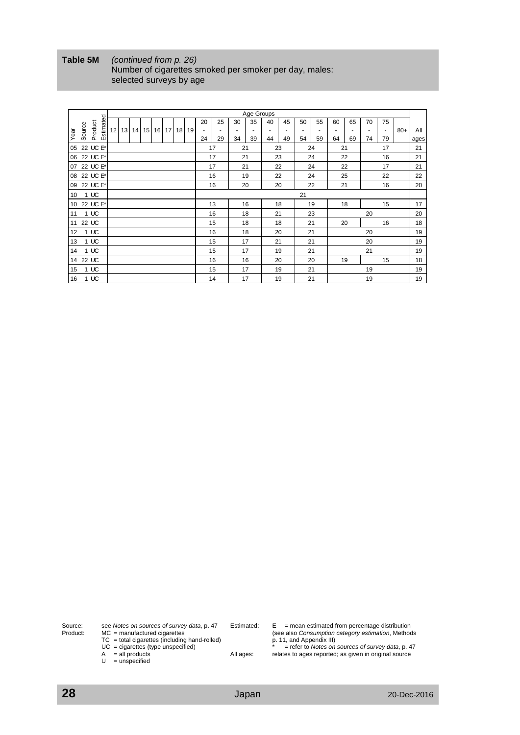## <span id="page-27-0"></span>**Table 5M** *(continued from p. [26\)](#page-25-0)* Number of cigarettes smoked per smoker per day, males: selected surveys by age

|      |             |          |           |    |                 |  |           |                 |                 |                 |    |    |    |    | Age Groups               |    |    |    |    |                       |    |    |                          |       |      |
|------|-------------|----------|-----------|----|-----------------|--|-----------|-----------------|-----------------|-----------------|----|----|----|----|--------------------------|----|----|----|----|-----------------------|----|----|--------------------------|-------|------|
|      |             |          | Estimated |    |                 |  |           |                 |                 |                 |    | 20 | 25 | 30 | 35                       | 40 | 45 | 50 | 55 | 60                    | 65 | 70 | 75                       |       |      |
| Year | Source      | Product  |           | 12 | 13 <sup>1</sup> |  | $14$   15 | 16 <sup>1</sup> | 17 <sup>1</sup> | 18 <sup>1</sup> | 19 |    |    | ۰  | $\overline{\phantom{a}}$ | ۰  | ٠  |    | ۰  | $\tilde{\phantom{a}}$ |    | ٠  | $\overline{\phantom{a}}$ | $80+$ | All  |
|      |             |          |           |    |                 |  |           |                 |                 |                 |    | 24 | 29 | 34 | 39                       | 44 | 49 | 54 | 59 | 64                    | 69 | 74 | 79                       |       | ages |
| 05   |             | 22 UC E* |           |    |                 |  |           |                 |                 |                 |    |    | 17 | 21 |                          |    | 23 |    | 24 |                       | 21 |    | 17                       |       | 21   |
| 06   |             | 22 UC E* |           |    |                 |  |           |                 |                 |                 |    |    | 17 | 21 |                          |    | 23 |    | 24 |                       | 22 |    | 16                       |       | 21   |
|      | 07 22 UC E* |          |           |    |                 |  |           |                 |                 |                 |    |    | 17 | 21 |                          |    | 22 |    | 24 |                       | 22 |    | 17                       |       | 21   |
| 08   |             | 22 UC E* |           |    |                 |  |           |                 |                 |                 |    |    | 16 |    | 19                       |    | 22 |    | 24 |                       | 25 |    | 22                       |       | 22   |
| 09   |             | 22 UC E* |           |    |                 |  |           |                 |                 |                 |    |    | 16 |    | 20                       |    | 20 |    | 22 |                       | 21 |    | 16                       |       | 20   |
| 10   |             | 1UC      |           |    |                 |  |           |                 |                 |                 |    |    |    |    |                          |    |    | 21 |    |                       |    |    |                          |       |      |
| 10   |             | 22 UC E* |           |    |                 |  |           |                 |                 |                 |    |    | 13 |    | 16                       |    | 18 |    | 19 |                       | 18 |    | 15                       |       | 17   |
| 11   |             | 1UC      |           |    |                 |  |           |                 |                 |                 |    |    | 16 |    | 18                       | 21 |    |    | 23 |                       |    | 20 |                          |       | 20   |
| 11   |             | 22 UC    |           |    |                 |  |           |                 |                 |                 |    |    | 15 |    | 18                       |    | 18 |    | 21 |                       | 20 |    | 16                       |       | 18   |
| 12   |             | 1UC      |           |    |                 |  |           |                 |                 |                 |    |    | 16 |    | 18                       |    | 20 |    | 21 |                       |    | 20 |                          |       | 19   |
| 13   |             | 1UC      |           |    |                 |  |           |                 |                 |                 |    |    | 15 |    | 17                       | 21 |    |    | 21 |                       |    | 20 |                          |       | 19   |
| 14   |             | 1UC      |           |    |                 |  |           |                 |                 |                 |    |    | 15 |    | 17                       |    | 19 |    | 21 |                       |    | 21 |                          |       | 19   |
| 14   |             | 22 UC    |           |    |                 |  |           |                 |                 |                 |    |    | 16 |    | 16                       |    | 20 |    | 20 |                       | 19 |    | 15                       |       | 18   |
| 15   |             | 1UC      |           |    |                 |  |           |                 |                 |                 |    |    | 15 |    | 17                       |    | 19 |    | 21 |                       |    | 19 |                          |       | 19   |
| 16   |             | 1UC      |           |    |                 |  |           |                 |                 |                 |    |    | 14 |    | 17                       |    | 19 |    | 21 |                       |    | 19 |                          |       | 19   |

Source: see *Notes on sources of survey data*, p. 47 Estimated: E = mean estimated from percentage distribution see Notes on sources of survey data, p. 47<br>MC = manufactured cigarettes<br>TC = total cigarettes (including hand-rolled)<br>UC = cigarettes (type unspecified)

$$
A = all products
$$

 $U =$  unspecified

Product: MC = manufactured cigarettes (see also *Consumption category estimation*, Methods

UC = cigarettes (type unspecified) \* = refer to *[Notes on sources of survey](#page-46-1) data*, p[. 47](#page-46-0) All ages: relates to ages reported; as given in original source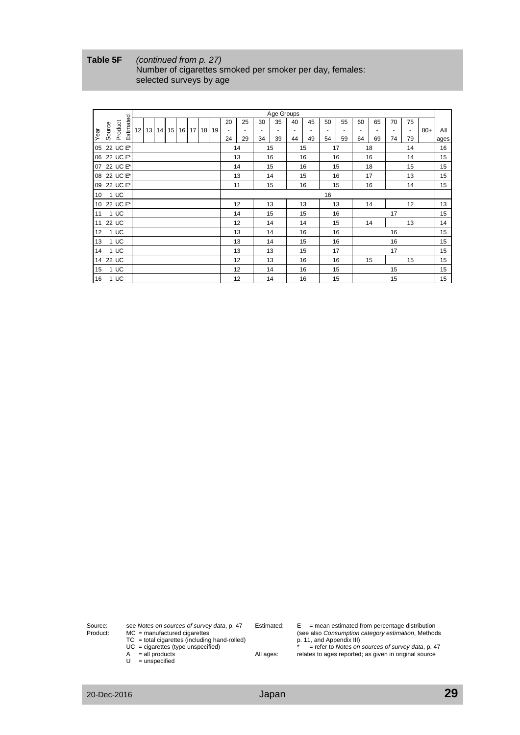# <span id="page-28-0"></span>**Table 5F** *(continued from p. [27\)](#page-26-0)* Number of cigarettes smoked per smoker per day, females: selected surveys by age

|      |          |          |           |                 |    |    |                 |    |    |    |                 |                          |                          |    | Age Groups               |                          |                          |    |    |    |    |                          |                          |       |      |
|------|----------|----------|-----------|-----------------|----|----|-----------------|----|----|----|-----------------|--------------------------|--------------------------|----|--------------------------|--------------------------|--------------------------|----|----|----|----|--------------------------|--------------------------|-------|------|
|      |          |          | Estimated |                 |    |    |                 |    |    |    |                 | 20                       | 25                       | 30 | 35                       | 40                       | 45                       | 50 | 55 | 60 | 65 | 70                       | 75                       |       |      |
| Vear | Source   | Product  |           | 12 <sup>1</sup> | 13 | 14 | 15 <sup>1</sup> | 16 | 17 | 18 | 19 <sup>1</sup> | $\overline{\phantom{a}}$ | $\overline{\phantom{a}}$ | ٠  | $\overline{\phantom{a}}$ | $\overline{\phantom{a}}$ | $\overline{\phantom{a}}$ | ۰  | ٠  | ۰  | ٠  | $\overline{\phantom{a}}$ | $\overline{\phantom{a}}$ | $80+$ | Αll  |
|      |          |          |           |                 |    |    |                 |    |    |    |                 | 24                       | 29                       | 34 | 39                       | 44                       | 49                       | 54 | 59 | 64 | 69 | 74                       | 79                       |       | ages |
| 05   |          | 22 UC E* |           |                 |    |    |                 |    |    |    |                 |                          | 14                       |    | 15                       |                          | 15                       |    | 17 |    | 18 |                          | 14                       |       | 16   |
| 06   |          | 22 UC E* |           |                 |    |    |                 |    |    |    |                 |                          | 13                       |    | 16                       |                          | 16                       |    | 16 |    | 16 |                          | 14                       |       | 15   |
| 07   |          | 22 UC E* |           |                 |    |    |                 |    |    |    |                 |                          | 14                       |    | 15                       |                          | 16                       |    | 15 |    | 18 |                          | 15                       |       | 15   |
| 08   |          | 22 UC E* |           |                 |    |    |                 |    |    |    |                 |                          | 13                       |    | 14                       |                          | 15                       |    | 16 |    | 17 |                          | 13                       |       | 15   |
| 09   |          | 22 UC E* |           |                 |    |    |                 |    |    |    |                 |                          | 11                       |    | 15                       |                          | 16                       |    | 15 |    | 16 |                          | 14                       |       | 15   |
| 10   |          | 1 UC     |           |                 |    |    |                 |    |    |    |                 |                          |                          |    |                          |                          |                          | 16 |    |    |    |                          |                          |       |      |
| 10   |          | 22 UC E* |           |                 |    |    |                 |    |    |    |                 |                          | 12                       |    | 13                       |                          | 13                       |    | 13 |    | 14 |                          | 12                       |       | 13   |
| 11   |          | 1 UC     |           |                 |    |    |                 |    |    |    |                 |                          | 14                       |    | 15                       |                          | 15                       |    | 16 |    |    | 17                       |                          |       | 15   |
| 11   |          | 22 UC    |           |                 |    |    |                 |    |    |    |                 |                          | 12                       |    | 14                       |                          | 14                       |    | 15 |    | 14 |                          | 13                       |       | 14   |
| 12   |          | 1 UC     |           |                 |    |    |                 |    |    |    |                 |                          | 13                       |    | 14                       |                          | 16                       |    | 16 |    |    | 16                       |                          |       | 15   |
| 13   |          | 1 UC     |           |                 |    |    |                 |    |    |    |                 |                          | 13                       |    | 14                       |                          | 15                       |    | 16 |    |    | 16                       |                          |       | 15   |
| 14   |          | 1 UC     |           |                 |    |    |                 |    |    |    |                 |                          | 13                       |    | 13                       |                          | 15                       |    | 17 |    |    | 17                       |                          |       | 15   |
|      | 14 22 UC |          |           |                 |    |    |                 |    |    |    | 12              |                          | 13                       |    | 16                       |                          | 16                       |    | 15 |    | 15 |                          | 15                       |       |      |
| 15   |          | 1 UC     |           |                 |    |    |                 |    |    |    |                 |                          | 12                       |    | 14                       |                          | 16                       |    | 15 |    |    | 15                       |                          |       | 15   |
| 16   |          | 1 UC     |           |                 |    |    |                 |    |    |    |                 |                          | 12                       |    | 14                       |                          | 16                       |    | 15 |    |    | 15                       |                          |       | 15   |

see Notes on sources of survey data, p. 47<br>MC = manufactured cigarettes<br>TC = total cigarettes (including hand-rolled)<br>UC = cigarettes (type unspecified)

Source: see *Notes on sources of survey data*, p. 47 Estimated: E = mean estimated from percentage distribution Product: MC = manufactured cigarettes (see also *Consumption category estimation*, Methods UC extension category estimation, we have used to p. 11, and Appendix III)<br>
\* = refer to *[Notes on sources of survey](#page-46-1) data*, p[. 47](#page-46-0)<br>
All ages: relates to ages reported; as given in original source

relates to ages reported; as given in original source

 $A = all products$ <br>  $U = unspecified$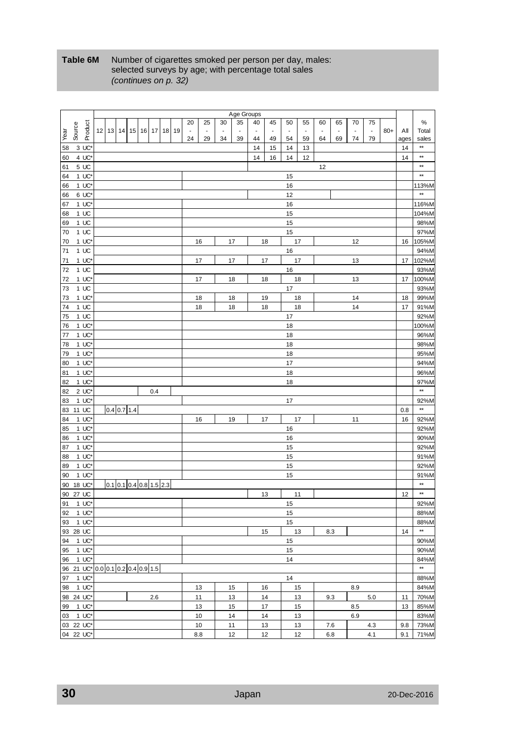#### <span id="page-29-0"></span>**Table 6M** Number of cigarettes smoked per person per day, males: selected surveys by age; with percentage total sales *(continues on p. [32\)](#page-31-0)*

|              |                     |                                   |  |                           |  |                          |                          |    |    | Age Groups |                          |        |    |                          |     |     |                          |       |      |                      |
|--------------|---------------------|-----------------------------------|--|---------------------------|--|--------------------------|--------------------------|----|----|------------|--------------------------|--------|----|--------------------------|-----|-----|--------------------------|-------|------|----------------------|
|              |                     |                                   |  |                           |  | 20                       | 25                       | 30 | 35 | 40         | 45                       | 50     | 55 | 60                       | 65  | 70  | 75                       |       |      | %                    |
| Tear<br>Year | Product<br>Source   | 12 13 14 15 16 17 18 19           |  |                           |  | $\overline{\phantom{a}}$ | $\overline{\phantom{a}}$ |    |    |            | $\overline{\phantom{a}}$ |        |    | $\overline{\phantom{a}}$ |     |     | $\overline{\phantom{a}}$ | $80+$ | Αll  | Total                |
|              |                     |                                   |  |                           |  | 24                       | 29                       | 34 | 39 | 44         | 49                       | 54     | 59 | 64                       | 69  | 74  | 79                       |       | ages | sales                |
| 58           | 3 UC*               |                                   |  |                           |  |                          |                          |    |    | 14         | 15                       | 14     | 13 |                          |     |     |                          |       | 14   | $**$                 |
| 60           | 4 UC*               |                                   |  |                           |  |                          |                          |    |    | 14         | 16                       | 14     | 12 |                          |     |     |                          |       | 14   | $\star\star$         |
| 61           | 5 UC                |                                   |  |                           |  |                          |                          |    |    |            |                          |        |    | 12                       |     |     |                          |       |      | $^{\star\star}$      |
| 64           | 1 UC*               |                                   |  |                           |  |                          |                          |    |    |            |                          | 15     |    |                          |     |     |                          |       |      | $^{\star\star}$      |
| 66           | $1 \text{ UC}^*$    |                                   |  |                           |  |                          |                          |    |    |            |                          | 16     |    |                          |     |     |                          |       |      | 113%M                |
| 66           | 6 UC*               |                                   |  |                           |  |                          |                          |    |    |            |                          | 12     |    |                          |     |     |                          |       |      | $\star\star$         |
| 67           | 1 UC*               |                                   |  |                           |  |                          |                          |    |    |            |                          | 16     |    |                          |     |     |                          |       |      | 116%M                |
| 68           | $1 \text{ UC}$      |                                   |  |                           |  |                          |                          |    |    |            |                          | 15     |    |                          |     |     |                          |       |      | 104%M                |
| 69           | 1 UC                |                                   |  |                           |  |                          |                          |    |    |            |                          | 15     |    |                          |     |     |                          |       |      | 98%M                 |
| 70           | 1 UC                |                                   |  |                           |  |                          |                          |    |    |            |                          | 15     |    |                          |     |     |                          |       |      | 97%M                 |
| 70           | $1 \text{ UC}^*$    |                                   |  |                           |  | 16                       |                          | 17 |    |            | 18                       |        | 17 |                          |     | 12  |                          |       | 16   | 105%M                |
| 71           | 1UC                 |                                   |  |                           |  |                          |                          |    |    |            |                          | 16     |    |                          |     |     |                          |       |      | 94%M                 |
| 71           | 1 UC'               |                                   |  |                           |  | 17                       |                          | 17 |    |            | 17                       |        | 17 |                          |     | 13  |                          |       | 17   | 102%M                |
| 72           | 1UC                 |                                   |  |                           |  |                          |                          |    |    |            |                          | 16     |    |                          |     |     |                          |       |      | 93%M                 |
|              |                     |                                   |  |                           |  |                          |                          |    |    |            |                          |        |    |                          |     |     |                          |       |      |                      |
| 72           | 1 UC*               |                                   |  |                           |  | 17                       |                          | 18 |    |            | 18                       |        | 18 |                          |     | 13  |                          |       | 17   | 100%M                |
| 73           | 1UC                 |                                   |  |                           |  |                          |                          |    |    |            |                          | 17     |    |                          |     |     |                          |       |      | 93%M                 |
| 73           | $1 \text{ UC}^*$    |                                   |  |                           |  | 18                       |                          | 18 |    |            | 19                       |        | 18 |                          |     | 14  |                          |       | 18   | 99%M                 |
| 74           | $1 \text{ UC}$      |                                   |  |                           |  | 18                       |                          | 18 |    |            | 18                       |        | 18 |                          |     | 14  |                          |       | 17   | 91%M                 |
| 75           | 1 UC                |                                   |  |                           |  |                          |                          |    |    |            |                          | 17     |    |                          |     |     |                          |       |      | 92%M                 |
| 76           | 1 UC*               |                                   |  |                           |  |                          |                          |    |    |            |                          | 18     |    |                          |     |     |                          |       |      | 100%M                |
| 77           | 1 UC*               |                                   |  |                           |  |                          |                          |    |    |            |                          | 18     |    |                          |     |     |                          |       |      | 96%M                 |
| 78           | 1 UC*               |                                   |  |                           |  |                          |                          |    |    |            |                          | 18     |    |                          |     |     |                          |       |      | 98%M                 |
| 79           | $1$ UC*             |                                   |  |                           |  |                          |                          |    |    |            |                          | 18     |    |                          |     |     |                          |       |      | 95%M                 |
| 80           | 1 UC*               |                                   |  |                           |  |                          |                          |    |    |            |                          | 17     |    |                          |     |     |                          |       |      | 94%M                 |
| 81           | 1 UC*               |                                   |  |                           |  |                          |                          |    |    |            |                          | 18     |    |                          |     |     |                          |       |      | 96%M                 |
| 82           | 1 UC*               |                                   |  |                           |  |                          |                          |    |    |            |                          | 18     |    |                          |     |     |                          |       |      | 97%M                 |
| 82           | $2$ UC <sup>*</sup> |                                   |  | 0.4                       |  |                          |                          |    |    |            |                          |        |    |                          |     |     |                          |       |      | $\star\star$         |
| 83           | $1$ UC*             |                                   |  |                           |  |                          |                          |    |    |            |                          | 17     |    |                          |     |     |                          |       |      | 92%M                 |
| 83           | 11 UC               | $0.4$ 0.7 1.4                     |  |                           |  |                          |                          |    |    |            |                          |        |    |                          |     |     |                          |       | 0.8  | $\star\star$         |
| 84           | 1 UC*               |                                   |  |                           |  | 16                       |                          | 19 |    |            | 17                       |        | 17 |                          |     | 11  |                          |       | 16   | 92%M                 |
| 85           | $1 \text{ UC}^*$    |                                   |  |                           |  |                          |                          |    |    |            |                          | 16     |    |                          |     |     |                          |       |      | 92%M                 |
| 86           | 1 UC*               |                                   |  |                           |  |                          |                          |    |    |            |                          | 16     |    |                          |     |     |                          |       |      | 90%M                 |
| 87           | $1$ UC*             |                                   |  |                           |  |                          |                          |    |    |            |                          | 15     |    |                          |     |     |                          |       |      | 92%M                 |
| 88           | 1 UC*               |                                   |  |                           |  |                          |                          |    |    |            |                          | 15     |    |                          |     |     |                          |       |      | 91%M                 |
| 89           | 1 UC*               |                                   |  |                           |  |                          |                          |    |    |            |                          | 15     |    |                          |     |     |                          |       |      | 92%M                 |
| 90           | 1 UC*               |                                   |  |                           |  |                          |                          |    |    |            |                          | 15     |    |                          |     |     |                          |       |      | 91%M                 |
| 90           | 18 UC*              |                                   |  | $0.1$ 0.1 0.4 0.8 1.5 2.3 |  |                          |                          |    |    |            |                          |        |    |                          |     |     |                          |       |      | $\star\star$         |
|              | 90 27 UC            |                                   |  |                           |  |                          |                          |    |    |            |                          |        |    |                          |     |     |                          |       | 12   | $^{\star\star}$      |
|              |                     |                                   |  |                           |  |                          |                          |    |    |            | 13                       |        | 11 |                          |     |     |                          |       |      |                      |
| 91           | $1 \text{ UC}^*$    |                                   |  |                           |  |                          |                          |    |    |            |                          | 15     |    |                          |     |     |                          |       |      | 92%M                 |
| 92           | $1 \text{ UC}^*$    |                                   |  |                           |  |                          |                          |    |    |            |                          | 15     |    |                          |     |     |                          |       |      | 88%M                 |
| 93           | 1 UC*               |                                   |  |                           |  |                          |                          |    |    |            |                          | $15\,$ |    |                          |     |     |                          |       |      | 88%M<br>$\star\star$ |
|              | 93 28 UC            |                                   |  |                           |  |                          |                          |    |    |            | 15                       |        | 13 |                          | 8.3 |     |                          |       | 14   |                      |
| 94           | 1 $UC^*$            |                                   |  |                           |  |                          |                          |    |    |            |                          | 15     |    |                          |     |     |                          |       |      | 90%M                 |
| 95           | $1 \text{ UC}^*$    |                                   |  |                           |  |                          |                          |    |    |            |                          | 15     |    |                          |     |     |                          |       |      | 90%M                 |
| 96           | $1 \text{ UC}^*$    |                                   |  |                           |  |                          |                          |    |    |            |                          | 14     |    |                          |     |     |                          |       |      | 84%M                 |
|              |                     | 96 21 UC* 0.0 0.1 0.2 0.4 0.9 1.5 |  |                           |  |                          |                          |    |    |            |                          |        |    |                          |     |     |                          |       |      | $\star\star$         |
| 97           | $1 \text{ UC}^*$    |                                   |  |                           |  |                          |                          |    |    |            |                          | 14     |    |                          |     |     |                          |       |      | 88%M                 |
| 98           | 1 UC*               |                                   |  |                           |  | 13                       |                          | 15 |    |            | 16                       |        | 15 |                          |     | 8.9 |                          |       |      | 84%M                 |
|              | 98 24 UC*           |                                   |  | 2.6                       |  | 11                       |                          | 13 |    |            | 14                       |        | 13 |                          | 9.3 |     | 5.0                      |       | 11   | 70%M                 |
| 99           | 1 UC*               |                                   |  |                           |  | 13                       |                          | 15 |    |            | 17                       |        | 15 |                          |     | 8.5 |                          |       | 13   | 85%M                 |
| 03           | $1 \text{ UC}^*$    |                                   |  |                           |  | 10                       |                          | 14 |    |            | 14                       |        | 13 |                          |     | 6.9 |                          |       |      | 83%M                 |
|              | 03 22 UC*           |                                   |  |                           |  | 10                       |                          | 11 |    |            | 13                       |        | 13 |                          | 7.6 |     | 4.3                      |       | 9.8  | 73%M                 |
|              | 04 22 UC*           |                                   |  |                           |  | 8.8                      |                          | 12 |    |            | 12                       |        | 12 |                          | 6.8 |     | 4.1                      |       | 9.1  | 71%M                 |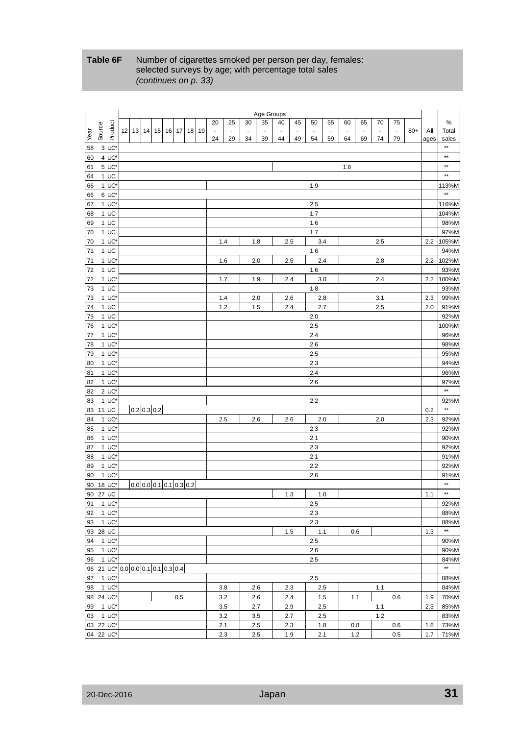# <span id="page-30-0"></span>**Table 6F** Number of cigarettes smoked per person per day, females: selected surveys by age; with percentage total sales *(continues on p. [33\)](#page-32-0)*

|                |                                       |                                   |                           |     |  |                |                |                | Age Groups |                          |        |         |                |                |        |                |        |       |            |                      |
|----------------|---------------------------------------|-----------------------------------|---------------------------|-----|--|----------------|----------------|----------------|------------|--------------------------|--------|---------|----------------|----------------|--------|----------------|--------|-------|------------|----------------------|
|                |                                       |                                   |                           |     |  | 20             | 25             | 30             | 35         | 40                       | 45     | 50      | 55             | 60             | 65     | 70             | 75     |       |            | %                    |
| Source<br>Year | Product                               | 12 13 14 15 16 17 18 19           |                           |     |  | $\blacksquare$ | $\blacksquare$ | $\blacksquare$ |            | $\overline{\phantom{a}}$ | $\sim$ | ÷,      | $\overline{a}$ | $\blacksquare$ | $\sim$ | $\blacksquare$ | $\Box$ | $80+$ | All        | Total                |
|                |                                       |                                   |                           |     |  | 24             | 29             | 34             | 39         | 44                       | 49     | 54      | 59             | 64             | 69     | 74             | 79     |       | ages       | sales                |
| 58             | $3 \text{ UC}^*$                      |                                   |                           |     |  |                |                |                |            |                          |        |         |                |                |        |                |        |       |            | $\star\star$         |
| 60             | 4 UC*                                 |                                   |                           |     |  |                |                |                |            |                          |        |         |                |                |        |                |        |       |            | $\star\star$         |
| 61             | 5 UC*                                 |                                   |                           |     |  |                |                |                |            |                          |        |         |                | 1.6            |        |                |        |       |            | $\star\star$         |
| 64             | 1 UC                                  |                                   |                           |     |  |                |                |                |            |                          |        |         |                |                |        |                |        |       |            | $\star\star$         |
| 66             | $1 \text{ UC}^*$                      |                                   |                           |     |  |                |                |                |            |                          |        | 1.9     |                |                |        |                |        |       |            | 113%M                |
| 66             | 6 UC*                                 |                                   |                           |     |  |                |                |                |            |                          |        |         |                |                |        |                |        |       |            | $^{\star\star}$      |
| 67             | 1 UC*                                 |                                   |                           |     |  |                |                |                |            |                          |        | 2.5     |                |                |        |                |        |       |            | 116%M                |
| 68             | 1 UC                                  |                                   |                           |     |  |                |                |                |            |                          |        | 1.7     |                |                |        |                |        |       |            | 104%M                |
| 69             | $1$ UC                                |                                   |                           |     |  |                |                |                |            |                          |        | 1.6     |                |                |        |                |        |       |            | 98%M                 |
| 70             | $1$ UC                                |                                   |                           |     |  |                |                |                |            |                          |        | 1.7     |                |                |        |                |        |       |            | 97%M                 |
| 70             | $1 \text{ UC}^*$                      |                                   |                           |     |  | 1.4            |                | 1.8            |            | 2.5                      |        |         | 3.4            |                |        | 2.5            |        |       | 2.2        | 105%M                |
| 71             | 1UC                                   |                                   |                           |     |  |                |                |                |            |                          |        | 1.6     |                |                |        |                |        |       |            | 94%M                 |
| 71             | $1$ UC*                               |                                   |                           |     |  | 1.6            |                | 2.0            |            |                          | 2.5    |         | 2.4            |                |        | 2.8            |        |       | 2.2        | 102%M                |
| 72             | $1$ UC                                |                                   |                           |     |  |                |                |                |            |                          |        | 1.6     |                |                |        |                |        |       |            | 93%M                 |
| 72             | $1 \text{ UC}^*$                      |                                   |                           |     |  | 1.7            |                | 1.9            |            |                          | 2.4    |         | 3.0            |                |        | 2.4            |        |       | 2.2        | 100%M                |
| 73             | 1UC                                   |                                   |                           |     |  |                |                |                |            |                          |        | 1.8     |                |                |        |                |        |       |            | 93%M                 |
| 73             | $1$ UC <sup><math>\prime</math></sup> |                                   |                           |     |  | 1.4            |                | 2.0            |            |                          | 2.6    |         | 2.8            |                |        | 3.1            |        |       | 2.3        | 99%M                 |
| 74             | $1 \text{ UC}$                        |                                   |                           |     |  | 1.2            |                | 1.5            |            |                          | 2.4    |         | 2.7            |                |        | 2.5            |        |       | 2.0        | 91%M                 |
| 75             | 1 UC                                  |                                   |                           |     |  |                |                |                |            |                          |        | 2.0     |                |                |        |                |        |       |            | 92%M                 |
| 76             | $1 \text{ UC}^*$                      |                                   |                           |     |  |                |                |                |            |                          |        | 2.5     |                |                |        |                |        |       |            | 100%M                |
| 77             | $1$ UC*                               |                                   |                           |     |  |                |                |                |            |                          |        | 2.4     |                |                |        |                |        |       |            | 96%M                 |
| 78             | $1 \text{ UC}^*$                      |                                   |                           |     |  |                |                |                |            |                          |        | 2.6     |                |                |        |                |        |       |            | 98%M                 |
| 79             | $1 \text{ UC}^*$                      |                                   |                           |     |  |                |                |                |            |                          |        | 2.5     |                |                |        |                |        |       |            | 95%M                 |
| 80             | $1 \text{ UC}^*$                      |                                   |                           |     |  |                |                |                |            |                          |        | 2.3     |                |                |        |                |        |       |            | 94%M                 |
| 81             | $1$ UC*                               |                                   |                           |     |  |                |                |                |            |                          |        | 2.4     |                |                |        |                |        |       |            | 96%M                 |
| 82             | 1 UC*                                 |                                   |                           |     |  |                |                |                |            |                          |        | 2.6     |                |                |        |                |        |       |            | 97%M<br>$\star\star$ |
| 82             | $2$ UC*                               |                                   |                           |     |  |                |                |                |            |                          |        |         |                |                |        |                |        |       |            |                      |
| 83<br>11 UC    | $1 \text{ UC}^*$                      |                                   | $0.2$ 0.3 0.2             |     |  |                |                |                |            |                          |        | 2.2     |                |                |        |                |        |       |            | 92%M<br>$\star\star$ |
| 83<br>84       | $1 \text{ UC}^*$                      |                                   |                           |     |  | 2.5            |                |                |            |                          | 2.6    |         | 2.0            |                |        | 2.0            |        |       | 0.2<br>2.3 | 92%M                 |
| 85             | $1 \text{ UC}^*$                      |                                   |                           |     |  |                |                | 2.6            |            |                          |        | 2.3     |                |                |        |                |        |       |            | 92%M                 |
| 86             | $1 \text{ UC}^*$                      |                                   |                           |     |  |                |                |                |            |                          |        | 2.1     |                |                |        |                |        |       |            | 90%M                 |
| 87             | $1 \text{ UC}^*$                      |                                   |                           |     |  |                |                |                |            |                          |        | 2.3     |                |                |        |                |        |       |            | 92%M                 |
| 88             | $1 \text{ UC}^*$                      |                                   |                           |     |  |                |                |                |            |                          |        | 2.1     |                |                |        |                |        |       |            | 91%M                 |
| 89             | $1 \text{ UC}^*$                      |                                   |                           |     |  |                |                |                |            |                          |        | 2.2     |                |                |        |                |        |       |            | 92%M                 |
| 90             | $1 \text{ UC}^*$                      |                                   |                           |     |  |                |                |                |            |                          |        | 2.6     |                |                |        |                |        |       |            | 91%M                 |
| 90             | 18 UC*                                |                                   | $0.0$ 0.0 0.1 0.1 0.3 0.2 |     |  |                |                |                |            |                          |        |         |                |                |        |                |        |       |            | $\star\star$         |
| 27 UC<br>90    |                                       |                                   |                           |     |  |                |                |                |            |                          | 1.3    |         | 1.0            |                |        |                |        |       | 1.1        | $\star\star$         |
| 91             | 1 UC*                                 |                                   |                           |     |  |                |                |                |            |                          |        | 2.5     |                |                |        |                |        |       |            | 92%M                 |
| 92             | 1 UC*                                 |                                   |                           |     |  |                |                |                |            |                          |        | 2.3     |                |                |        |                |        |       |            | 88%M                 |
| 93             | $1 \text{ UC}^*$                      |                                   |                           |     |  |                |                |                |            |                          |        | 2.3     |                |                |        |                |        |       |            | 88%M                 |
| 93 28 UC       |                                       |                                   |                           |     |  |                |                |                |            |                          | 1.5    |         | 1.1            |                | 0.6    |                |        |       | 1.3        | $\star\star$         |
| 94             | $1 \text{ UC}^*$                      |                                   |                           |     |  |                |                |                |            |                          |        | 2.5     |                |                |        |                |        |       |            | 90%M                 |
| 95             | $1 \text{ UC}^*$                      |                                   |                           |     |  |                |                |                |            |                          |        | 2.6     |                |                |        |                |        |       |            | 90%M                 |
| 96             | $1 \text{ UC}^*$                      |                                   |                           |     |  |                |                |                |            |                          |        | 2.5     |                |                |        |                |        |       |            | 84%M                 |
|                |                                       | 96 21 UC* 0.0 0.0 0.1 0.1 0.3 0.4 |                           |     |  |                |                |                |            |                          |        |         |                |                |        |                |        |       |            | $\star\star$         |
| 97             | $1 \text{ UC}^*$                      |                                   |                           |     |  |                |                |                |            |                          |        | $2.5\,$ |                |                |        |                |        |       |            | 88%M                 |
| 98 1 UC*       |                                       |                                   |                           |     |  | 3.8            |                | 2.6            |            |                          | 2.3    |         | 2.5            |                |        | 1.1            |        |       |            | 84%M                 |
| 98 24 UC*      |                                       |                                   |                           | 0.5 |  | 3.2            |                | 2.6            |            |                          | 2.4    |         | 1.5            |                | 1.1    |                | 0.6    |       | 1.9        | 70%M                 |
| 99 1 UC*       |                                       |                                   |                           |     |  | 3.5            |                | 2.7            |            |                          | 2.9    |         | 2.5            |                |        | 1.1            |        |       | 2.3        | 85%M                 |
| 03 1 UC*       |                                       |                                   |                           |     |  | 3.2            |                | 3.5            |            |                          | 2.7    |         | 2.5            |                |        | 1.2            |        |       |            | 83%M                 |
| 03 22 UC*      |                                       |                                   |                           |     |  | 2.1            |                | 2.5            |            |                          | 2.3    |         | 1.8            |                | 0.8    |                | 0.6    |       | 1.6        | 73%M                 |
| 04 22 UC*      |                                       |                                   |                           |     |  | 2.3            |                | 2.5            |            |                          | 1.9    |         | 2.1            |                | 1.2    |                | 0.5    |       | 1.7        | 71%M                 |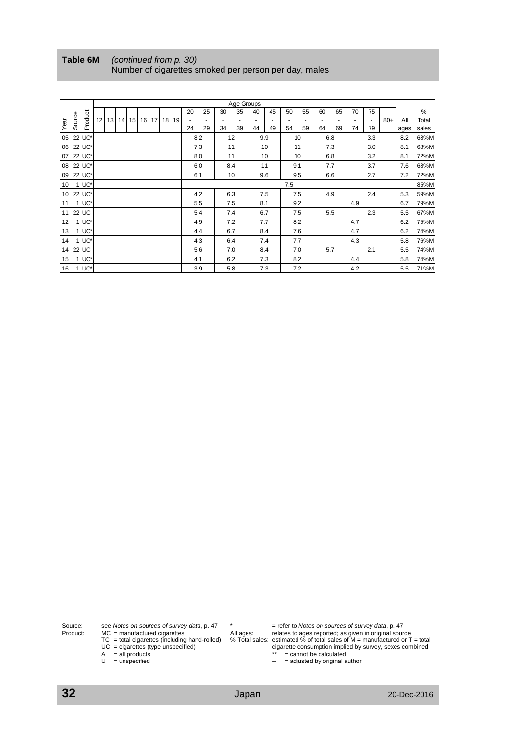| $I$ anic $V$ ivi | <u>IGOININGO IIUII N. JUI</u><br>Number of cigarettes smoked per person per day, males |
|------------------|----------------------------------------------------------------------------------------|
|                  |                                                                                        |

<span id="page-31-0"></span>**Table 6M** *(continued from p. [30\)](#page-29-0)*

|      |           |         |  |  |          |  |                        |  |     |     |                          |     | Age Groups     |     |                          |                          |     |                          |     |     |                |       |      |               |
|------|-----------|---------|--|--|----------|--|------------------------|--|-----|-----|--------------------------|-----|----------------|-----|--------------------------|--------------------------|-----|--------------------------|-----|-----|----------------|-------|------|---------------|
|      |           |         |  |  |          |  |                        |  |     | 20  | 25                       | 30  | 35             | 40  | 45                       | 50                       | 55  | 60                       | 65  | 70  | 75             |       |      | $\frac{0}{0}$ |
| Year | Source    | Product |  |  | 12 13 14 |  | 15   16   17   18   19 |  |     |     | $\overline{\phantom{a}}$ | ٠   | $\overline{a}$ | ٠   | $\overline{\phantom{a}}$ | $\overline{\phantom{a}}$ |     | $\overline{\phantom{a}}$ | ٠   |     | $\blacksquare$ | $80+$ | All  | Total         |
|      |           |         |  |  |          |  |                        |  |     | 24  | 29                       | 34  | 39             | 44  | 49                       | 54                       | 59  | 64                       | 69  | 74  | 79             |       | ages | sales         |
|      | 05 22 UC* |         |  |  |          |  |                        |  |     |     | 8.2                      |     | 12             |     | 9.9                      |                          | 10  |                          | 6.8 |     | 3.3            |       | 8.2  | 68%M          |
|      | 06 22 UC* |         |  |  |          |  |                        |  |     |     | 7.3                      |     | 11             |     | 10                       |                          | 11  |                          | 7.3 |     | 3.0            |       | 8.1  | 68%M          |
|      | 07 22 UC* |         |  |  |          |  |                        |  |     |     | 8.0                      |     | 11             |     | 10                       |                          | 10  |                          | 6.8 |     | 3.2            |       | 8.1  | 72%M          |
|      | 08 22 UC* |         |  |  |          |  |                        |  |     |     | 6.0                      |     | 8.4            | 11  |                          | 9.1                      |     |                          | 7.7 |     | 3.7            |       | 7.6  | 68%M          |
|      | 09 22 UC* |         |  |  |          |  |                        |  |     | 6.1 |                          |     | 10             |     | 9.6                      |                          | 9.5 |                          | 6.6 |     | 2.7            |       | 7.2  | 72%M          |
| 10   |           | $1$ UC* |  |  |          |  |                        |  |     |     |                          |     |                |     | 7.5                      |                          |     |                          |     |     |                |       | 85%M |               |
|      | 10 22 UC* |         |  |  |          |  |                        |  | 4.2 |     | 6.3                      | 7.5 |                |     | 7.5                      |                          | 4.9 |                          | 2.4 |     | 5.3            | 59%M  |      |               |
| 11   |           | $1$ UC* |  |  |          |  |                        |  |     |     | 5.5                      |     | 7.5            | 8.1 |                          |                          | 9.2 |                          |     | 4.9 |                |       | 6.7  | 79%M          |
|      | 11 22 UC  |         |  |  |          |  |                        |  |     |     | 5.4                      |     | 7.4            | 6.7 |                          |                          | 7.5 |                          | 5.5 |     | 2.3            |       | 5.5  | 67%M          |
| 12   |           | $1$ UC* |  |  |          |  |                        |  |     | 4.9 |                          |     | 7.2            | 7.7 |                          |                          | 8.2 |                          |     | 4.7 |                |       | 6.2  | 75%M          |
| 13   |           | $1$ UC* |  |  |          |  |                        |  | 4.4 |     | 6.7                      |     | 8.4            |     | 7.6                      |                          |     | 4.7                      |     |     | 6.2            | 74%M  |      |               |
| 14   |           | $1$ UC* |  |  |          |  |                        |  | 4.3 |     | 6.4                      |     | 7.4            |     | 7.7                      |                          |     | 4.3                      |     |     | 5.8            | 76%M  |      |               |
|      | 14 22 UC  |         |  |  |          |  |                        |  |     |     | 5.6                      |     | 7.0            |     | 8.4                      |                          | 7.0 |                          | 5.7 |     | 2.1            |       | 5.5  | 74%M          |
| 15   |           | $1$ UC* |  |  |          |  | 4.1                    |  |     | 6.2 |                          | 7.3 |                | 8.2 |                          |                          | 4.4 |                          |     | 5.8 | 74%M           |       |      |               |
| 16   |           | $1$ UC* |  |  |          |  |                        |  | 3.9 |     | 5.8                      |     | 7.3            |     | 7.2                      |                          |     | 4.2                      |     |     | 5.5            | 71%M  |      |               |

Source: see *Notes on sources of survey data*, p. 47 \* = refer to *Notes on sources of survey data*, p. 47 Product: MC = manufactured cigarettes All ages: relates to ages reported; as given in original source

TC = total cigarettes (including hand-rolled) % Total sales: estimated % of total sales of M = manufactured or T = total Cigarette consumption implied by survey, sexes combined<br> $\frac{1}{2}$  = cannot be calculated<br> $\frac{1}{2}$  = adjusted by original author A = all products  $\overline{a}$  = cannot be calculated

U = unspecified  $\blacksquare$  = adjusted by original author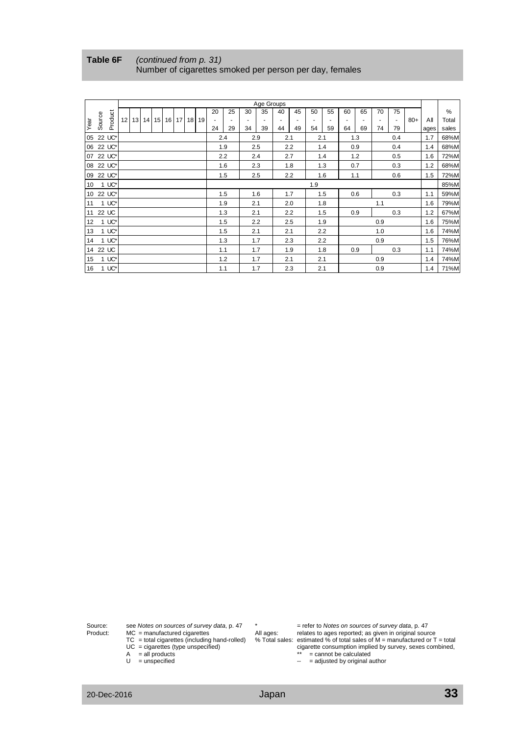<span id="page-32-0"></span>

| Table 6F | (continued from p. 31)                                  |
|----------|---------------------------------------------------------|
|          | Number of cigarettes smoked per person per day, females |

|      |           |         |  |  |          |  |           |                 |  |       |                          |     |     | Age Groups |     |     |     |     |     |     |     |                          |       |      |               |
|------|-----------|---------|--|--|----------|--|-----------|-----------------|--|-------|--------------------------|-----|-----|------------|-----|-----|-----|-----|-----|-----|-----|--------------------------|-------|------|---------------|
|      |           | Product |  |  |          |  |           |                 |  |       | 20                       | 25  | 30  | 35         | 40  | 45  | 50  | 55  | 60  | 65  | 70  | 75                       |       |      | $\frac{0}{0}$ |
| Vear | Source    |         |  |  | 12 13 14 |  | $15$   16 | 17 <sup>1</sup> |  | 18 19 | $\overline{\phantom{a}}$ |     |     |            |     |     |     |     |     |     |     | $\overline{\phantom{a}}$ | $80+$ | All  | Total         |
|      |           |         |  |  |          |  |           |                 |  |       | 24                       | 29  | 34  | 39         | 44  | 49  | 54  | 59  | 64  | 69  | 74  | 79                       |       | ages | sales         |
|      | 05 22 UC* |         |  |  |          |  |           |                 |  |       |                          | 2.4 |     | 2.9        |     | 2.1 |     | 2.1 |     | 1.3 |     | 0.4                      |       | 1.7  | 68%M          |
|      | 06 22 UC* |         |  |  |          |  |           |                 |  |       |                          | 1.9 |     | 2.5        |     | 2.2 |     | 1.4 |     | 0.9 |     | 0.4                      |       | 1.4  | 68%M          |
|      | 07 22 UC* |         |  |  |          |  |           |                 |  |       |                          | 2.2 |     | 2.4        |     | 2.7 |     | 1.4 |     | 1.2 |     | 0.5                      |       | 1.6  | 72%M          |
|      | 08 22 UC* |         |  |  |          |  |           |                 |  |       |                          | 1.6 |     | 2.3        |     | 1.8 |     | 1.3 |     | 0.7 |     | 0.3                      |       | 1.2  | 68%M          |
| 09   |           | 22 UC*  |  |  |          |  |           |                 |  |       | 1.5                      |     | 2.5 |            | 2.2 |     | 1.6 |     | 1.1 |     | 0.6 |                          | 1.5   | 72%M |               |
| 10   |           | $1$ UC* |  |  |          |  |           |                 |  |       |                          |     |     |            | 1.9 |     |     |     |     |     |     |                          | 85%M  |      |               |
| 10   |           | 22 UC*  |  |  |          |  |           |                 |  | 1.5   |                          | 1.6 |     | 1.7        |     | 1.5 |     | 0.6 |     | 0.3 |     | 1.1                      | 59%M  |      |               |
| 11   |           | $1$ UC* |  |  |          |  |           |                 |  |       |                          | 1.9 |     | 2.1        |     | 2.0 |     | 1.8 |     |     | 1.1 |                          |       | 1.6  | 79%M          |
| 11   |           | 22 UC   |  |  |          |  |           |                 |  | 1.3   |                          | 2.1 |     | 2.2        |     | 1.5 |     | 0.9 |     | 0.3 |     | 1.2                      | 67%M  |      |               |
| 12   |           | $1$ UC* |  |  |          |  |           |                 |  | 1.5   |                          | 2.2 |     | 2.5        |     | 1.9 |     |     | 0.9 |     |     | 1.6                      | 75%M  |      |               |
| 13   |           | $1$ UC* |  |  |          |  |           |                 |  | 1.5   |                          | 2.1 |     | 2.1        |     | 2.2 |     |     | 1.0 |     |     | 1.6                      | 74%M  |      |               |
| 14   |           | $1$ UC* |  |  |          |  |           |                 |  | 1.3   |                          | 1.7 |     | 2.3        |     | 2.2 |     |     | 0.9 |     |     | 1.5                      | 76%M  |      |               |
|      | 14 22 UC  |         |  |  |          |  |           |                 |  | 1.1   |                          | 1.7 |     | 1.9        |     | 1.8 |     | 0.9 |     | 0.3 |     | 1.1                      | 74%M  |      |               |
| 15   |           | $1$ UC* |  |  |          |  |           |                 |  | 1.2   |                          | 1.7 |     | 2.1        |     | 2.1 |     |     | 0.9 |     |     | 1.4                      | 74%M  |      |               |
| 16   |           | $1$ UC* |  |  |          |  |           |                 |  |       |                          | 1.1 |     | 1.7        |     | 2.3 |     | 2.1 |     |     | 0.9 |                          |       | 1.4  | 71%M          |

- 
- 
- 
- 

Source: see *Notes on sources of survey data*, p. 47 \* = refer to *Notes on sources of survey data*, p. 47 Product: MC = manufactured cigarettes All ages: relates to ages reported; as given in original source TC = total cigarettes (including hand-rolled) % Total sales: estimated % of total sales of M = manufactured or T = total Commutative of the cigarette consumption implied by survey, sexes combined,<br> $\frac{1}{2}$  = cannot be calculated<br> $\frac{1}{2}$  = adjusted by original author A = all products  $\overline{a}$  = cannot be calculated

U = unspecified  $\qquad \qquad \qquad \qquad \qquad \qquad \qquad \qquad -$  adjusted by original author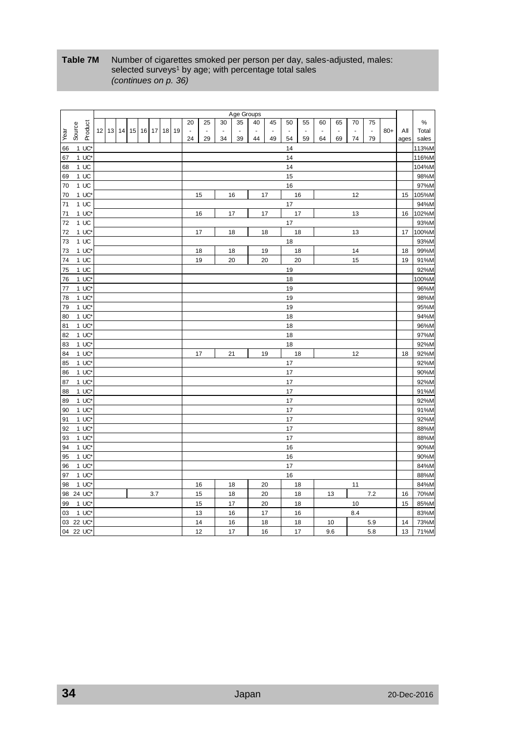#### <span id="page-33-0"></span>**Table 7M** Number of cigarettes smoked per person per day, sales-adjusted, males: selected surveys<sup>1</sup> by age; with percentage total sales *(continues on p. [36\)](#page-35-0)*

|           |        |                                       |  |  |                         |  |                |    |    | Age Groups |    |    |    |    |    |     |     |                |       |      |       |
|-----------|--------|---------------------------------------|--|--|-------------------------|--|----------------|----|----|------------|----|----|----|----|----|-----|-----|----------------|-------|------|-------|
|           |        |                                       |  |  |                         |  | 20             | 25 | 30 | 35         | 40 | 45 | 50 | 55 | 60 | 65  | 70  | 75             |       |      | $\%$  |
| Year      | Source | Product                               |  |  | 12 13 14 15 16 17 18 19 |  | $\blacksquare$ | ä, |    |            | ä, | ä, | ÷. |    | ÷. |     |     | $\blacksquare$ | $80+$ | All  | Total |
|           |        |                                       |  |  |                         |  | 24             | 29 | 34 | 39         | 44 | 49 | 54 | 59 | 64 | 69  | 74  | 79             |       | ages | sales |
| 66        |        | $1$ UC*                               |  |  |                         |  |                |    |    |            |    |    | 14 |    |    |     |     |                |       |      | 113%M |
| 67        |        | $1$ UC <sup><math>\prime</math></sup> |  |  |                         |  |                |    |    |            |    |    | 14 |    |    |     |     |                |       |      | 116%M |
| 68        |        | 1UC                                   |  |  |                         |  |                |    |    |            |    |    | 14 |    |    |     |     |                |       |      | 104%M |
| 69        |        | $1$ UC                                |  |  |                         |  |                |    |    |            |    |    | 15 |    |    |     |     |                |       |      | 98%M  |
| 70        |        | 1UC                                   |  |  |                         |  |                |    |    |            |    |    | 16 |    |    |     |     |                |       |      | 97%M  |
| 70        |        | $1$ UC <sup><math>\prime</math></sup> |  |  |                         |  |                | 15 |    | 16         | 17 |    |    | 16 |    |     | 12  |                |       | 15   | 105%M |
| 71        |        | 1UC                                   |  |  |                         |  |                |    |    |            |    |    | 17 |    |    |     |     |                |       |      | 94%M  |
| 71        |        | $1 \text{ UC}^*$                      |  |  |                         |  |                | 16 |    | 17         |    | 17 |    | 17 |    |     | 13  |                |       | 16   | 102%M |
| 72        |        | 1UC                                   |  |  |                         |  |                |    |    |            |    |    | 17 |    |    |     |     |                |       |      | 93%M  |
| 72        |        | $1$ UC <sup><math>\prime</math></sup> |  |  |                         |  |                | 17 |    | 18         |    | 18 |    | 18 |    |     | 13  |                |       | 17   | 100%M |
| 73        |        | 1UC                                   |  |  |                         |  |                |    |    |            |    |    | 18 |    |    |     |     |                |       |      | 93%M  |
| 73        |        | $1$ UC <sup><math>\prime</math></sup> |  |  |                         |  |                | 18 |    | 18         |    | 19 |    | 18 |    |     | 14  |                |       | 18   | 99%M  |
| 74        |        | 1UC                                   |  |  |                         |  |                | 19 |    | 20         |    | 20 |    | 20 |    |     | 15  |                |       | 19   | 91%M  |
| 75        |        | 1UC                                   |  |  |                         |  |                |    |    |            |    |    | 19 |    |    |     |     |                |       |      | 92%M  |
| 76        |        | 1 UC*                                 |  |  |                         |  |                |    |    |            |    |    | 18 |    |    |     |     |                |       |      | 100%M |
| 77        |        | $1$ UC <sup><math>\prime</math></sup> |  |  |                         |  |                |    |    |            |    |    | 19 |    |    |     |     |                |       |      | 96%M  |
| 78        |        | $1$ UC <sup><math>\prime</math></sup> |  |  |                         |  |                |    |    |            |    |    | 19 |    |    |     |     |                |       |      | 98%M  |
| 79        |        | $1$ UC*                               |  |  |                         |  |                |    |    |            |    |    | 19 |    |    |     |     |                |       |      | 95%M  |
| 80        |        | 1 UC*                                 |  |  |                         |  |                |    |    |            |    |    | 18 |    |    |     |     |                |       |      | 94%M  |
| 81        |        | $1$ UC <sup><math>\prime</math></sup> |  |  |                         |  |                |    |    |            |    |    | 18 |    |    |     |     |                |       |      | 96%M  |
| 82        |        | $1$ UC*                               |  |  |                         |  |                |    |    |            |    |    | 18 |    |    |     |     |                |       |      | 97%M  |
| 83        |        | 1 UC*                                 |  |  |                         |  |                |    |    |            |    |    | 18 |    |    |     |     |                |       |      | 92%M  |
| 84        |        | $1$ UC*                               |  |  |                         |  |                | 17 |    | 21         |    | 19 |    | 18 |    |     | 12  |                |       | 18   | 92%M  |
| 85        |        | $1$ UC <sup><math>\prime</math></sup> |  |  |                         |  |                |    |    |            |    |    |    |    |    |     |     |                |       |      | 92%M  |
| 86        |        |                                       |  |  |                         |  |                |    |    |            |    |    | 17 |    |    |     |     |                |       |      |       |
|           |        | 1 UC*                                 |  |  |                         |  |                |    |    |            |    |    | 17 |    |    |     |     |                |       |      | 90%M  |
| 87        |        | $1$ UC*                               |  |  |                         |  |                |    |    |            |    |    | 17 |    |    |     |     |                |       |      | 92%M  |
| 88        |        | $1$ UC <sup><math>\prime</math></sup> |  |  |                         |  |                |    |    |            |    |    | 17 |    |    |     |     |                |       |      | 91%M  |
| 89        |        | 1 UC*                                 |  |  |                         |  |                |    |    |            |    |    | 17 |    |    |     |     |                |       |      | 92%M  |
| 90        |        | 1 UC*                                 |  |  |                         |  |                |    |    |            |    |    | 17 |    |    |     |     |                |       |      | 91%M  |
| 91        |        | 1 UC*                                 |  |  |                         |  |                |    |    |            |    |    | 17 |    |    |     |     |                |       |      | 92%M  |
| 92        |        | $1$ UC <sup><math>\prime</math></sup> |  |  |                         |  |                |    |    |            |    |    | 17 |    |    |     |     |                |       |      | 88%M  |
| 93        |        | 1 UC*                                 |  |  |                         |  |                |    |    |            |    |    | 17 |    |    |     |     |                |       |      | 88%M  |
| 94        |        | $1$ UC <sup><math>\prime</math></sup> |  |  |                         |  |                |    |    |            |    |    | 16 |    |    |     |     |                |       |      | 90%M  |
| 95        |        | $1$ UC*                               |  |  |                         |  |                |    |    |            |    |    | 16 |    |    |     |     |                |       |      | 90%M  |
| 96        |        | 1 UC*                                 |  |  |                         |  |                |    |    |            |    |    | 17 |    |    |     |     |                |       |      | 84%M  |
| 97        |        | $1$ UC <sup><math>\prime</math></sup> |  |  |                         |  |                |    |    |            |    |    | 16 |    |    |     |     |                |       |      | 88%M  |
| 98        |        | $1$ UC <sup><math>\prime</math></sup> |  |  |                         |  |                | 16 |    | 18         | 20 |    |    | 18 |    |     | 11  |                |       |      | 84%M  |
| 98        |        | 24 UC'                                |  |  | 3.7                     |  |                | 15 |    | 18         |    | 20 |    | 18 |    | 13  |     | 7.2            |       | 16   | 70%M  |
| 99        |        | $1 \text{ UC}^*$                      |  |  |                         |  |                | 15 |    | 17         |    | 20 |    | 18 |    |     | 10  |                |       | 15   | 85%M  |
| 03        |        | 1 UC*                                 |  |  |                         |  |                | 13 |    | 16         | 17 |    |    | 16 |    |     | 8.4 |                |       |      | 83%M  |
| 03        |        | 22 UC*                                |  |  |                         |  |                | 14 |    | 16         |    | 18 |    | 18 |    | 10  |     | 5.9            |       | 14   | 73%M  |
| 04 22 UC* |        |                                       |  |  |                         |  |                | 12 |    | 17         |    | 16 |    | 17 |    | 9.6 |     | 5.8            |       | 13   | 71%M  |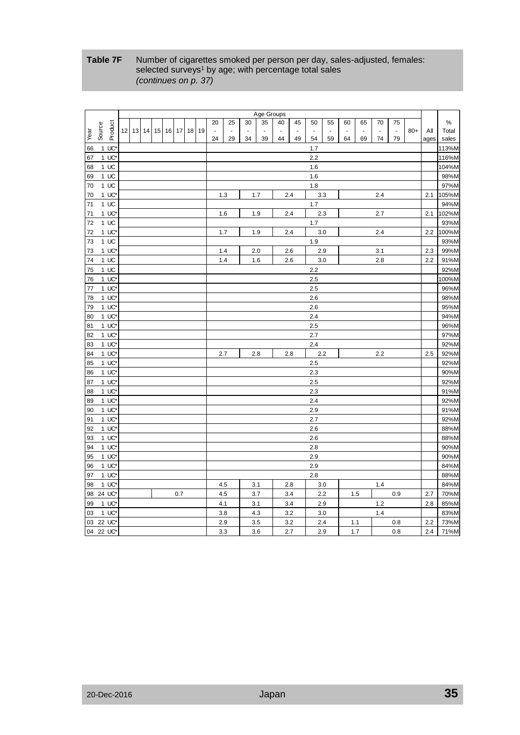# <span id="page-34-0"></span>**Table 7F** Number of cigarettes smoked per person per day, sales-adjusted, females: selected surveys $^1$  by age; with percentage total sales *(continues on p. [37\)](#page-36-0)*

|                |                  |  |                         |  |  |  |  |        |     |     | Age Groups |         |     |                |     |                |     |     |        |       |      |       |
|----------------|------------------|--|-------------------------|--|--|--|--|--------|-----|-----|------------|---------|-----|----------------|-----|----------------|-----|-----|--------|-------|------|-------|
|                |                  |  |                         |  |  |  |  | 20     | 25  | 30  | 35         | 40      | 45  | 50             | 55  | 60             | 65  | 70  | 75     |       |      | $\%$  |
| Source<br>Year | Product          |  | 12 13 14 15 16 17 18 19 |  |  |  |  | $\Box$ |     |     |            | ä,      | ä,  | $\blacksquare$ |     | $\blacksquare$ |     |     | $\Box$ | $80+$ | All  | Total |
|                |                  |  |                         |  |  |  |  | 24     | 29  | 34  | 39         | 44      | 49  | 54             | 59  | 64             | 69  | 74  | 79     |       | ages | sales |
| 66             | $1$ UC*          |  |                         |  |  |  |  |        |     |     |            |         |     | 1.7            |     |                |     |     |        |       |      | 113%M |
| 67             | $1 \text{ UC}^*$ |  |                         |  |  |  |  |        |     |     |            |         |     | 2.2            |     |                |     |     |        |       |      | 116%M |
| 68             | 1UC              |  |                         |  |  |  |  |        |     |     |            |         |     | 1.6            |     |                |     |     |        |       |      | 104%M |
| 69             | 1 UC             |  |                         |  |  |  |  |        |     |     |            |         |     | 1.6            |     |                |     |     |        |       |      | 98%M  |
| 70             | 1 UC             |  |                         |  |  |  |  |        |     |     |            |         |     | 1.8            |     |                |     |     |        |       |      | 97%M  |
| 70             | 1 UC*            |  |                         |  |  |  |  |        | 1.3 |     | 1.7        |         | 2.4 |                | 3.3 |                |     | 2.4 |        |       | 2.1  | 105%M |
| 71             | $1$ UC           |  |                         |  |  |  |  |        |     |     |            |         |     | 1.7            |     |                |     |     |        |       |      | 94%M  |
| 71             | $1 \text{ UC}^*$ |  |                         |  |  |  |  |        | 1.6 |     | 1.9        |         | 2.4 |                | 2.3 |                |     | 2.7 |        |       | 2.1  | 102%M |
| 72             | 1UC              |  |                         |  |  |  |  |        |     |     |            |         |     | 1.7            |     |                |     |     |        |       |      | 93%M  |
| 72             | $1 \text{ UC}^*$ |  |                         |  |  |  |  |        | 1.7 |     | 1.9        |         | 2.4 |                | 3.0 |                |     | 2.4 |        |       | 2.2  | 100%M |
| 73             | 1 UC             |  |                         |  |  |  |  |        |     |     |            |         |     | 1.9            |     |                |     |     |        |       |      | 93%M  |
| 73             | 1 UC*            |  |                         |  |  |  |  |        | 1.4 |     | 2.0        |         | 2.6 |                | 2.9 |                |     | 3.1 |        |       | 2.3  | 99%M  |
| 74             | 1UC              |  |                         |  |  |  |  |        | 1.4 |     | 1.6        |         | 2.6 |                | 3.0 |                |     | 2.8 |        |       | 2.2  | 91%M  |
| 75             | 1 UC             |  |                         |  |  |  |  |        |     |     |            |         |     | 2.2            |     |                |     |     |        |       |      | 92%M  |
| 76             | $1 \text{ UC}^*$ |  |                         |  |  |  |  |        |     |     |            |         |     | 2.5            |     |                |     |     |        |       |      | 100%M |
| 77             | $1$ UC*          |  |                         |  |  |  |  |        |     |     |            |         |     | 2.5            |     |                |     |     |        |       |      | 96%M  |
| 78             | $1 \text{ UC}^*$ |  |                         |  |  |  |  |        |     |     |            |         |     | 2.6            |     |                |     |     |        |       |      | 98%M  |
| 79             | $1 \text{ UC}^*$ |  |                         |  |  |  |  |        |     |     |            |         |     | 2.6            |     |                |     |     |        |       |      | 95%M  |
| 80             | $1 \text{ UC}^*$ |  |                         |  |  |  |  |        |     |     |            |         |     | 2.4            |     |                |     |     |        |       |      | 94%M  |
| 81             | $1$ UC*          |  |                         |  |  |  |  |        |     |     |            |         |     | 2.5            |     |                |     |     |        |       |      | 96%M  |
| 82             | $1 \text{ UC}^*$ |  |                         |  |  |  |  |        |     |     |            |         |     | 2.7            |     |                |     |     |        |       |      | 97%M  |
| 83             | $1 \text{ UC}^*$ |  |                         |  |  |  |  |        |     |     |            |         |     | 2.4            |     |                |     |     |        |       |      | 92%M  |
| 84             | 1 UC*            |  |                         |  |  |  |  |        | 2.7 |     | 2.8        |         | 2.8 |                | 2.2 |                |     | 2.2 |        |       | 2.5  | 92%M  |
| 85             | $1$ UC*          |  |                         |  |  |  |  |        |     |     |            |         |     | 2.5            |     |                |     |     |        |       |      | 92%M  |
| 86             | 1 UC*            |  |                         |  |  |  |  |        |     |     |            |         |     | $2.3\,$        |     |                |     |     |        |       |      | 90%M  |
| 87             | $1$ UC*          |  |                         |  |  |  |  |        |     |     |            |         |     | 2.5            |     |                |     |     |        |       |      | 92%M  |
| 88             | $1 \text{ UC}^*$ |  |                         |  |  |  |  |        |     |     |            |         |     | 2.3            |     |                |     |     |        |       |      | 91%M  |
| 89             | 1 UC*            |  |                         |  |  |  |  |        |     |     |            |         |     | 2.4            |     |                |     |     |        |       |      | 92%M  |
| 90             | 1 UC*            |  |                         |  |  |  |  |        |     |     |            |         |     | 2.9            |     |                |     |     |        |       |      | 91%M  |
| 91             | $1 \text{ UC}^*$ |  |                         |  |  |  |  |        |     |     |            |         |     | 2.7            |     |                |     |     |        |       |      | 92%M  |
| 92             | $1$ UC*          |  |                         |  |  |  |  |        |     |     |            |         |     | 2.6            |     |                |     |     |        |       |      | 88%M  |
| 93             | 1 UC*            |  |                         |  |  |  |  |        |     |     |            |         |     | 2.6            |     |                |     |     |        |       |      | 88%M  |
| 94             | 1 UC*            |  |                         |  |  |  |  |        |     |     |            |         |     | 2.8            |     |                |     |     |        |       |      | 90%M  |
| 95             | $1 \text{ UC}^*$ |  |                         |  |  |  |  |        |     |     | 2.9        |         |     |                |     |                |     |     | 90%M   |       |      |       |
| 96             | $1 \text{ UC}^*$ |  |                         |  |  |  |  |        |     |     |            |         |     | 2.9            |     |                |     |     |        |       |      | 84%M  |
| 97             | $1 \text{ UC}^*$ |  |                         |  |  |  |  |        |     |     |            | $2.8\,$ |     |                |     |                |     |     |        | 88%M  |      |       |
| 98             | $1 \text{ UC}^*$ |  |                         |  |  |  |  | 4.5    | 3.1 |     |            | 2.8     |     | 3.0            |     |                | 1.4 |     |        |       | 84%M |       |
| 98             | 24 UC*           |  | 0.7                     |  |  |  |  | 4.5    |     | 3.7 |            | 3.4     |     | 2.2            |     | 1.5            |     | 0.9 |        | 2.7   | 70%M |       |
| 99             | 1 UC*            |  |                         |  |  |  |  |        | 4.1 | 3.1 |            |         | 3.4 |                | 2.9 |                |     | 1.2 |        |       | 2.8  | 85%M  |
| 03             | $1 \text{ UC}^*$ |  |                         |  |  |  |  |        | 3.8 |     | 4.3        |         | 3.2 |                | 3.0 |                |     | 1.4 |        |       |      | 83%M  |
| 03             | 22 UC*           |  |                         |  |  |  |  |        | 2.9 |     | 3.5        |         | 3.2 |                | 2.4 | 1.1            |     |     | 0.8    |       | 2.2  | 73%M  |
| 04             | 22 UC*           |  |                         |  |  |  |  |        | 3.3 |     | 3.6        |         | 2.7 |                | 2.9 |                | 1.7 |     | 0.8    |       | 2.4  | 71%M  |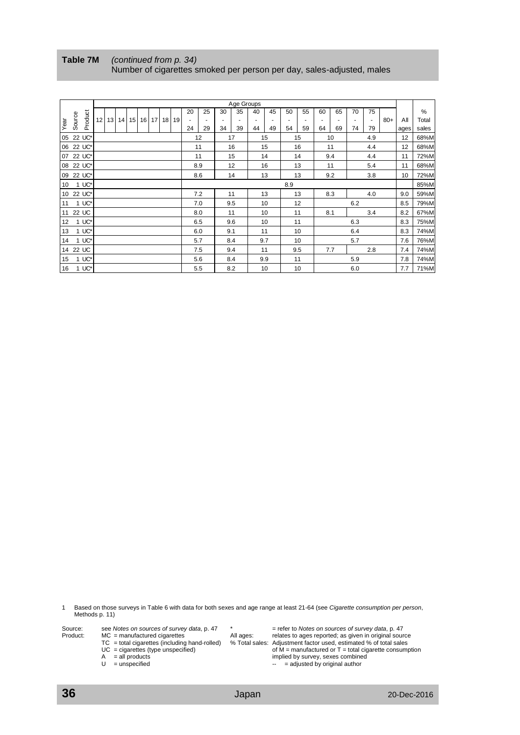<span id="page-35-0"></span>

| Table 7M | (continued from p. 34)                                                |
|----------|-----------------------------------------------------------------------|
|          | Number of cigarettes smoked per person per day, sales-adjusted, males |

|      |           |         |  |  |          |  |  |  |     |                        |     |     |     | Age Groups |     |     |     |     |     |     |     |     |       |      |       |
|------|-----------|---------|--|--|----------|--|--|--|-----|------------------------|-----|-----|-----|------------|-----|-----|-----|-----|-----|-----|-----|-----|-------|------|-------|
|      |           | Product |  |  |          |  |  |  |     |                        | 20  | 25  | 30  | 35         | 40  | 45  | 50  | 55  | 60  | 65  | 70  | 75  |       |      | %     |
| Year | Source    |         |  |  | 12 13 14 |  |  |  |     | 15   16   17   18   19 |     |     | ٠   |            |     |     | ٠   |     |     |     |     | ٠   | $80+$ | All  | Total |
|      |           |         |  |  |          |  |  |  |     |                        | 24  | 29  | 34  | 39         | 44  | 49  | 54  | 59  | 64  | 69  | 74  | 79  |       | ages | sales |
|      | 05 22 UC* |         |  |  |          |  |  |  |     |                        |     | 12  |     | 17         |     | 15  |     | 15  |     | 10  |     | 4.9 |       | 12   | 68%M  |
|      | 06 22 UC* |         |  |  |          |  |  |  |     |                        | 11  |     |     | 16         |     | 15  |     | 16  |     | 11  |     | 4.4 |       | 12   | 68%M  |
|      | 07 22 UC* |         |  |  |          |  |  |  |     |                        | 11  |     |     | 15         |     | 14  |     | 14  |     | 9.4 |     | 4.4 |       | 11   | 72%M  |
|      | 08 22 UC* |         |  |  |          |  |  |  |     |                        | 8.9 |     |     | 12         |     | 16  |     | 13  |     | 11  |     | 5.4 |       | 11   | 68%M  |
|      | 09 22 UC* |         |  |  |          |  |  |  |     |                        | 8.6 |     | 14  |            | 13  |     | 13  |     | 9.2 |     | 3.8 |     | 10    | 72%M |       |
| 10   |           | $1$ UC* |  |  |          |  |  |  |     |                        |     |     |     |            | 8.9 |     |     |     |     |     |     |     | 85%M  |      |       |
|      | 10 22 UC* |         |  |  |          |  |  |  |     | 7.2                    |     | 11  |     | 13         |     | 13  |     | 8.3 |     | 4.0 |     | 9.0 | 59%M  |      |       |
| 11   |           | $1$ UC* |  |  |          |  |  |  |     |                        |     | 7.0 |     | 9.5        |     | 10  |     | 12  |     |     | 6.2 |     |       | 8.5  | 79%M  |
|      | 11 22 UC  |         |  |  |          |  |  |  |     | 8.0                    |     | 11  |     | 10         |     | 11  | 8.1 |     |     | 3.4 |     | 8.2 | 67%M  |      |       |
| 12   |           | $1$ UC* |  |  |          |  |  |  |     |                        | 6.5 |     |     | 9.6        |     | 10  |     | 11  |     |     | 6.3 |     |       | 8.3  | 75%M  |
| 13   |           | $1$ UC* |  |  |          |  |  |  |     | 6.0                    |     | 9.1 |     | 11         |     | 10  |     |     | 6.4 |     |     | 8.3 | 74%M  |      |       |
| 14   |           | $1$ UC* |  |  |          |  |  |  | 5.7 |                        |     | 8.4 | 9.7 |            |     | 10  |     |     | 5.7 |     |     | 7.6 | 76%M  |      |       |
|      | 14 22 UC  |         |  |  |          |  |  |  |     | 7.5                    |     | 9.4 |     | 11         |     | 9.5 |     | 7.7 |     | 2.8 |     | 7.4 | 74%M  |      |       |
| 15   |           | $1$ UC* |  |  |          |  |  |  | 5.6 |                        |     | 8.4 |     | 9.9        |     | 11  |     |     | 5.9 |     |     | 7.8 | 74%M  |      |       |
| 16   |           | $1$ UC* |  |  |          |  |  |  |     |                        |     | 5.5 |     | 8.2        |     | 10  |     | 10  |     |     | 6.0 |     |       | 7.7  | 71%M  |

1 Based on those surveys in Table 6 with data for both sexes and age range at least 21-64 (see *Cigarette consumption per person*, Methods p. 11)

| Source:  |   | see Notes on sources of survey data, p. 47      |           | $=$ refer to Notes on sources of survey data, p. 47               |
|----------|---|-------------------------------------------------|-----------|-------------------------------------------------------------------|
| Product: |   | $MC =$ manufactured cigarettes                  | All ages: | relates to ages reported; as given in original source             |
|          |   | $TC = total$ cigarettes (including hand-rolled) |           | % Total sales: Adjustment factor used, estimated % of total sales |
|          |   | $UC = \text{cigareftes}$ (type unspecified)     |           | of $M =$ manufactured or $T =$ total cigarette consumption        |
|          | A | $=$ all products                                |           | implied by survey, sexes combined                                 |
|          |   | $=$ unspecified                                 |           | $-$ = adjusted by original author                                 |
|          |   |                                                 |           |                                                                   |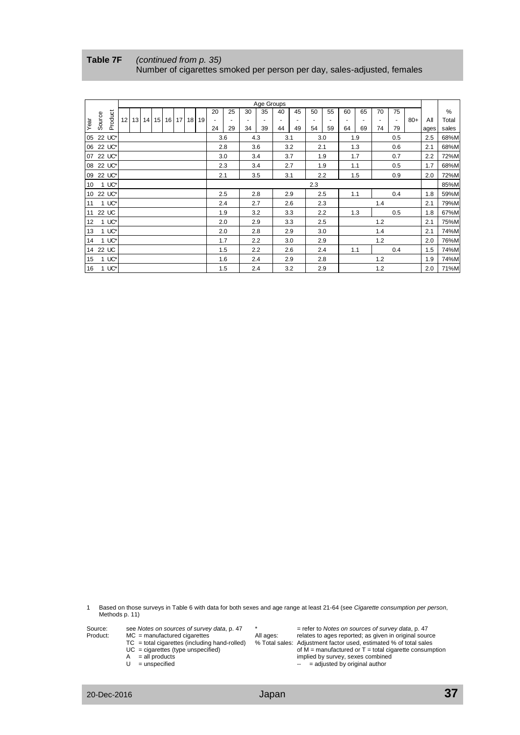<span id="page-36-0"></span>

| Table 7F | (continued from p. 35)                                                  |
|----------|-------------------------------------------------------------------------|
|          | Number of cigarettes smoked per person per day, sales-adjusted, females |

|      |           |                 |  |  |                |  |  |                 |  |         |                          |     |                          | Age Groups |     |                |     |     |     |     |     |                          |       |      |               |
|------|-----------|-----------------|--|--|----------------|--|--|-----------------|--|---------|--------------------------|-----|--------------------------|------------|-----|----------------|-----|-----|-----|-----|-----|--------------------------|-------|------|---------------|
|      |           |                 |  |  |                |  |  |                 |  |         | 20                       | 25  | 30                       | 35         | 40  | 45             | 50  | 55  | 60  | 65  | 70  | 75                       |       |      | $\frac{0}{0}$ |
| Vear | Source    | Product         |  |  | 12 13 14 15 16 |  |  | 17 <sup>1</sup> |  | 18   19 | $\overline{\phantom{a}}$ |     | $\overline{\phantom{a}}$ |            | -   | $\overline{a}$ |     |     |     |     |     | $\overline{\phantom{a}}$ | $80+$ | All  | Total         |
|      |           |                 |  |  |                |  |  |                 |  |         | 24                       | 29  | 34                       | 39         | 44  | 49             | 54  | 59  | 64  | 69  | 74  | 79                       |       | ages | sales         |
|      | 05 22 UC* |                 |  |  |                |  |  |                 |  |         |                          | 3.6 |                          | 4.3        |     | 3.1            |     | 3.0 |     | 1.9 |     | 0.5                      |       | 2.5  | 68%M          |
|      | 06 22 UC* |                 |  |  |                |  |  |                 |  |         |                          | 2.8 |                          | 3.6        |     | 3.2            |     | 2.1 |     | 1.3 |     | 0.6                      |       | 2.1  | 68%M          |
|      | 07 22 UC* |                 |  |  |                |  |  |                 |  |         |                          | 3.0 |                          | 3.4        |     | 3.7            |     | 1.9 |     | 1.7 |     | 0.7                      |       | 2.2  | 72%M          |
|      | 08 22 UC* |                 |  |  |                |  |  |                 |  |         |                          | 2.3 |                          | 3.4        |     | 2.7            |     | 1.9 |     | 1.1 |     | 0.5                      |       | 1.7  | 68%M          |
|      | 09 22 UC* |                 |  |  |                |  |  |                 |  |         |                          | 2.1 |                          | 3.5        |     | 3.1            |     | 2.2 |     | 1.5 |     | 0.9                      |       | 2.0  | 72%M          |
| 10   |           | $1$ UC*         |  |  |                |  |  |                 |  |         |                          |     |                          |            | 2.3 |                |     |     |     |     |     |                          | 85%M  |      |               |
| 10   |           | 22 UC*          |  |  |                |  |  |                 |  | 2.5     |                          | 2.8 |                          | 2.9        |     | 2.5            |     | 1.1 |     | 0.4 |     | 1.8                      | 59%M  |      |               |
| 11   |           | $1$ UC*         |  |  |                |  |  |                 |  |         | 2.4                      |     | 2.7                      |            | 2.6 |                | 2.3 |     |     | 1.4 |     |                          | 2.1   | 79%M |               |
| 11   |           | 22 UC           |  |  |                |  |  |                 |  | 1.9     |                          | 3.2 |                          | 3.3        |     | 2.2            |     | 1.3 |     | 0.5 |     | 1.8                      | 67%M  |      |               |
| 12   |           | $1$ UC*         |  |  |                |  |  |                 |  |         |                          | 2.0 |                          | 2.9        |     | 3.3            |     | 2.5 |     |     | 1.2 |                          |       | 2.1  | 75%M          |
| 13   |           | $1^{\circ}$ UC* |  |  |                |  |  |                 |  | 2.0     |                          | 2.8 |                          | 2.9        |     | 3.0            |     |     | 1.4 |     |     | 2.1                      | 74%M  |      |               |
| 14   |           | $1$ UC*         |  |  |                |  |  |                 |  | 1.7     |                          | 2.2 |                          | 3.0        |     | 2.9            |     |     | 1.2 |     |     | 2.0                      | 76%M  |      |               |
|      | 14 22 UC  |                 |  |  |                |  |  |                 |  | 1.5     |                          | 2.2 |                          | 2.6        |     | 2.4            |     | 1.1 |     | 0.4 |     | 1.5                      | 74%M  |      |               |
| 15   |           | $1$ UC*         |  |  |                |  |  |                 |  |         | 1.6                      |     | 2.4                      |            | 2.9 |                | 2.8 |     |     | 1.2 |     |                          | 1.9   | 74%M |               |
| 16   |           | $1UC^*$         |  |  |                |  |  |                 |  |         |                          | 1.5 |                          | 2.4        |     | 3.2            |     | 2.9 |     |     | 1.2 |                          |       | 2.0  | 71%M          |

1 Based on those surveys in Table 6 with data for both sexes and age range at least 21-64 (see *Cigarette consumption per person*, Methods p. 11)

| see Notes on sources of survey data, p. 47      |           | $=$ refer to Notes on sources of survey data, p. 47               |
|-------------------------------------------------|-----------|-------------------------------------------------------------------|
| $MC$ = manufactured cigarettes                  | All ages: | relates to ages reported; as given in original source             |
| $TC = total$ cigarettes (including hand-rolled) |           | % Total sales: Adjustment factor used, estimated % of total sales |
| $UC =$ cigarettes (type unspecified)            |           | of $M =$ manufactured or $T =$ total cigarette consump            |
|                                                 |           |                                                                   |

- 
- 

TC = total cigarettes (including hand-rolled) % Total sales: Adjustment factor used, estimated % of total sales  $UC =$  cigarettes (type unspecified)  $IO$  of M = manufactured or T = total cigarette consumption A = all products implied by survey, sexes combined U = unspecified -- = adjusted by original author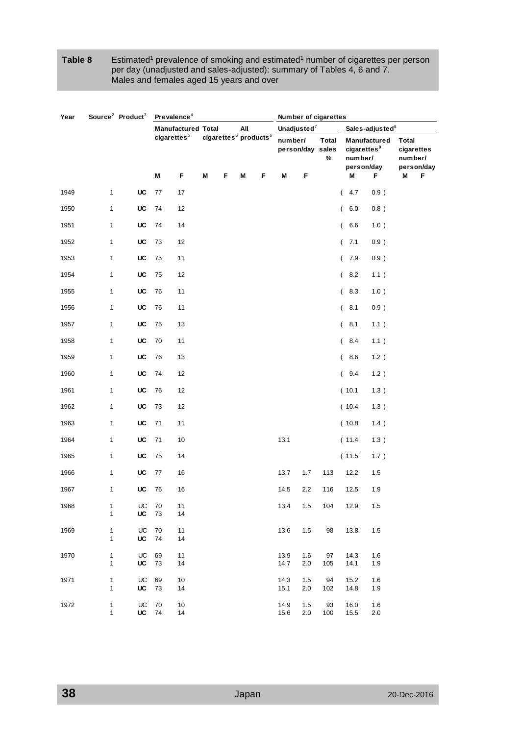<span id="page-37-0"></span>

| Table 8 | Estimated <sup>1</sup> prevalence of smoking and estimated <sup>1</sup> number of cigarettes per person |
|---------|---------------------------------------------------------------------------------------------------------|
|         | per day (unadjusted and sales-adjusted): summary of Tables 4, 6 and 7.                                  |
|         | Males and females aged 15 years and over                                                                |

| Year |              | Source <sup>2</sup> Product <sup>3</sup> | Prevalence <sup>4</sup> |                           |     | Number of cigarettes |                                               |                |              |                             |           |                    |                                                                  |            |                         |                          |
|------|--------------|------------------------------------------|-------------------------|---------------------------|-----|----------------------|-----------------------------------------------|----------------|--------------|-----------------------------|-----------|--------------------|------------------------------------------------------------------|------------|-------------------------|--------------------------|
|      |              |                                          |                         | <b>Manufactured Total</b> | All |                      |                                               | Unadjusted $7$ |              |                             |           | Sales-adjusted $8$ |                                                                  |            |                         |                          |
|      |              |                                          |                         | cigarettes <sup>5</sup>   |     |                      | cigarettes <sup>6</sup> products <sup>6</sup> |                |              | number/<br>person/day sales |           | <b>Total</b>       | Manufactured<br>cigarettes <sup>9</sup><br>number/<br>person/day |            | <b>Total</b><br>number/ | cigarettes<br>person/day |
|      |              |                                          | M                       | F                         | M   | F                    | M                                             | F              | M            | F                           |           |                    | M                                                                | F          | M                       | F                        |
| 1949 | 1            | UC                                       | 77                      | 17                        |     |                      |                                               |                |              |                             |           | $\overline{ }$     | 4.7                                                              | 0.9)       |                         |                          |
| 1950 | 1            | UC                                       | 74                      | 12                        |     |                      |                                               |                |              |                             |           | $\left($           | 6.0                                                              | 0.8)       |                         |                          |
| 1951 | 1            | UC                                       | 74                      | 14                        |     |                      |                                               |                |              |                             |           | (                  | $6.6\,$                                                          | 1.0)       |                         |                          |
| 1952 | 1            | UC                                       | 73                      | 12                        |     |                      |                                               |                |              |                             |           | $\left($           | 7.1                                                              | 0.9)       |                         |                          |
| 1953 | 1            | UC                                       | 75                      | 11                        |     |                      |                                               |                |              |                             |           | $\overline{(\ }$   | 7.9                                                              | 0.9)       |                         |                          |
| 1954 | 1            | UC                                       | 75                      | 12                        |     |                      |                                               |                |              |                             |           |                    | (8.2)                                                            | 1.1)       |                         |                          |
| 1955 | 1            | UC                                       | 76                      | 11                        |     |                      |                                               |                |              |                             |           |                    | (8.3)                                                            | 1.0)       |                         |                          |
| 1956 | 1            | UC                                       | 76                      | 11                        |     |                      |                                               |                |              |                             |           | (                  | 8.1                                                              | 0.9)       |                         |                          |
| 1957 | 1            | UC                                       | 75                      | 13                        |     |                      |                                               |                |              |                             |           | $\left($           | 8.1                                                              | 1.1)       |                         |                          |
| 1958 | 1            | UC                                       | $70\,$                  | 11                        |     |                      |                                               |                |              |                             |           | (                  | 8.4                                                              | 1.1)       |                         |                          |
| 1959 | 1            | UC                                       | 76                      | 13                        |     |                      |                                               |                |              |                             |           | $\left($           | 8.6                                                              | 1.2)       |                         |                          |
| 1960 | 1            | UC                                       | 74                      | 12                        |     |                      |                                               |                |              |                             |           | $\overline{(\ }$   | 9.4                                                              | 1.2)       |                         |                          |
| 1961 | 1            | UC                                       | 76                      | 12                        |     |                      |                                               |                |              |                             |           |                    | (10.1)                                                           | 1.3)       |                         |                          |
| 1962 | 1            | UC                                       | 73                      | 12                        |     |                      |                                               |                |              |                             |           |                    | (10.4)                                                           | 1.3)       |                         |                          |
| 1963 | 1            | UC                                       | $71$                    | 11                        |     |                      |                                               |                |              |                             |           |                    | (10.8)                                                           | 1.4)       |                         |                          |
| 1964 | $\mathbf{1}$ | UC                                       | $71$                    | 10                        |     |                      |                                               |                | 13.1         |                             |           |                    | (11.4)                                                           | 1.3)       |                         |                          |
| 1965 | 1            | UC                                       | 75                      | 14                        |     |                      |                                               |                |              |                             |           |                    | (11.5                                                            | 1.7)       |                         |                          |
| 1966 | 1            | UC                                       | $77 \,$                 | 16                        |     |                      |                                               |                | 13.7         | 1.7                         | 113       |                    | 12.2                                                             | $1.5\,$    |                         |                          |
| 1967 | 1            | UC                                       | 76                      | 16                        |     |                      |                                               |                | 14.5         | 2.2                         | 116       |                    | 12.5                                                             | 1.9        |                         |                          |
| 1968 | 1<br>1       | UC<br>UC                                 | 70<br>73                | 11<br>14                  |     |                      |                                               |                | 13.4         | 1.5                         | 104       |                    | 12.9                                                             | $1.5$      |                         |                          |
| 1969 | $\mathbf{1}$ | UC                                       | 70                      | 11                        |     |                      |                                               |                | 13.6         | 1.5                         | 98        |                    | 13.8                                                             | 1.5        |                         |                          |
|      | 1            | UC                                       | 74                      | 14                        |     |                      |                                               |                |              |                             |           |                    |                                                                  |            |                         |                          |
| 1970 | 1<br>1       | UC<br>UC                                 | 69<br>73                | 11<br>14                  |     |                      |                                               |                | 13.9<br>14.7 | 1.6<br>2.0                  | 97<br>105 |                    | 14.3<br>14.1                                                     | 1.6<br>1.9 |                         |                          |
|      |              |                                          |                         |                           |     |                      |                                               |                |              |                             |           |                    |                                                                  |            |                         |                          |
| 1971 | 1<br>1       | UC<br>UC                                 | 69<br>73                | 10<br>14                  |     |                      |                                               |                | 14.3<br>15.1 | 1.5<br>$2.0\,$              | 94<br>102 |                    | 15.2<br>14.8                                                     | 1.6<br>1.9 |                         |                          |
| 1972 | 1            | UC                                       | 70                      | 10                        |     |                      |                                               |                | 14.9         | $1.5\,$                     | 93        |                    | 16.0                                                             | 1.6        |                         |                          |
|      | $\mathbf{1}$ | UC                                       | 74                      | 14                        |     |                      |                                               |                | 15.6         | $2.0\,$                     | 100       |                    | 15.5                                                             | 2.0        |                         |                          |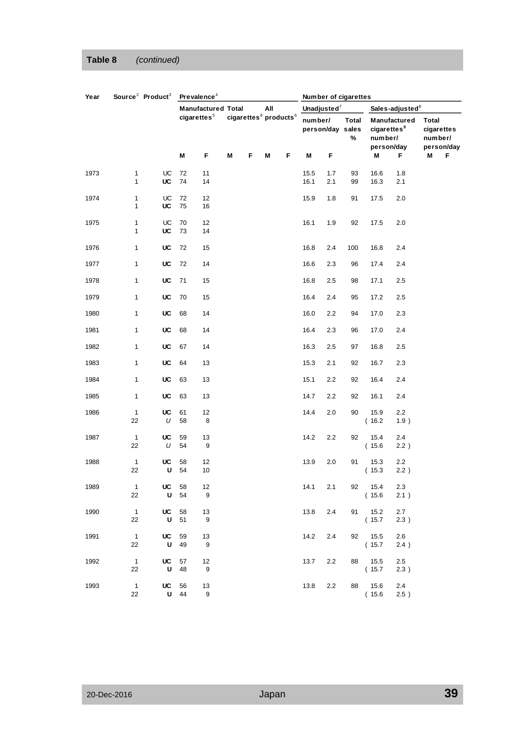# **Table 8** *(continued)*

| Year |                      | Source <sup>2</sup> Product <sup>3</sup> Prevalence <sup>4</sup> |          |                           |   |                                               |     |   |              |                | Number of cigarettes           |                                                  |                             |                                              |
|------|----------------------|------------------------------------------------------------------|----------|---------------------------|---|-----------------------------------------------|-----|---|--------------|----------------|--------------------------------|--------------------------------------------------|-----------------------------|----------------------------------------------|
|      |                      |                                                                  |          | <b>Manufactured Total</b> |   |                                               | All |   |              | Unadjusted $7$ |                                |                                                  | Sales-adjusted <sup>8</sup> |                                              |
|      |                      |                                                                  |          | $cigare$ ttes $5$         |   | cigarettes <sup>6</sup> products <sup>6</sup> |     |   | number/      |                | Total<br>person/day sales<br>% | cigarettes <sup>9</sup><br>number/<br>person/day | Manufactured                | Total<br>cigarettes<br>number/<br>person/day |
|      |                      |                                                                  | M        | F                         | M | F                                             | M   | F | M            | F              |                                | M                                                | F                           | M<br>F                                       |
| 1973 | 1<br>$\mathbf{1}$    | UC<br>UC                                                         | 72<br>74 | 11<br>14                  |   |                                               |     |   | 15.5<br>16.1 | 1.7<br>2.1     | 93<br>99                       | 16.6<br>16.3                                     | 1.8<br>2.1                  |                                              |
| 1974 | 1<br>1               | UC<br>UC                                                         | 72<br>75 | 12<br>16                  |   |                                               |     |   | 15.9         | 1.8            | 91                             | 17.5                                             | 2.0                         |                                              |
| 1975 | $\mathbf{1}$<br>1    | $\sf UC$<br>UC                                                   | 70<br>73 | 12<br>14                  |   |                                               |     |   | 16.1         | 1.9            | 92                             | 17.5                                             | 2.0                         |                                              |
| 1976 | 1                    | UC                                                               | 72       | 15                        |   |                                               |     |   | 16.8         | 2.4            | 100                            | 16.8                                             | 2.4                         |                                              |
| 1977 | $\mathbf{1}$         | UC                                                               | 72       | 14                        |   |                                               |     |   | 16.6         | 2.3            | 96                             | 17.4                                             | 2.4                         |                                              |
| 1978 | 1                    | UC                                                               | 71       | 15                        |   |                                               |     |   | 16.8         | 2.5            | 98                             | 17.1                                             | 2.5                         |                                              |
| 1979 | $\mathbf{1}$         | UC                                                               | 70       | 15                        |   |                                               |     |   | 16.4         | 2.4            | 95                             | 17.2                                             | 2.5                         |                                              |
| 1980 | $\mathbf{1}$         | UC                                                               | 68       | 14                        |   |                                               |     |   | 16.0         | 2.2            | 94                             | 17.0                                             | 2.3                         |                                              |
| 1981 | $\mathbf{1}$         | UC                                                               | 68       | 14                        |   |                                               |     |   | 16.4         | 2.3            | 96                             | 17.0                                             | 2.4                         |                                              |
| 1982 | 1                    | UC                                                               | 67       | 14                        |   |                                               |     |   | 16.3         | 2.5            | 97                             | 16.8                                             | 2.5                         |                                              |
| 1983 | $\mathbf{1}$         | UC                                                               | 64       | 13                        |   |                                               |     |   | 15.3         | 2.1            | 92                             | 16.7                                             | 2.3                         |                                              |
| 1984 | $\mathbf{1}$         | UC                                                               | 63       | 13                        |   |                                               |     |   | 15.1         | 2.2            | 92                             | 16.4                                             | 2.4                         |                                              |
| 1985 | $\mathbf{1}$         | UC                                                               | 63       | 13                        |   |                                               |     |   | 14.7         | 2.2            | 92                             | 16.1                                             | 2.4                         |                                              |
| 1986 | 1<br>22              | UC<br>U                                                          | 61<br>58 | 12<br>8                   |   |                                               |     |   | 14.4         | 2.0            | 90                             | 15.9<br>(16.2)                                   | 2.2<br>1.9)                 |                                              |
| 1987 | $\mathbf{1}$<br>22   | UC<br>U                                                          | 59<br>54 | 13<br>9                   |   |                                               |     |   | 14.2         | 2.2            | 92                             | 15.4<br>(15.6)                                   | 2.4<br>2.2)                 |                                              |
| 1988 | $\mathbf{1}$<br>22   | UC<br>U                                                          | 58<br>54 | 12<br>10                  |   |                                               |     |   | 13.9         | 2.0            | 91                             | 15.3<br>(15.3)                                   | $2.2\,$<br>2.2)             |                                              |
| 1989 | $\mathbf{1}$<br>22   | UC<br>U                                                          | 58<br>54 | 12<br>$\boldsymbol{9}$    |   |                                               |     |   | 14.1         | 2.1            | 92                             | 15.4<br>(15.6)                                   | 2.3<br>2.1)                 |                                              |
| 1990 | $\overline{1}$<br>22 | UC<br>U                                                          | 58<br>51 | 13<br>9                   |   |                                               |     |   | 13.8         | 2.4            | 91                             | 15.2<br>(15.7)                                   | 2.7<br>2.3)                 |                                              |
| 1991 | $\mathbf{1}$<br>22   | UC<br>U                                                          | 59<br>49 | 13<br>9                   |   |                                               |     |   | 14.2         | 2.4            | 92                             | 15.5<br>(15.7)                                   | 2.6<br>2.4)                 |                                              |
| 1992 | $\overline{1}$<br>22 | <b>UC</b><br>U                                                   | 57<br>48 | 12<br>9                   |   |                                               |     |   | 13.7         | 2.2            | 88                             | 15.5<br>(15.7)                                   | 2.5<br>2.3)                 |                                              |
| 1993 | $\mathbf{1}$<br>22   | UC<br>U                                                          | 56<br>44 | 13<br>9                   |   |                                               |     |   | 13.8         | 2.2            | 88                             | 15.6<br>(15.6)                                   | 2.4<br>2.5)                 |                                              |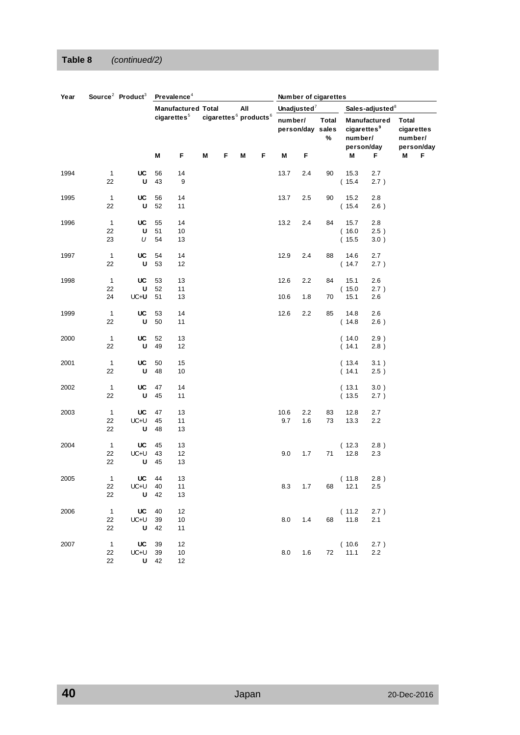# **Table 8** *(continued/2)*

| Year |                            | Source <sup>2</sup> Product <sup>3</sup> Prevalence <sup>4</sup> |                |                           |   |                                               |     |   |             |                  | Number of cigarettes |                                    |                             |                                              |
|------|----------------------------|------------------------------------------------------------------|----------------|---------------------------|---|-----------------------------------------------|-----|---|-------------|------------------|----------------------|------------------------------------|-----------------------------|----------------------------------------------|
|      |                            |                                                                  |                | <b>Manufactured Total</b> |   |                                               | All |   |             | Unadjusted $7$   |                      |                                    | Sales-adjusted <sup>8</sup> |                                              |
|      |                            |                                                                  |                | $cigare$ ttes $5$         |   | cigarettes <sup>6</sup> products <sup>6</sup> |     |   | number/     | person/day sales | Total<br>%           | cigarettes <sup>9</sup><br>number/ | Manufactured<br>person/day  | Total<br>cigarettes<br>number/<br>person/day |
|      |                            |                                                                  | M              | F                         | M | F                                             | M   | F | M           | F                |                      | M                                  | F                           | M<br>F                                       |
| 1994 | $\mathbf{1}$<br>22         | UC<br>U                                                          | 56<br>43       | 14<br>9                   |   |                                               |     |   | 13.7        | 2.4              | 90                   | 15.3<br>(15.4)                     | 2.7<br>2.7)                 |                                              |
| 1995 | $\mathbf{1}$<br>22         | UC<br>U                                                          | 56<br>52       | 14<br>11                  |   |                                               |     |   | 13.7        | 2.5              | 90                   | 15.2<br>(15.4)                     | 2.8<br>2.6)                 |                                              |
| 1996 | $\mathbf{1}$<br>22<br>23   | UC<br>U<br>U                                                     | 55<br>51<br>54 | 14<br>10<br>13            |   |                                               |     |   | 13.2        | 2.4              | 84                   | 15.7<br>(16.0)<br>(15.5)           | 2.8<br>2.5)<br>3.0)         |                                              |
| 1997 | $\mathbf{1}$<br>22         | UC<br>U                                                          | 54<br>53       | 14<br>12                  |   |                                               |     |   | 12.9        | 2.4              | 88                   | 14.6<br>(14.7)                     | 2.7<br>2.7)                 |                                              |
| 1998 | $\mathbf{1}$               | UC                                                               | 53             | 13                        |   |                                               |     |   | 12.6        | 2.2              | 84                   | 15.1                               | 2.6                         |                                              |
|      | 22<br>24                   | U<br>$UC+U$                                                      | 52<br>51       | 11<br>13                  |   |                                               |     |   | 10.6        | 1.8              | 70                   | (15.0)<br>15.1                     | 2.7)<br>2.6                 |                                              |
| 1999 | $\mathbf{1}$<br>22         | UC<br>U                                                          | 53<br>50       | 14<br>11                  |   |                                               |     |   | 12.6        | 2.2              | 85                   | 14.8<br>(14.8)                     | 2.6<br>2.6)                 |                                              |
| 2000 | $\mathbf{1}$<br>22         | UC<br>U                                                          | 52<br>49       | 13<br>12                  |   |                                               |     |   |             |                  |                      | (14.0)<br>(14.1)                   | 2.9)<br>2.8)                |                                              |
| 2001 | $\mathbf{1}$<br>22         | UC<br>U                                                          | 50<br>48       | 15<br>10                  |   |                                               |     |   |             |                  |                      | (13.4)<br>(14.1)                   | 3.1)<br>2.5)                |                                              |
| 2002 | $\mathbf{1}$<br>22         | UC<br>U                                                          | 47<br>45       | 14<br>11                  |   |                                               |     |   |             |                  |                      | (13.1)<br>(13.5)                   | $3.0$ )<br>2.7)             |                                              |
| 2003 | $\mathbf{1}$<br>22<br>22   | UC<br>$UC+U$<br>U                                                | 47<br>45<br>48 | 13<br>11<br>13            |   |                                               |     |   | 10.6<br>9.7 | 2.2<br>1.6       | 83<br>73             | 12.8<br>13.3                       | 2.7<br>2.2                  |                                              |
| 2004 | $\mathbf{1}$<br>22<br>22   | UC<br>UC+U<br>U                                                  | 45<br>43<br>45 | 13<br>12<br>13            |   |                                               |     |   | 9.0         | 1.7              | 71                   | (12.3)<br>12.8                     | 2.8)<br>2.3                 |                                              |
| 2005 | 1<br>22<br>22              | UC<br>UC+U<br>U                                                  | 44<br>40<br>42 | 13<br>11<br>13            |   |                                               |     |   | 8.3         | 1.7              | 68                   | (11.8)<br>12.1                     | 2.8)<br>2.5                 |                                              |
| 2006 | $\overline{1}$<br>22<br>22 | <b>UC</b><br>UC+U<br>$\mathbf{U}$                                | 40<br>39<br>42 | 12<br>10<br>11            |   |                                               |     |   | 8.0         | 1.4              | 68                   | (11.2)<br>11.8                     | 2.7)<br>2.1                 |                                              |
| 2007 | $\overline{1}$<br>22<br>22 | <b>UC</b><br>UC+U<br>U                                           | 39<br>39<br>42 | 12<br>10<br>12            |   |                                               |     |   | 8.0         | 1.6              |                      | (10.6)<br>72 11.1                  | 2.7)<br>$2.2\,$             |                                              |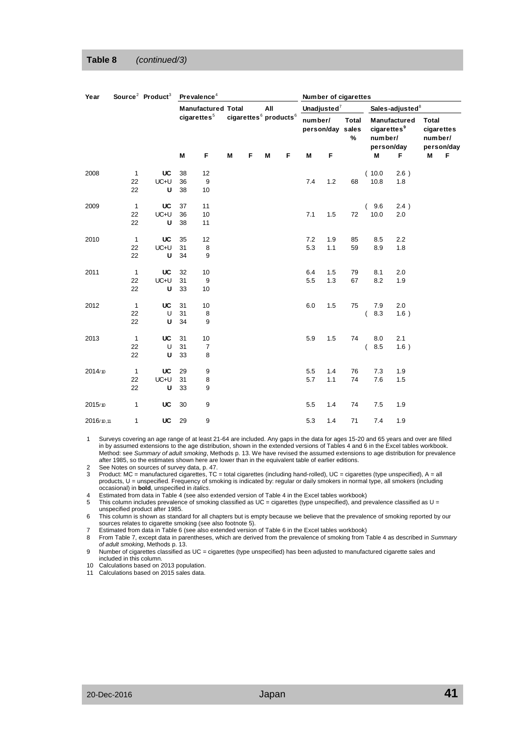#### **Table 8** *(continued/3)*

| Year       |                          | Source <sup>2</sup> Product <sup>3</sup> Prevalence <sup>4</sup> |                |                           |   |                                               |     |   |            |                 | Number of cigarettes                  |                                |                                                                  |                                                     |
|------------|--------------------------|------------------------------------------------------------------|----------------|---------------------------|---|-----------------------------------------------|-----|---|------------|-----------------|---------------------------------------|--------------------------------|------------------------------------------------------------------|-----------------------------------------------------|
|            |                          |                                                                  |                | <b>Manufactured Total</b> |   |                                               | All |   |            | Unadjusted $^7$ |                                       |                                | Sales-adjusted <sup>8</sup>                                      |                                                     |
|            |                          |                                                                  |                | cigarettes <sup>5</sup>   |   | cigarettes <sup>6</sup> products <sup>6</sup> |     |   | number/    |                 | <b>Total</b><br>person/day sales<br>% |                                | Manufactured<br>cigarettes <sup>9</sup><br>number/<br>person/day | <b>Total</b><br>cigarettes<br>number/<br>person/day |
|            |                          |                                                                  | M              | F                         | M | F                                             | M   | F | M          | F               |                                       | M                              | F                                                                | M<br>F                                              |
| 2008       | $\mathbf{1}$<br>22<br>22 | UC<br>UC+U<br>U                                                  | 38<br>36<br>38 | 12<br>9<br>10             |   |                                               |     |   | 7.4        | 1.2             | 68                                    | (10.0)<br>10.8                 | 2.6)<br>1.8                                                      |                                                     |
| 2009       | $\mathbf{1}$<br>22<br>22 | <b>UC</b><br>UC+U<br>U                                           | 37<br>36<br>38 | 11<br>10<br>11            |   |                                               |     |   | 7.1        | 1.5             | 72                                    | 9.6<br>(<br>10.0               | 2.4)<br>2.0                                                      |                                                     |
| 2010       | $\mathbf{1}$<br>22<br>22 | <b>UC</b><br>$UC+U$<br>U                                         | 35<br>31<br>34 | 12<br>8<br>9              |   |                                               |     |   | 7.2<br>5.3 | 1.9<br>1.1      | 85<br>59                              | 8.5<br>8.9                     | 2.2<br>1.8                                                       |                                                     |
| 2011       | $\mathbf{1}$<br>22<br>22 | UC<br>$UC+U$<br>U                                                | 32<br>31<br>33 | 10<br>9<br>10             |   |                                               |     |   | 6.4<br>5.5 | 1.5<br>1.3      | 79<br>67                              | 8.1<br>8.2                     | 2.0<br>1.9                                                       |                                                     |
| 2012       | $\mathbf{1}$<br>22<br>22 | UC<br>U<br>U                                                     | 31<br>31<br>34 | 10<br>8<br>9              |   |                                               |     |   | 6.0        | 1.5             | 75                                    | 7.9<br>8.3<br>$\overline{(\ }$ | 2.0<br>1.6)                                                      |                                                     |
| 2013       | $\mathbf{1}$<br>22<br>22 | <b>UC</b><br>U<br>U                                              | 31<br>31<br>33 | 10<br>$\overline{7}$<br>8 |   |                                               |     |   | 5.9        | 1.5             | 74                                    | 8.0<br>8.5<br>(                | 2.1<br>1.6)                                                      |                                                     |
| 2014/10    | $\mathbf{1}$<br>22<br>22 | <b>UC</b><br>UC+U<br>U                                           | 29<br>31<br>33 | 9<br>8<br>9               |   |                                               |     |   | 5.5<br>5.7 | 1.4<br>1.1      | 76<br>74                              | 7.3<br>7.6                     | 1.9<br>1.5                                                       |                                                     |
| 2015/10    | $\mathbf{1}$             | <b>UC</b>                                                        | 30             | 9                         |   |                                               |     |   | 5.5        | 1.4             | 74                                    | 7.5                            | 1.9                                                              |                                                     |
| 2016/10,11 | 1                        | UC                                                               | 29             | 9                         |   |                                               |     |   | 5.3        | 1.4             | 71                                    | 7.4                            | 1.9                                                              |                                                     |

1 Surveys covering an age range of at least 21-64 are included. Any gaps in the data for ages 15-20 and 65 years and over are filled in by assumed extensions to the age distribution, shown in the extended versions of Tables 4 and 6 in the Excel tables workbook. Method: see *Summary of adult smoking*, Methods p. 13. We have revised the assumed extensions to age distribution for prevalence after 1985, so the estimates shown here are lower than in the equivalent table of earlier editions.

2 See [Notes on sources of survey](#page-46-1) data, p. [47.](#page-46-1)

3 Product: MC = manufactured cigarettes, TC = total cigarettes (including hand-rolled), UC = cigarettes (type unspecified), A = all products, U = unspecified. Frequency of smoking is indicated by: regular or daily smokers in normal type, all smokers (including occasional) in **bold**, unspecified in *italics*.

4 Estimated from data in Table 4 (see also extended version of Table 4 in the Excel tables workbook)<br>5 This column includes prevalence of smoking classified as UC = cigarettes (type unspecified), and p

This column includes prevalence of smoking classified as UC = cigarettes (type unspecified), and prevalence classified as U = unspecified product after 1985.

6 This column is shown as standard for all chapters but is empty because we believe that the prevalence of smoking reported by our sources relates to cigarette smoking (see also footnote 5).

7 Estimated from data in Table 6 (see also extended version of Table 6 in the Excel tables workbook)

8 From Table 7, except data in parentheses, which are derived from the prevalence of smoking from Table 4 as described in *Summary of adult smoking*, Methods p. 13.

9 Number of cigarettes classified as UC = cigarettes (type unspecified) has been adjusted to manufactured cigarette sales and included in this column.

10 Calculations based on 2013 population.<br>11 Calculations based on 2015 sales data

Calculations based on 2015 sales data.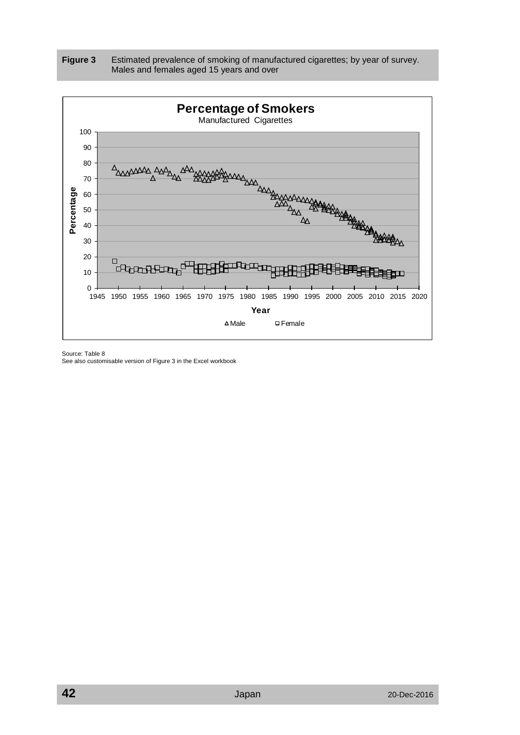<span id="page-41-0"></span>



Source: Table 8

See also customisable version of Figure 3 in the Excel workbook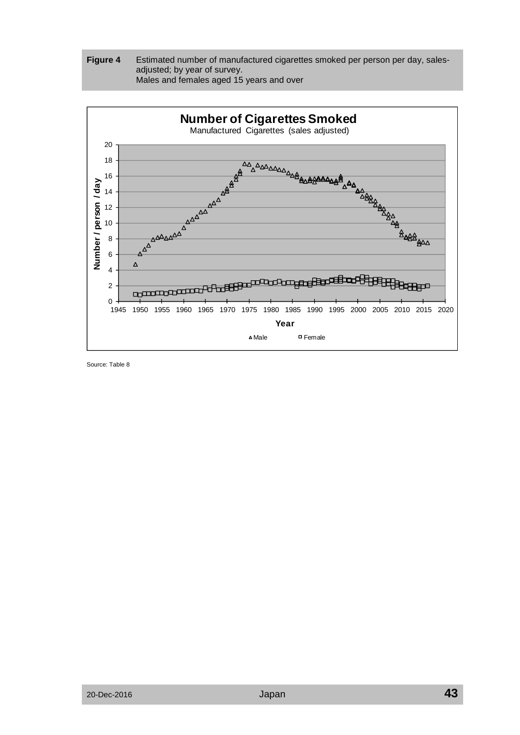<span id="page-42-0"></span>



Source: Table 8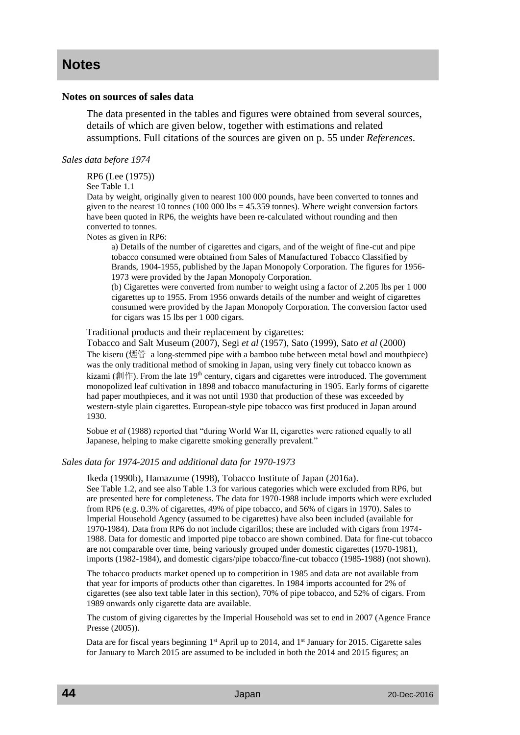# <span id="page-43-0"></span>**Notes**

# <span id="page-43-1"></span>**Notes on sources of sales data**

The data presented in the tables and figures were obtained from several sources, details of which are given below, together with estimations and related assumptions. Full citations of the sources are given on p. [55](#page-54-0) under *[References](#page-54-0)*.

## <span id="page-43-2"></span>*Sales data before 1974*

RP6 (Lee (1975))

See Table 1.1

Data by weight, originally given to nearest 100 000 pounds, have been converted to tonnes and given to the nearest 10 tonnes (100 000 lbs  $=$  45.359 tonnes). Where weight conversion factors have been quoted in RP6, the weights have been re-calculated without rounding and then converted to tonnes.

Notes as given in RP6:

a) Details of the number of cigarettes and cigars, and of the weight of fine-cut and pipe tobacco consumed were obtained from Sales of Manufactured Tobacco Classified by Brands, 1904-1955, published by the Japan Monopoly Corporation. The figures for 1956- 1973 were provided by the Japan Monopoly Corporation.

(b) Cigarettes were converted from number to weight using a factor of 2.205 lbs per 1 000 cigarettes up to 1955. From 1956 onwards details of the number and weight of cigarettes consumed were provided by the Japan Monopoly Corporation. The conversion factor used for cigars was 15 lbs per 1 000 cigars.

Traditional products and their replacement by cigarettes:

Tobacco and Salt Museum (2007), Segi *et al* (1957), Sato (1999), Sato *et al* (2000) The kiseru (煙管 a long-stemmed pipe with a bamboo tube between metal bowl and mouthpiece) was the only traditional method of smoking in Japan, using very finely cut tobacco known as kizami (創作). From the late 19<sup>th</sup> century, cigars and cigarettes were introduced. The government monopolized leaf cultivation in 1898 and tobacco manufacturing in 1905. Early forms of cigarette had paper mouthpieces, and it was not until 1930 that production of these was exceeded by western-style plain cigarettes. European-style pipe tobacco was first produced in Japan around 1930.

<span id="page-43-4"></span>Sobue *et al* (1988) reported that "during World War II, cigarettes were rationed equally to all Japanese, helping to make cigarette smoking generally prevalent."

# <span id="page-43-3"></span>*Sales data for 1974-2015 and additional data for 1970-1973*

Ikeda (1990b), Hamazume (1998), Tobacco Institute of Japan (2016a).

See Table 1.2, and see also Table 1.3 for various categories which were excluded from RP6, but are presented here for completeness. The data for 1970-1988 include imports which were excluded from RP6 (e.g. 0.3% of cigarettes, 49% of pipe tobacco, and 56% of cigars in 1970). Sales to Imperial Household Agency (assumed to be cigarettes) have also been included (available for 1970-1984). Data from RP6 do not include cigarillos; these are included with cigars from 1974- 1988. Data for domestic and imported pipe tobacco are shown combined. Data for fine-cut tobacco are not comparable over time, being variously grouped under domestic cigarettes (1970-1981), imports (1982-1984), and domestic cigars/pipe tobacco/fine-cut tobacco (1985-1988) (not shown).

The tobacco products market opened up to competition in 1985 and data are not available from that year for imports of products other than cigarettes. In 1984 imports accounted for 2% of cigarettes (see also text table later in this section), 70% of pipe tobacco, and 52% of cigars. From 1989 onwards only cigarette data are available.

The custom of giving cigarettes by the Imperial Household was set to end in 2007 (Agence France Presse (2005)).

Data are for fiscal years beginning 1<sup>st</sup> April up to 2014, and 1<sup>st</sup> January for 2015. Cigarette sales for January to March 2015 are assumed to be included in both the 2014 and 2015 figures; an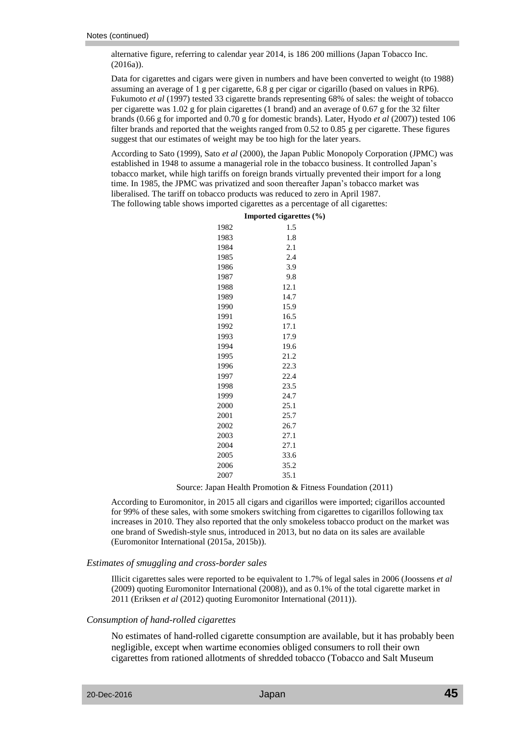alternative figure, referring to calendar year 2014, is 186 200 millions (Japan Tobacco Inc. (2016a)).

Data for cigarettes and cigars were given in numbers and have been converted to weight (to 1988) assuming an average of 1 g per cigarette, 6.8 g per cigar or cigarillo (based on values in RP6). Fukumoto *et al* (1997) tested 33 cigarette brands representing 68% of sales: the weight of tobacco per cigarette was 1.02 g for plain cigarettes (1 brand) and an average of 0.67 g for the 32 filter brands (0.66 g for imported and 0.70 g for domestic brands). Later, Hyodo *et al* (2007)) tested 106 filter brands and reported that the weights ranged from 0.52 to 0.85 g per cigarette. These figures suggest that our estimates of weight may be too high for the later years.

According to Sato (1999), Sato *et al* (2000), the Japan Public Monopoly Corporation (JPMC) was established in 1948 to assume a managerial role in the tobacco business. It controlled Japan's tobacco market, while high tariffs on foreign brands virtually prevented their import for a long time. In 1985, the JPMC was privatized and soon thereafter Japan's tobacco market was liberalised. The tariff on tobacco products was reduced to zero in April 1987.

The following table shows imported cigarettes as a percentage of all cigarettes:

| 1982 | 1.5  |
|------|------|
| 1983 | 1.8  |
| 1984 | 2.1  |
| 1985 | 2.4  |
| 1986 | 3.9  |
| 1987 | 9.8  |
| 1988 | 12.1 |
| 1989 | 14.7 |
| 1990 | 15.9 |
| 1991 | 16.5 |
| 1992 | 17.1 |
| 1993 | 17.9 |
| 1994 | 19.6 |
| 1995 | 21.2 |
| 1996 | 22.3 |
| 1997 | 22.4 |
| 1998 | 23.5 |
| 1999 | 24.7 |
| 2000 | 25.1 |
| 2001 | 25.7 |
| 2002 | 26.7 |
| 2003 | 27.1 |
| 2004 | 27.1 |
| 2005 | 33.6 |
| 2006 | 35.2 |
| 2007 | 35.1 |

#### **Imported cigarettes (%)**

Source: Japan Health Promotion & Fitness Foundation (2011)

According to Euromonitor, in 2015 all cigars and cigarillos were imported; cigarillos accounted for 99% of these sales, with some smokers switching from cigarettes to cigarillos following tax increases in 2010. They also reported that the only smokeless tobacco product on the market was one brand of Swedish-style snus, introduced in 2013, but no data on its sales are available (Euromonitor International (2015a, 2015b)).

#### <span id="page-44-0"></span>*Estimates of smuggling and cross-border sales*

Illicit cigarettes sales were reported to be equivalent to 1.7% of legal sales in 2006 (Joossens *et al* (2009) quoting Euromonitor International (2008)), and as 0.1% of the total cigarette market in 2011 (Eriksen *et al* (2012) quoting Euromonitor International (2011)).

#### <span id="page-44-1"></span>*Consumption of hand-rolled cigarettes*

No estimates of hand-rolled cigarette consumption are available, but it has probably been negligible, except when wartime economies obliged consumers to roll their own cigarettes from rationed allotments of shredded tobacco (Tobacco and Salt Museum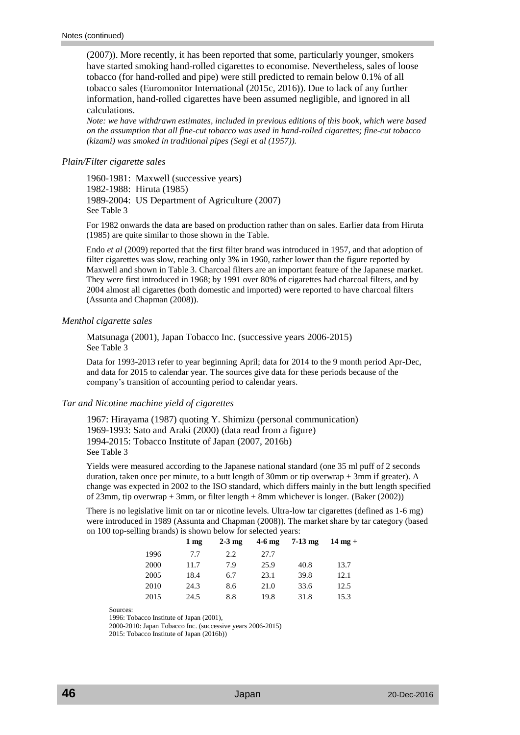(2007)). More recently, it has been reported that some, particularly younger, smokers have started smoking hand-rolled cigarettes to economise. Nevertheless, sales of loose tobacco (for hand-rolled and pipe) were still predicted to remain below 0.1% of all tobacco sales (Euromonitor International (2015c, 2016)). Due to lack of any further information, hand-rolled cigarettes have been assumed negligible, and ignored in all calculations.

*Note: we have withdrawn estimates, included in previous editions of this book, which were based on the assumption that all fine-cut tobacco was used in hand-rolled cigarettes; fine-cut tobacco (kizami) was smoked in traditional pipes (Segi et al (1957)).*

#### <span id="page-45-0"></span>*Plain/Filter cigarette sales*

1960-1981: Maxwell (successive years) 1982-1988: Hiruta (1985) 1989-2004: US Department of Agriculture (2007) See Table 3

For 1982 onwards the data are based on production rather than on sales. Earlier data from Hiruta (1985) are quite similar to those shown in the Table.

Endo *et al* (2009) reported that the first filter brand was introduced in 1957, and that adoption of filter cigarettes was slow, reaching only 3% in 1960, rather lower than the figure reported by Maxwell and shown in Table 3. Charcoal filters are an important feature of the Japanese market. They were first introduced in 1968; by 1991 over 80% of cigarettes had charcoal filters, and by 2004 almost all cigarettes (both domestic and imported) were reported to have charcoal filters (Assunta and Chapman (2008)).

#### <span id="page-45-1"></span>*Menthol cigarette sales*

Matsunaga (2001), Japan Tobacco Inc. (successive years 2006-2015) See Table 3

Data for 1993-2013 refer to year beginning April; data for 2014 to the 9 month period Apr-Dec, and data for 2015 to calendar year. The sources give data for these periods because of the company's transition of accounting period to calendar years.

# <span id="page-45-2"></span>*Tar and Nicotine machine yield of cigarettes*

1967: Hirayama (1987) quoting Y. Shimizu (personal communication) 1969-1993: Sato and Araki (2000) (data read from a figure) 1994-2015: Tobacco Institute of Japan (2007, 2016b) See Table 3

Yields were measured according to the Japanese national standard (one 35 ml puff of 2 seconds duration, taken once per minute, to a butt length of 30mm or tip overwrap + 3mm if greater). A change was expected in 2002 to the ISO standard, which differs mainly in the butt length specified of 23mm, tip overwrap + 3mm, or filter length + 8mm whichever is longer. (Baker (2002))

There is no legislative limit on tar or nicotine levels. Ultra-low tar cigarettes (defined as 1-6 mg) were introduced in 1989 (Assunta and Chapman (2008)). The market share by tar category (based on 100 top-selling brands) is shown below for selected years:

|      | 1 <sub>mg</sub> | $2-3$ mg | $4-6$ mg | $7-13$ mg | $14 \text{ mg} +$ |
|------|-----------------|----------|----------|-----------|-------------------|
| 1996 | 7.7             | 2.2      | 27.7     |           |                   |
| 2000 | 11.7            | 7.9      | 25.9     | 40.8      | 13.7              |
| 2005 | 18.4            | 6.7      | 23.1     | 39.8      | 12.1              |
| 2010 | 24.3            | 8.6      | 21.0     | 33.6      | 12.5              |
| 2015 | 24.5            | 8.8      | 19.8     | 31.8      | 15.3              |

Sources:

1996: Tobacco Institute of Japan (2001),

2000-2010: Japan Tobacco Inc. (successive years 2006-2015)

2015: Tobacco Institute of Japan (2016b))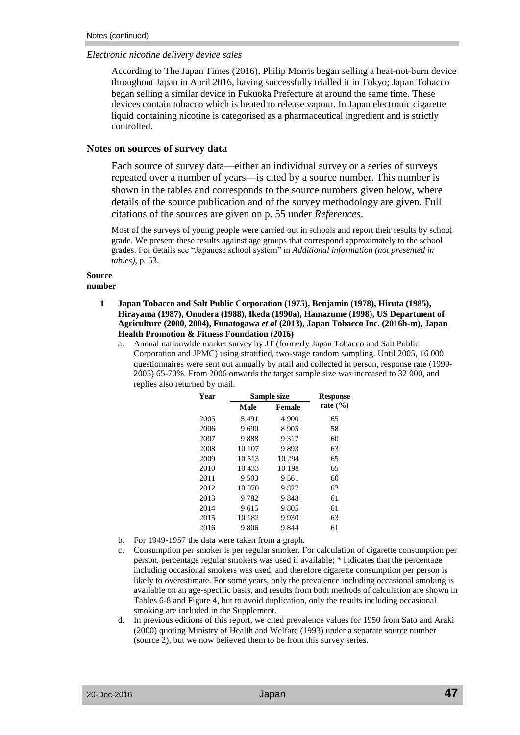## <span id="page-46-0"></span>*Electronic nicotine delivery device sales*

According to The Japan Times (2016), Philip Morris began selling a heat-not-burn device throughout Japan in April 2016, having successfully trialled it in Tokyo; Japan Tobacco began selling a similar device in Fukuoka Prefecture at around the same time. These devices contain tobacco which is heated to release vapour. In Japan electronic cigarette liquid containing nicotine is categorised as a pharmaceutical ingredient and is strictly controlled.

# <span id="page-46-1"></span>**Notes on sources of survey data**

Each source of survey data—either an individual survey or a series of surveys repeated over a number of years—is cited by a source number. This number is shown in the tables and corresponds to the source numbers given below, where details of the source publication and of the survey methodology are given. Full citations of the sources are given on p. [55](#page-54-0) under *[References](#page-54-0)*.

Most of the surveys of young people were carried out in schools and report their results by school grade. We present these results against age groups that correspond approximately to the school grades. For details see "Japanese school system" in *[Additional information \(not presented in](#page-52-0)  [tables\)](#page-52-0)*, p. [53.](#page-52-0)

#### **Source number**

- **1 Japan Tobacco and Salt Public Corporation (1975), Benjamin (1978), Hiruta (1985), Hirayama (1987), Onodera (1988), Ikeda (1990a), Hamazume (1998), US Department of Agriculture (2000, 2004), Funatogawa** *et al* **(2013), Japan Tobacco Inc. (2016b-m), Japan Health Promotion & Fitness Foundation (2016)**
	- a. Annual nationwide market survey by JT (formerly Japan Tobacco and Salt Public Corporation and JPMC) using stratified, two-stage random sampling. Until 2005, 16 000 questionnaires were sent out annually by mail and collected in person, response rate (1999- 2005) 65-70%. From 2006 onwards the target sample size was increased to 32 000, and replies also returned by mail.

| Year |        | Sample size   | <b>Response</b> |
|------|--------|---------------|-----------------|
|      | Male   | <b>Female</b> | rate $(\% )$    |
| 2005 | 5491   | 4 900         | 65              |
| 2006 | 9690   | 8 9 0 5       | 58              |
| 2007 | 9888   | 9 3 1 7       | 60              |
| 2008 | 10 107 | 9893          | 63              |
| 2009 | 10.513 | 10 294        | 65              |
| 2010 | 10 433 | 10 198        | 65              |
| 2011 | 9.503  | 9.561         | 60              |
| 2012 | 10 070 | 9827          | 62              |
| 2013 | 9782   | 9848          | 61              |
| 2014 | 9615   | 9 805         | 61              |
| 2015 | 10 182 | 9 9 3 0       | 63              |
| 2016 | 9806   | 9844          | 61              |

- b. For 1949-1957 the data were taken from a graph.
- c. Consumption per smoker is per regular smoker. For calculation of cigarette consumption per person, percentage regular smokers was used if available; \* indicates that the percentage including occasional smokers was used, and therefore cigarette consumption per person is likely to overestimate. For some years, only the prevalence including occasional smoking is available on an age-specific basis, and results from both methods of calculation are shown in Tables 6-8 and Figure 4, but to avoid duplication, only the results including occasional smoking are included in the Supplement.
- d. In previous editions of this report, we cited prevalence values for 1950 from Sato and Araki (2000) quoting Ministry of Health and Welfare (1993) under a separate source number (source 2), but we now believed them to be from this survey series.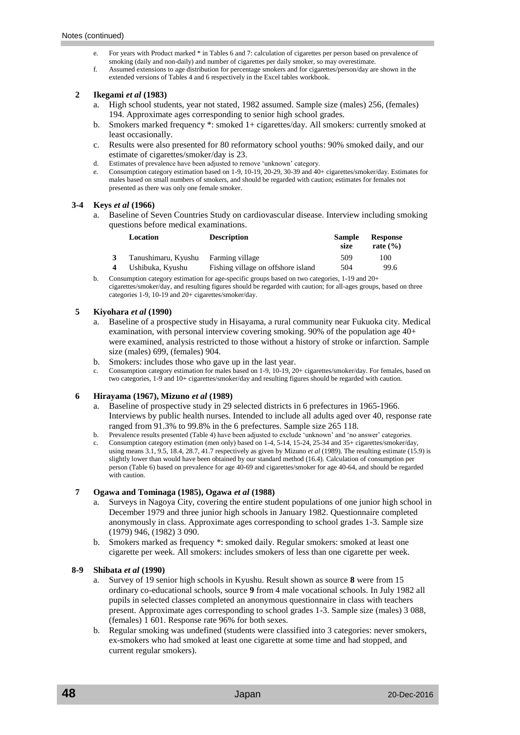- For years with Product marked \* in Tables 6 and 7: calculation of cigarettes per person based on prevalence of smoking (daily and non-daily) and number of cigarettes per daily smoker, so may overestimate.
- f. Assumed extensions to age distribution for percentage smokers and for cigarettes/person/day are shown in the extended versions of Tables 4 and 6 respectively in the Excel tables workbook.

#### **2 Ikegami** *et al* **(1983)**

- a. High school students, year not stated, 1982 assumed. Sample size (males) 256, (females) 194. Approximate ages corresponding to senior high school grades.
- b. Smokers marked frequency \*: smoked 1+ cigarettes/day. All smokers: currently smoked at least occasionally.
- c. Results were also presented for 80 reformatory school youths: 90% smoked daily, and our estimate of cigarettes/smoker/day is 23.
- d. Estimates of prevalence have been adjusted to remove 'unknown' category.
- e. Consumption category estimation based on 1-9, 10-19, 20-29, 30-39 and 40+ cigarettes/smoker/day. Estimates for males based on small numbers of smokers, and should be regarded with caution; estimates for females not presented as there was only one female smoker.

#### **3-4 Keys** *et al* **(1966)**

a. Baseline of Seven Countries Study on cardiovascular disease. Interview including smoking questions before medical examinations.

|   | Location            | <b>Description</b>                 | <b>Sample</b><br>size | <b>Response</b><br>rate $(\% )$ |
|---|---------------------|------------------------------------|-----------------------|---------------------------------|
|   | Tanushimaru, Kyushu | Farming village                    | 509                   | 100                             |
| 4 | Ushibuka, Kyushu    | Fishing village on offshore island | 504                   | 99.6                            |

b. Consumption category estimation for age-specific groups based on two categories, 1-19 and 20+ cigarettes/smoker/day, and resulting figures should be regarded with caution; for all-ages groups, based on three categories 1-9, 10-19 and 20+ cigarettes/smoker/day.

#### **5 Kiyohara** *et al* **(1990)**

- a. Baseline of a prospective study in Hisayama, a rural community near Fukuoka city. Medical examination, with personal interview covering smoking. 90% of the population age 40+ were examined, analysis restricted to those without a history of stroke or infarction. Sample size (males) 699, (females) 904.
- b. Smokers: includes those who gave up in the last year.
- c. Consumption category estimation for males based on 1-9, 10-19, 20+ cigarettes/smoker/day. For females, based on two categories, 1-9 and 10+ cigarettes/smoker/day and resulting figures should be regarded with caution.

#### **6 Hirayama (1967), Mizuno** *et al* **(1989)**

- a. Baseline of prospective study in 29 selected districts in 6 prefectures in 1965-1966. Interviews by public health nurses. Intended to include all adults aged over 40, response rate ranged from 91.3% to 99.8% in the 6 prefectures. Sample size 265 118.
- b. Prevalence results presented (Table 4) have been adjusted to exclude 'unknown' and 'no answer' categories.
- c. Consumption category estimation (men only) based on 1-4, 5-14, 15-24, 25-34 and 35+ cigarettes/smoker/day, using means 3.1, 9.5, 18.4, 28.7, 41.7 respectively as given by Mizuno *et al* (1989). The resulting estimate (15.9) is slightly lower than would have been obtained by our standard method (16.4). Calculation of consumption per person (Table 6) based on prevalence for age 40-69 and cigarettes/smoker for age 40-64, and should be regarded with caution.

#### **7 Ogawa and Tominaga (1985), Ogawa** *et al* **(1988)**

- a. Surveys in Nagoya City, covering the entire student populations of one junior high school in December 1979 and three junior high schools in January 1982. Questionnaire completed anonymously in class. Approximate ages corresponding to school grades 1-3. Sample size (1979) 946, (1982) 3 090.
- b. Smokers marked as frequency \*: smoked daily. Regular smokers: smoked at least one cigarette per week. All smokers: includes smokers of less than one cigarette per week.

#### **8-9 Shibata** *et al* **(1990)**

- a. Survey of 19 senior high schools in Kyushu. Result shown as source **8** were from 15 ordinary co-educational schools, source **9** from 4 male vocational schools. In July 1982 all pupils in selected classes completed an anonymous questionnaire in class with teachers present. Approximate ages corresponding to school grades 1-3. Sample size (males) 3 088, (females) 1 601. Response rate 96% for both sexes.
- b. Regular smoking was undefined (students were classified into 3 categories: never smokers, ex-smokers who had smoked at least one cigarette at some time and had stopped, and current regular smokers).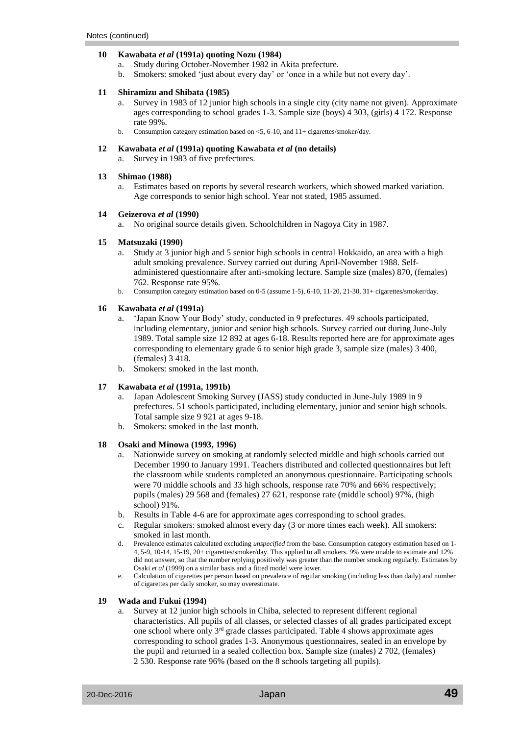#### **10 Kawabata** *et al* **(1991a) quoting Nozu (1984)**

- a. Study during October-November 1982 in Akita prefecture.
- b. Smokers: smoked 'just about every day' or 'once in a while but not every day'.

#### **11 Shiramizu and Shibata (1985)**

- Survey in 1983 of 12 junior high schools in a single city (city name not given). Approximate ages corresponding to school grades 1-3. Sample size (boys) 4 303, (girls) 4 172. Response rate 99%.
- b. Consumption category estimation based on <5, 6-10, and 11+ cigarettes/smoker/day.

#### **12 Kawabata** *et al* **(1991a) quoting Kawabata** *et al* **(no details)**

a. Survey in 1983 of five prefectures.

#### **13 Shimao (1988)**

a. Estimates based on reports by several research workers, which showed marked variation. Age corresponds to senior high school. Year not stated, 1985 assumed.

#### **14 Geizerova** *et al* **(1990)**

a. No original source details given. Schoolchildren in Nagoya City in 1987.

#### **15 Matsuzaki (1990)**

- a. Study at 3 junior high and 5 senior high schools in central Hokkaido, an area with a high adult smoking prevalence. Survey carried out during April-November 1988. Selfadministered questionnaire after anti-smoking lecture. Sample size (males) 870, (females) 762. Response rate 95%.
- b. Consumption category estimation based on 0-5 (assume 1-5), 6-10, 11-20, 21-30, 31+ cigarettes/smoker/day.

#### **16 Kawabata** *et al* **(1991a)**

- a. 'Japan Know Your Body' study, conducted in 9 prefectures. 49 schools participated, including elementary, junior and senior high schools. Survey carried out during June-July 1989. Total sample size 12 892 at ages 6-18. Results reported here are for approximate ages corresponding to elementary grade 6 to senior high grade 3, sample size (males) 3 400, (females) 3 418.
- b. Smokers: smoked in the last month.

#### **17 Kawabata** *et al* **(1991a, 1991b)**

- Japan Adolescent Smoking Survey (JASS) study conducted in June-July 1989 in 9 prefectures. 51 schools participated, including elementary, junior and senior high schools. Total sample size 9 921 at ages 9-18.
- b. Smokers: smoked in the last month.

#### **18 Osaki and Minowa (1993, 1996)**

- a. Nationwide survey on smoking at randomly selected middle and high schools carried out December 1990 to January 1991. Teachers distributed and collected questionnaires but left the classroom while students completed an anonymous questionnaire. Participating schools were 70 middle schools and 33 high schools, response rate 70% and 66% respectively; pupils (males) 29 568 and (females) 27 621, response rate (middle school) 97%, (high school) 91%.
- b. Results in Table 4-6 are for approximate ages corresponding to school grades.
- c. Regular smokers: smoked almost every day (3 or more times each week). All smokers: smoked in last month.
- d. Prevalence estimates calculated excluding *unspecified* from the base. Consumption category estimation based on 1- 4, 5-9, 10-14, 15-19, 20+ cigarettes/smoker/day. This applied to all smokers. 9% were unable to estimate and 12% did not answer, so that the number replying positively was greater than the number smoking regularly. Estimates by Osaki *et al* (1999) on a similar basis and a fitted model were lower.
- e. Calculation of cigarettes per person based on prevalence of regular smoking (including less than daily) and number of cigarettes per daily smoker, so may overestimate.

#### **19 Wada and Fukui (1994)**

a. Survey at 12 junior high schools in Chiba, selected to represent different regional characteristics. All pupils of all classes, or selected classes of all grades participated except one school where only 3rd grade classes participated. Table 4 shows approximate ages corresponding to school grades 1-3. Anonymous questionnaires, sealed in an envelope by the pupil and returned in a sealed collection box. Sample size (males) 2 702, (females) 2 530. Response rate 96% (based on the 8 schools targeting all pupils).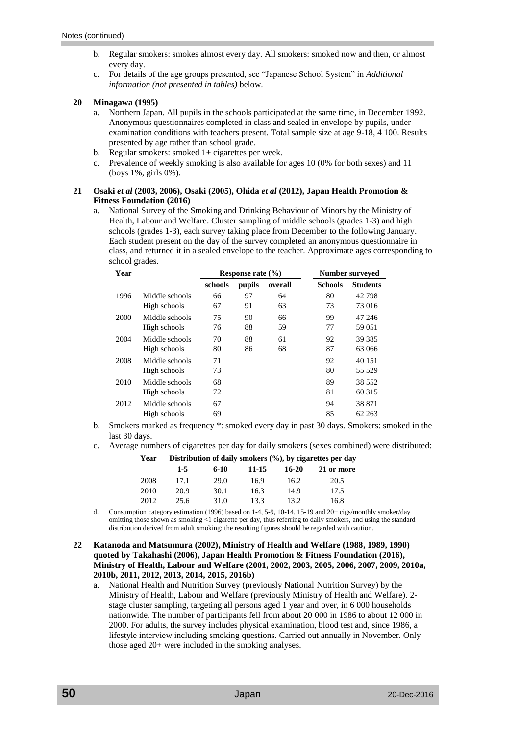- b. Regular smokers: smokes almost every day. All smokers: smoked now and then, or almost every day.
- c. For details of the age groups presented, see "Japanese School System" in *[Additional](#page-52-0)  [information \(not presented in tables\)](#page-52-0)* below.

#### **20 Minagawa (1995)**

- a. Northern Japan. All pupils in the schools participated at the same time, in December 1992. Anonymous questionnaires completed in class and sealed in envelope by pupils, under examination conditions with teachers present. Total sample size at age 9-18, 4 100. Results presented by age rather than school grade.
- b. Regular smokers: smoked 1+ cigarettes per week.
- c. Prevalence of weekly smoking is also available for ages 10 (0% for both sexes) and 11 (boys 1%, girls 0%).

#### **21 Osaki** *et al* **(2003, 2006), Osaki (2005), Ohida** *et al* **(2012), Japan Health Promotion & Fitness Foundation (2016)**

a. National Survey of the Smoking and Drinking Behaviour of Minors by the Ministry of Health, Labour and Welfare. Cluster sampling of middle schools (grades 1-3) and high schools (grades 1-3), each survey taking place from December to the following January. Each student present on the day of the survey completed an anonymous questionnaire in class, and returned it in a sealed envelope to the teacher. Approximate ages corresponding to school grades.

| Year |                |         | Response rate $(\% )$ |         | <b>Number surveyed</b> |                 |  |
|------|----------------|---------|-----------------------|---------|------------------------|-----------------|--|
|      |                | schools | pupils                | overall | <b>Schools</b>         | <b>Students</b> |  |
| 1996 | Middle schools | 66      | 97                    | 64      | 80                     | 42798           |  |
|      | High schools   | 67      | 91                    | 63      | 73                     | 73 016          |  |
| 2000 | Middle schools | 75      | 90                    | 66      | 99                     | 47 246          |  |
|      | High schools   | 76      | 88                    | 59      | 77                     | 59 051          |  |
| 2004 | Middle schools | 70      | 88                    | 61      | 92                     | 39 385          |  |
|      | High schools   | 80      | 86                    | 68      | 87                     | 63066           |  |
| 2008 | Middle schools | 71      |                       |         | 92                     | 40 151          |  |
|      | High schools   | 73      |                       |         | 80                     | 55 5 29         |  |
| 2010 | Middle schools | 68      |                       |         | 89                     | 38 552          |  |
|      | High schools   | 72      |                       |         | 81                     | 60 315          |  |
| 2012 | Middle schools | 67      |                       |         | 94                     | 38 871          |  |
|      | High schools   | 69      |                       |         | 85                     | 62 263          |  |

- b. Smokers marked as frequency \*: smoked every day in past 30 days. Smokers: smoked in the last 30 days.
- c. Average numbers of cigarettes per day for daily smokers (sexes combined) were distributed:

| Year |         |        |       |         | Distribution of daily smokers (%), by cigarettes per day |
|------|---------|--------|-------|---------|----------------------------------------------------------|
|      | $1 - 5$ | $6-10$ | 11-15 | $16-20$ | 21 or more                                               |
| 2008 | 17.1    | 29.0   | 16.9  | 16.2    | 20.5                                                     |
| 2010 | 20.9    | 30.1   | 16.3  | 14.9    | 17.5                                                     |
| 2012 | 25.6    | 31.0   | 13.3  | 13.2    | 16.8                                                     |

d. Consumption category estimation (1996) based on 1-4, 5-9, 10-14, 15-19 and 20+ cigs/monthly smoker/day omitting those shown as smoking <1 cigarette per day, thus referring to daily smokers, and using the standard distribution derived from adult smoking: the resulting figures should be regarded with caution.

#### **22 Katanoda and Matsumura (2002), Ministry of Health and Welfare (1988, 1989, 1990) quoted by Takahashi (2006), Japan Health Promotion & Fitness Foundation (2016), Ministry of Health, Labour and Welfare (2001, 2002, 2003, 2005, 2006, 2007, 2009, 2010a, 2010b, 2011, 2012, 2013, 2014, 2015, 2016b)**

a. National Health and Nutrition Survey (previously National Nutrition Survey) by the Ministry of Health, Labour and Welfare (previously Ministry of Health and Welfare). 2 stage cluster sampling, targeting all persons aged 1 year and over, in 6 000 households nationwide. The number of participants fell from about 20 000 in 1986 to about 12 000 in 2000. For adults, the survey includes physical examination, blood test and, since 1986, a lifestyle interview including smoking questions. Carried out annually in November. Only those aged 20+ were included in the smoking analyses.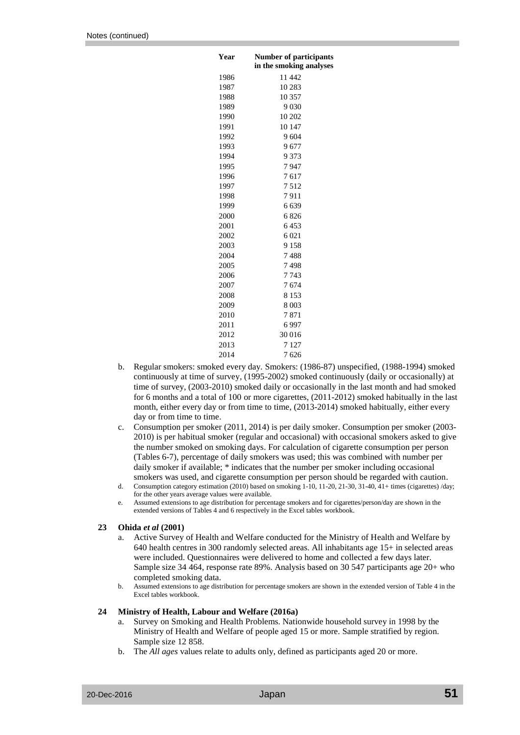| Year | <b>Number of participants</b> |
|------|-------------------------------|
|      | in the smoking analyses       |
| 1986 | 11 442                        |
| 1987 | 10 283                        |
| 1988 | 10 357                        |
| 1989 | 9 0 3 0                       |
| 1990 | 10 202                        |
| 1991 | 10 147                        |
| 1992 | 9604                          |
| 1993 | 9677                          |
| 1994 | 9 3 7 3                       |
| 1995 | 7947                          |
| 1996 | 7617                          |
| 1997 | 7512                          |
| 1998 | 7911                          |
| 1999 | 6639                          |
| 2000 | 6826                          |
| 2001 | 6453                          |
| 2002 | 6 0 21                        |
| 2003 | 9 1 5 8                       |
| 2004 | 7488                          |
| 2005 | 7498                          |
| 2006 | 7743                          |
| 2007 | 7674                          |
| 2008 | 8 1 5 3                       |
| 2009 | 8 0 0 3                       |
| 2010 | 7871                          |
| 2011 | 6997                          |
| 2012 | 30016                         |
| 2013 | 7 1 2 7                       |
| 2014 | 7626                          |

- b. Regular smokers: smoked every day. Smokers: (1986-87) unspecified, (1988-1994) smoked continuously at time of survey, (1995-2002) smoked continuously (daily or occasionally) at time of survey, (2003-2010) smoked daily or occasionally in the last month and had smoked for 6 months and a total of 100 or more cigarettes, (2011-2012) smoked habitually in the last month, either every day or from time to time, (2013-2014) smoked habitually, either every day or from time to time.
- c. Consumption per smoker (2011, 2014) is per daily smoker. Consumption per smoker (2003- 2010) is per habitual smoker (regular and occasional) with occasional smokers asked to give the number smoked on smoking days. For calculation of cigarette consumption per person (Tables 6-7), percentage of daily smokers was used; this was combined with number per daily smoker if available; \* indicates that the number per smoker including occasional smokers was used, and cigarette consumption per person should be regarded with caution.
- d. Consumption category estimation (2010) based on smoking 1-10, 11-20, 21-30, 31-40, 41+ times (cigarettes) /day; for the other years average values were available.
- e. Assumed extensions to age distribution for percentage smokers and for cigarettes/person/day are shown in the extended versions of Tables 4 and 6 respectively in the Excel tables workbook.

#### **23 Ohida** *et al* **(2001)**

- a. Active Survey of Health and Welfare conducted for the Ministry of Health and Welfare by 640 health centres in 300 randomly selected areas. All inhabitants age 15+ in selected areas were included. Questionnaires were delivered to home and collected a few days later. Sample size 34 464, response rate 89%. Analysis based on 30 547 participants age 20+ who completed smoking data.
- b. Assumed extensions to age distribution for percentage smokers are shown in the extended version of Table 4 in the Excel tables workbook.

#### **24 Ministry of Health, Labour and Welfare (2016a)**

- a. Survey on Smoking and Health Problems. Nationwide household survey in 1998 by the Ministry of Health and Welfare of people aged 15 or more. Sample stratified by region. Sample size 12 858.
- b. The *All ages* values relate to adults only, defined as participants aged 20 or more.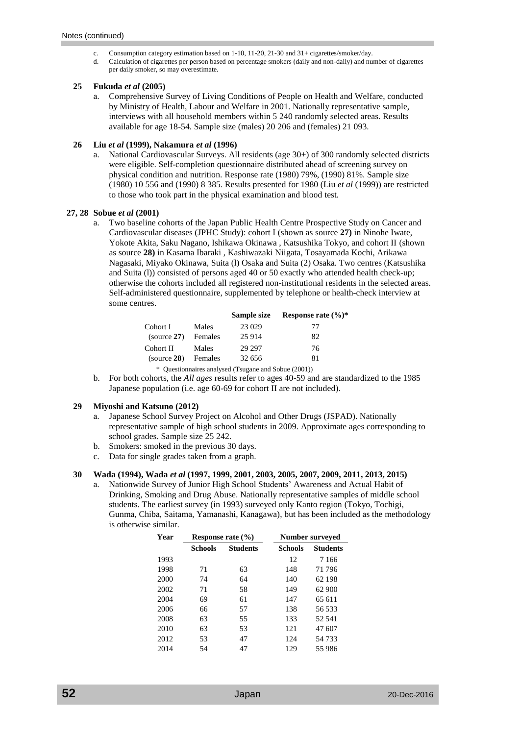- c. Consumption category estimation based on  $1-10$ ,  $11-20$ ,  $21-30$  and  $31+$  cigarettes/smoker/day.<br>d. Calculation of cigarettes per person based on percentage smokers (daily and non-daily) and nu
- d. Calculation of cigarettes per person based on percentage smokers (daily and non-daily) and number of cigarettes per daily smoker, so may overestimate.

#### **25 Fukuda** *et al* **(2005)**

a. Comprehensive Survey of Living Conditions of People on Health and Welfare, conducted by Ministry of Health, Labour and Welfare in 2001. Nationally representative sample, interviews with all household members within 5 240 randomly selected areas. Results available for age 18-54. Sample size (males) 20 206 and (females) 21 093.

# **26 Liu** *et al* **(1999), Nakamura** *et al* **(1996)**

a. National Cardiovascular Surveys. All residents (age 30+) of 300 randomly selected districts were eligible. Self-completion questionnaire distributed ahead of screening survey on physical condition and nutrition. Response rate (1980) 79%, (1990) 81%. Sample size (1980) 10 556 and (1990) 8 385. Results presented for 1980 (Liu *et al* (1999)) are restricted to those who took part in the physical examination and blood test.

#### **27, 28 Sobue** *et al* **(2001)**

a. Two baseline cohorts of the Japan Public Health Centre Prospective Study on Cancer and Cardiovascular diseases (JPHC Study): cohort I (shown as source **27)** in Ninohe Iwate, Yokote Akita, Saku Nagano, Ishikawa Okinawa , Katsushika Tokyo, and cohort II (shown as source **28)** in Kasama Ibaraki , Kashiwazaki Niigata, Tosayamada Kochi, Arikawa Nagasaki, Miyako Okinawa, Suita (l) Osaka and Suita (2) Osaka. Two centres (Katsushika and Suita (l)) consisted of persons aged 40 or 50 exactly who attended health check-up; otherwise the cohorts included all registered non-institutional residents in the selected areas. Self-administered questionnaire, supplemented by telephone or health-check interview at some centres.

|                |         | Sample size                                          | Response rate $(\%)^*$ |
|----------------|---------|------------------------------------------------------|------------------------|
| Cohort I       | Males   | 23 029                                               | T1                     |
| (source 27)    | Females | 25 9 14                                              | 82                     |
| Cohort II      | Males   | 29 29 7                                              | 76                     |
| (source $28$ ) | Females | 32 656                                               | 81                     |
|                |         | * Ouestionnaires analysed (Tsugane and Sobue (2001)) |                        |

b. For both cohorts, the *All ages* results refer to ages 40-59 and are standardized to the 1985 Japanese population (i.e. age 60-69 for cohort II are not included).

# **29 Miyoshi and Katsuno (2012)**

- <span id="page-51-0"></span>a. Japanese School Survey Project on Alcohol and Other Drugs (JSPAD). Nationally representative sample of high school students in 2009. Approximate ages corresponding to school grades. Sample size 25 242.
- b. Smokers: smoked in the previous 30 days.
- c. Data for single grades taken from a graph.

# **30 Wada (1994), Wada** *et al* **(1997, 1999, 2001, 2003, 2005, 2007, 2009, 2011, 2013, 2015)**

a. Nationwide Survey of Junior High School Students' Awareness and Actual Habit of Drinking, Smoking and Drug Abuse. Nationally representative samples of middle school students. The earliest survey (in 1993) surveyed only Kanto region (Tokyo, Tochigi, Gunma, Chiba, Saitama, Yamanashi, Kanagawa), but has been included as the methodology is otherwise similar.

| Year | Response rate $(\% )$ |                 | <b>Number surveyed</b> |                 |
|------|-----------------------|-----------------|------------------------|-----------------|
|      | <b>Schools</b>        | <b>Students</b> | <b>Schools</b>         | <b>Students</b> |
| 1993 |                       |                 | 12                     | 7 1 6 6         |
| 1998 | 71                    | 63              | 148                    | 71 796          |
| 2000 | 74                    | 64              | 140                    | 62 198          |
| 2002 | 71                    | 58              | 149                    | 62 900          |
| 2004 | 69                    | 61              | 147                    | 65 611          |
| 2006 | 66                    | 57              | 138                    | 56 533          |
| 2008 | 63                    | 55              | 133                    | 52.541          |
| 2010 | 63                    | 53              | 121                    | 47 607          |
| 2012 | 53                    | 47              | 124                    | 54 733          |
| 2014 | 54                    | 47              | 129                    | 55986           |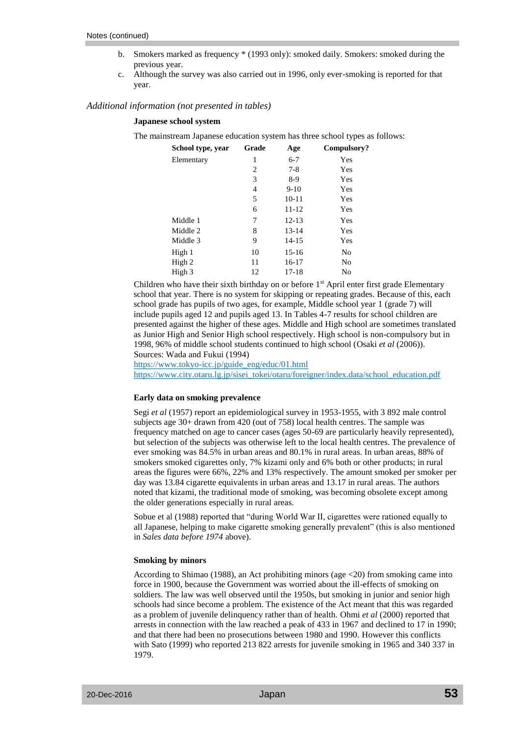- b. Smokers marked as frequency \* (1993 only): smoked daily. Smokers: smoked during the previous year.
- c. Although the survey was also carried out in 1996, only ever-smoking is reported for that year.

#### <span id="page-52-0"></span>*Additional information (not presented in tables)*

#### **Japanese school system**

The mainstream Japanese education system has three school types as follows:

| School type, year | Grade | Age       | Compulsory? |
|-------------------|-------|-----------|-------------|
| Elementary        | 1     | $6 - 7$   | Yes         |
|                   | 2     | $7 - 8$   | Yes         |
|                   | 3     | $8-9$     | Yes         |
|                   | 4     | $9-10$    | Yes         |
|                   | 5     | $10 - 11$ | Yes         |
|                   | 6     | 11-12     | Yes         |
| Middle 1          | 7     | $12 - 13$ | Yes         |
| Middle 2          | 8     | $13 - 14$ | Yes         |
| Middle 3          | 9     | $14 - 15$ | Yes         |
| High 1            | 10    | 15-16     | No          |
| High 2            | 11    | 16-17     | No          |
| High 3            | 12    | $17 - 18$ | No          |
|                   |       |           |             |

Children who have their sixth birthday on or before 1<sup>st</sup> April enter first grade Elementary school that year. There is no system for skipping or repeating grades. Because of this, each school grade has pupils of two ages, for example, Middle school year 1 (grade 7) will include pupils aged 12 and pupils aged 13. In Tables 4-7 results for school children are presented against the higher of these ages. Middle and High school are sometimes translated as Junior High and Senior High school respectively. High school is non-compulsory but in 1998, 96% of middle school students continued to high school (Osaki *et al* (2006)). Sources: Wada and Fukui (1994)

[https://www.tokyo-icc.jp/guide\\_eng/educ/01.html](https://www.tokyo-icc.jp/guide_eng/educ/01.html)

[https://www.city.otaru.lg.jp/sisei\\_tokei/otaru/foreigner/index.data/school\\_education.pdf](https://www.city.otaru.lg.jp/sisei_tokei/otaru/foreigner/index.data/school_education.pdf)

#### **Early data on smoking prevalence**

Segi *et al* (1957) report an epidemiological survey in 1953-1955, with 3 892 male control subjects age 30+ drawn from 420 (out of 758) local health centres. The sample was frequency matched on age to cancer cases (ages 50-69 are particularly heavily represented), but selection of the subjects was otherwise left to the local health centres. The prevalence of ever smoking was 84.5% in urban areas and 80.1% in rural areas. In urban areas, 88% of smokers smoked cigarettes only, 7% kizami only and 6% both or other products; in rural areas the figures were 66%, 22% and 13% respectively. The amount smoked per smoker per day was 13.84 cigarette equivalents in urban areas and 13.17 in rural areas. The authors noted that kizami, the traditional mode of smoking, was becoming obsolete except among the older generations especially in rural areas.

Sobue et al (1988) reported that "during World War II, cigarettes were rationed equally to all Japanese, helping to make cigarette smoking generally prevalent" (this is also mentioned in *[Sales data before 1974](#page-43-2)* above).

#### **Smoking by minors**

According to Shimao (1988), an Act prohibiting minors (age <20) from smoking came into force in 1900, because the Government was worried about the ill-effects of smoking on soldiers. The law was well observed until the 1950s, but smoking in junior and senior high schools had since become a problem. The existence of the Act meant that this was regarded as a problem of juvenile delinquency rather than of health. Ohmi *et al* (2000) reported that arrests in connection with the law reached a peak of 433 in 1967 and declined to 17 in 1990; and that there had been no prosecutions between 1980 and 1990. However this conflicts with Sato (1999) who reported 213 822 arrests for juvenile smoking in 1965 and 340 337 in 1979.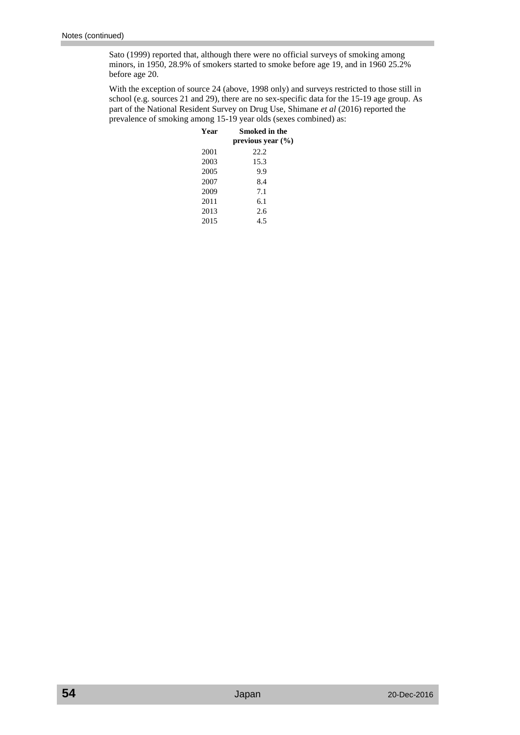Sato (1999) reported that, although there were no official surveys of smoking among minors, in 1950, 28.9% of smokers started to smoke before age 19, and in 1960 25.2% before age 20.

With the exception of source 24 (above, 1998 only) and surveys restricted to those still in school (e.g. sources 21 and 29), there are no sex-specific data for the 15-19 age group. As part of the National Resident Survey on Drug Use, Shimane *et al* (2016) reported the prevalence of smoking among 15-19 year olds (sexes combined) as:

| Year | Smoked in the<br>previous year $(\% )$ |
|------|----------------------------------------|
| 2001 | 22.2                                   |
| 2003 | 15.3                                   |
| 2005 | 9.9                                    |
| 2007 | 8.4                                    |
| 2009 | 7.1                                    |
| 2011 | 6.1                                    |
| 2013 | 2.6                                    |
| 2015 | 4.5                                    |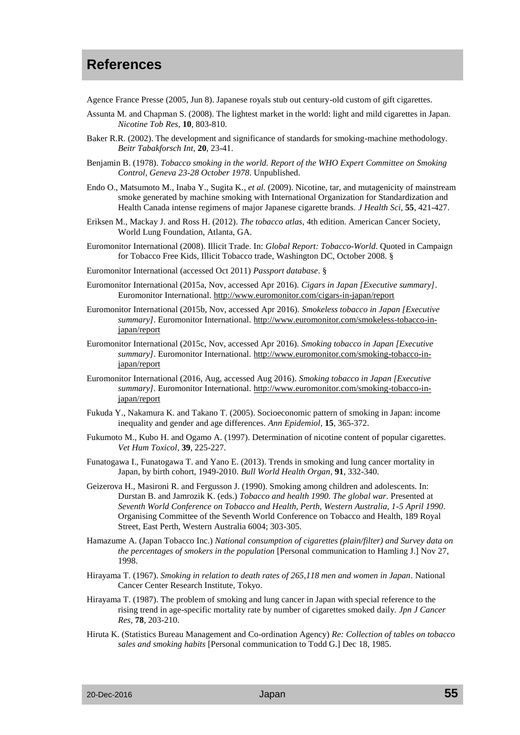# <span id="page-54-0"></span>**References**

Agence France Presse (2005, Jun 8). Japanese royals stub out century-old custom of gift cigarettes.

- Assunta M. and Chapman S. (2008). The lightest market in the world: light and mild cigarettes in Japan. *Nicotine Tob Res*, **10**, 803-810.
- Baker R.R. (2002). The development and significance of standards for smoking-machine methodology. *Beitr Tabakforsch Int*, **20**, 23-41.
- Benjamin B. (1978). *Tobacco smoking in the world. Report of the WHO Expert Committee on Smoking Control, Geneva 23-28 October 1978*. Unpublished.
- Endo O., Matsumoto M., Inaba Y., Sugita K.*, et al.* (2009). Nicotine, tar, and mutagenicity of mainstream smoke generated by machine smoking with International Organization for Standardization and Health Canada intense regimens of major Japanese cigarette brands. *J Health Sci*, **55**, 421-427.
- Eriksen M., Mackay J. and Ross H. (2012). *The tobacco atlas*, 4th edition. American Cancer Society, World Lung Foundation, Atlanta, GA.
- Euromonitor International (2008). Illicit Trade. In: *Global Report: Tobacco-World*. Quoted in Campaign for Tobacco Free Kids, Illicit Tobacco trade, Washington DC, October 2008. §
- Euromonitor International (accessed Oct 2011) *Passport database*. §
- Euromonitor International (2015a, Nov, accessed Apr 2016). *Cigars in Japan [Executive summary]*. Euromonitor International.<http://www.euromonitor.com/cigars-in-japan/report>
- Euromonitor International (2015b, Nov, accessed Apr 2016). *Smokeless tobacco in Japan [Executive summary]*. Euromonitor International. [http://www.euromonitor.com/smokeless-tobacco-in](http://www.euromonitor.com/smokeless-tobacco-in-japan/report)[japan/report](http://www.euromonitor.com/smokeless-tobacco-in-japan/report)
- Euromonitor International (2015c, Nov, accessed Apr 2016). *Smoking tobacco in Japan [Executive summary]*. Euromonitor International. [http://www.euromonitor.com/smoking-tobacco-in](http://www.euromonitor.com/smoking-tobacco-in-japan/report)[japan/report](http://www.euromonitor.com/smoking-tobacco-in-japan/report)
- Euromonitor International (2016, Aug, accessed Aug 2016). *Smoking tobacco in Japan [Executive summary]*. Euromonitor International. [http://www.euromonitor.com/smoking-tobacco-in](http://www.euromonitor.com/smoking-tobacco-in-japan/report)[japan/report](http://www.euromonitor.com/smoking-tobacco-in-japan/report)
- Fukuda Y., Nakamura K. and Takano T. (2005). Socioeconomic pattern of smoking in Japan: income inequality and gender and age differences. *Ann Epidemiol*, **15**, 365-372.
- Fukumoto M., Kubo H. and Ogamo A. (1997). Determination of nicotine content of popular cigarettes. *Vet Hum Toxicol*, **39**, 225-227.
- Funatogawa I., Funatogawa T. and Yano E. (2013). Trends in smoking and lung cancer mortality in Japan, by birth cohort, 1949-2010. *Bull World Health Organ*, **91**, 332-340.
- Geizerova H., Masironi R. and Fergusson J. (1990). Smoking among children and adolescents. In: Durstan B. and Jamrozik K. (eds.) *Tobacco and health 1990. The global war*. Presented at *Seventh World Conference on Tobacco and Health, Perth, Western Australia, 1-5 April 1990*. Organising Committee of the Seventh World Conference on Tobacco and Health, 189 Royal Street, East Perth, Western Australia 6004; 303-305.
- Hamazume A. (Japan Tobacco Inc.) *National consumption of cigarettes (plain/filter) and Survey data on the percentages of smokers in the population* [Personal communication to Hamling J.] Nov 27, 1998.
- Hirayama T. (1967). *Smoking in relation to death rates of 265,118 men and women in Japan*. National Cancer Center Research Institute, Tokyo.
- Hirayama T. (1987). The problem of smoking and lung cancer in Japan with special reference to the rising trend in age-specific mortality rate by number of cigarettes smoked daily. *Jpn J Cancer Res*, **78**, 203-210.
- Hiruta K. (Statistics Bureau Management and Co-ordination Agency) *Re: Collection of tables on tobacco sales and smoking habits* [Personal communication to Todd G.] Dec 18, 1985.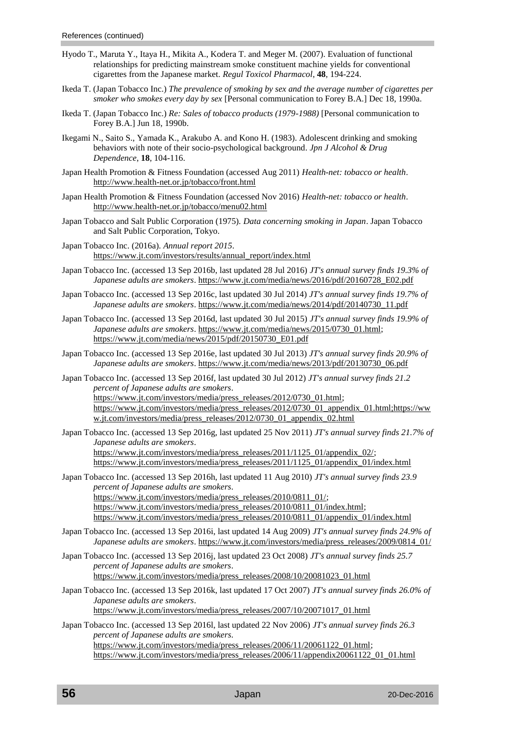- Hyodo T., Maruta Y., Itaya H., Mikita A., Kodera T. and Meger M. (2007). Evaluation of functional relationships for predicting mainstream smoke constituent machine yields for conventional cigarettes from the Japanese market. *Regul Toxicol Pharmacol*, **48**, 194-224.
- Ikeda T. (Japan Tobacco Inc.) *The prevalence of smoking by sex and the average number of cigarettes per smoker who smokes every day by sex* [Personal communication to Forey B.A.] Dec 18, 1990a.
- Ikeda T. (Japan Tobacco Inc.) *Re: Sales of tobacco products (1979-1988)* [Personal communication to Forey B.A.] Jun 18, 1990b.
- Ikegami N., Saito S., Yamada K., Arakubo A. and Kono H. (1983). Adolescent drinking and smoking behaviors with note of their socio-psychological background. *Jpn J Alcohol & Drug Dependence*, **18**, 104-116.
- Japan Health Promotion & Fitness Foundation (accessed Aug 2011) *Health-net: tobacco or health*. <http://www.health-net.or.jp/tobacco/front.html>
- Japan Health Promotion & Fitness Foundation (accessed Nov 2016) *Health-net: tobacco or health*. <http://www.health-net.or.jp/tobacco/menu02.html>
- Japan Tobacco and Salt Public Corporation (1975). *Data concerning smoking in Japan*. Japan Tobacco and Salt Public Corporation, Tokyo.
- Japan Tobacco Inc. (2016a). *Annual report 2015*. [https://www.jt.com/investors/results/annual\\_report/index.html](https://www.jt.com/investors/results/annual_report/index.html)
- Japan Tobacco Inc. (accessed 13 Sep 2016b, last updated 28 Jul 2016) *JT's annual survey finds 19.3% of Japanese adults are smokers*. [https://www.jt.com/media/news/2016/pdf/20160728\\_E02.pdf](https://www.jt.com/media/news/2016/pdf/20160728_E02.pdf)
- Japan Tobacco Inc. (accessed 13 Sep 2016c, last updated 30 Jul 2014) *JT's annual survey finds 19.7% of Japanese adults are smokers*. [https://www.jt.com/media/news/2014/pdf/20140730\\_11.pdf](https://www.jt.com/media/news/2014/pdf/20140730_11.pdf)
- Japan Tobacco Inc. (accessed 13 Sep 2016d, last updated 30 Jul 2015) *JT's annual survey finds 19.9% of Japanese adults are smokers*. [https://www.jt.com/media/news/2015/0730\\_01.html;](https://www.jt.com/media/news/2015/0730_01.html) [https://www.jt.com/media/news/2015/pdf/20150730\\_E01.pdf](https://www.jt.com/media/news/2015/pdf/20150730_E01.pdf)
- Japan Tobacco Inc. (accessed 13 Sep 2016e, last updated 30 Jul 2013) *JT's annual survey finds 20.9% of Japanese adults are smokers*. [https://www.jt.com/media/news/2013/pdf/20130730\\_06.pdf](https://www.jt.com/media/news/2013/pdf/20130730_06.pdf)
- Japan Tobacco Inc. (accessed 13 Sep 2016f, last updated 30 Jul 2012) *JT's annual survey finds 21.2 percent of Japanese adults are smokers*. [https://www.jt.com/investors/media/press\\_releases/2012/0730\\_01.html;](https://www.jt.com/investors/media/press_releases/2012/0730_01.html) [https://www.jt.com/investors/media/press\\_releases/2012/0730\\_01\\_appendix\\_01.html;https://ww](https://www.jt.com/investors/media/press_releases/2012/0730_01_appendix_01.html;https:/www.jt.com/investors/media/press_releases/2012/0730_01_appendix_02.html) [w.jt.com/investors/media/press\\_releases/2012/0730\\_01\\_appendix\\_02.html](https://www.jt.com/investors/media/press_releases/2012/0730_01_appendix_01.html;https:/www.jt.com/investors/media/press_releases/2012/0730_01_appendix_02.html)
- Japan Tobacco Inc. (accessed 13 Sep 2016g, last updated 25 Nov 2011) *JT's annual survey finds 21.7% of Japanese adults are smokers*. [https://www.jt.com/investors/media/press\\_releases/2011/1125\\_01/appendix\\_02/;](https://www.jt.com/investors/media/press_releases/2011/1125_01/appendix_02/)

[https://www.jt.com/investors/media/press\\_releases/2011/1125\\_01/appendix\\_01/index.html](https://www.jt.com/investors/media/press_releases/2011/1125_01/appendix_01/index.html)

- Japan Tobacco Inc. (accessed 13 Sep 2016h, last updated 11 Aug 2010) *JT's annual survey finds 23.9 percent of Japanese adults are smokers*. [https://www.jt.com/investors/media/press\\_releases/2010/0811\\_01/;](https://www.jt.com/investors/media/press_releases/2010/0811_01/) [https://www.jt.com/investors/media/press\\_releases/2010/0811\\_01/index.html;](https://www.jt.com/investors/media/press_releases/2010/0811_01/index.html)
	- [https://www.jt.com/investors/media/press\\_releases/2010/0811\\_01/appendix\\_01/index.html](https://www.jt.com/investors/media/press_releases/2010/0811_01/appendix_01/index.html)
- Japan Tobacco Inc. (accessed 13 Sep 2016i, last updated 14 Aug 2009) *JT's annual survey finds 24.9% of Japanese adults are smokers.* [https://www.jt.com/investors/media/press\\_releases/2009/0814\\_01/](https://www.jt.com/investors/media/press_releases/2009/0814_01/)
- Japan Tobacco Inc. (accessed 13 Sep 2016j, last updated 23 Oct 2008) *JT's annual survey finds 25.7 percent of Japanese adults are smokers*. [https://www.jt.com/investors/media/press\\_releases/2008/10/20081023\\_01.html](https://www.jt.com/investors/media/press_releases/2008/10/20081023_01.html)
- Japan Tobacco Inc. (accessed 13 Sep 2016k, last updated 17 Oct 2007) *JT's annual survey finds 26.0% of Japanese adults are smokers*. [https://www.jt.com/investors/media/press\\_releases/2007/10/20071017\\_01.html](https://www.jt.com/investors/media/press_releases/2007/10/20071017_01.html)

Japan Tobacco Inc. (accessed 13 Sep 2016l, last updated 22 Nov 2006) *JT's annual survey finds 26.3 percent of Japanese adults are smokers*. [https://www.jt.com/investors/media/press\\_releases/2006/11/20061122\\_01.html;](https://www.jt.com/investors/media/press_releases/2006/11/20061122_01.html) [https://www.jt.com/investors/media/press\\_releases/2006/11/appendix20061122\\_01\\_01.html](https://www.jt.com/investors/media/press_releases/2006/11/appendix20061122_01_01.html)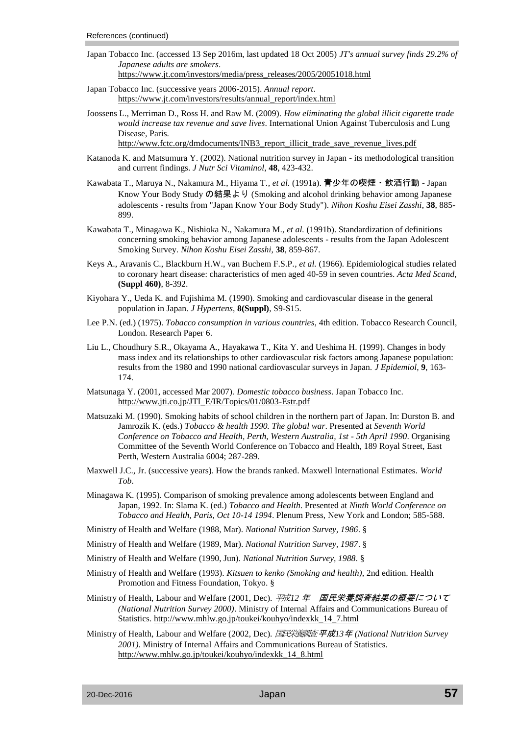- Japan Tobacco Inc. (accessed 13 Sep 2016m, last updated 18 Oct 2005) *JT's annual survey finds 29.2% of Japanese adults are smokers*.
	- [https://www.jt.com/investors/media/press\\_releases/2005/20051018.html](https://www.jt.com/investors/media/press_releases/2005/20051018.html)
- Japan Tobacco Inc. (successive years 2006-2015). *Annual report*. [https://www.jt.com/investors/results/annual\\_report/index.html](https://www.jt.com/investors/results/annual_report/index.html)
- Joossens L., Merriman D., Ross H. and Raw M. (2009). *How eliminating the global illicit cigarette trade would increase tax revenue and save lives*. International Union Against Tuberculosis and Lung Disease, Paris.

[http://www.fctc.org/dmdocuments/INB3\\_report\\_illicit\\_trade\\_save\\_revenue\\_lives.pdf](http://www.fctc.org/dmdocuments/INB3_report_illicit_trade_save_revenue_lives.pdf) 

- Katanoda K. and Matsumura Y. (2002). National nutrition survey in Japan its methodological transition and current findings. *J Nutr Sci Vitaminol*, **48**, 423-432.
- Kawabata T., Maruya N., Nakamura M., Hiyama T.*, et al.* (1991a). 青少年の喫煙・飲酒行動 Japan Know Your Body Study の結果より (Smoking and alcohol drinking behavior among Japanese adolescents - results from "Japan Know Your Body Study"). *Nihon Koshu Eisei Zasshi*, **38**, 885- 899.
- Kawabata T., Minagawa K., Nishioka N., Nakamura M.*, et al.* (1991b). Standardization of definitions concerning smoking behavior among Japanese adolescents - results from the Japan Adolescent Smoking Survey. *Nihon Koshu Eisei Zasshi*, **38**, 859-867.
- Keys A., Aravanis C., Blackburn H.W., van Buchem F.S.P.*, et al.* (1966). Epidemiological studies related to coronary heart disease: characteristics of men aged 40-59 in seven countries. *Acta Med Scand*, **(Suppl 460)**, 8-392.
- Kiyohara Y., Ueda K. and Fujishima M. (1990). Smoking and cardiovascular disease in the general population in Japan. *J Hypertens*, **8(Suppl)**, S9-S15.
- Lee P.N. (ed.) (1975). *Tobacco consumption in various countries*, 4th edition. Tobacco Research Council, London. Research Paper 6.
- Liu L., Choudhury S.R., Okayama A., Hayakawa T., Kita Y. and Ueshima H. (1999). Changes in body mass index and its relationships to other cardiovascular risk factors among Japanese population: results from the 1980 and 1990 national cardiovascular surveys in Japan. *J Epidemiol*, **9**, 163- 174.
- Matsunaga Y. (2001, accessed Mar 2007). *Domestic tobacco business*. Japan Tobacco Inc. [http://www.jti.co.jp/JTI\\_E/IR/Topics/01/0803-Estr.pdf](http://www.jti.co.jp/JTI_E/IR/Topics/01/0803-Estr.pdf)
- Matsuzaki M. (1990). Smoking habits of school children in the northern part of Japan. In: Durston B. and Jamrozik K. (eds.) *Tobacco & health 1990. The global war*. Presented at *Seventh World Conference on Tobacco and Health, Perth, Western Australia, 1st - 5th April 1990*. Organising Committee of the Seventh World Conference on Tobacco and Health, 189 Royal Street, East Perth, Western Australia 6004; 287-289.
- Maxwell J.C., Jr. (successive years). How the brands ranked. Maxwell International Estimates. *World Tob*.
- Minagawa K. (1995). Comparison of smoking prevalence among adolescents between England and Japan, 1992. In: Slama K. (ed.) *Tobacco and Health*. Presented at *Ninth World Conference on Tobacco and Health, Paris, Oct 10-14 1994*. Plenum Press, New York and London; 585-588.
- Ministry of Health and Welfare (1988, Mar). *National Nutrition Survey, 1986*. §
- Ministry of Health and Welfare (1989, Mar). *National Nutrition Survey, 1987*. §
- Ministry of Health and Welfare (1990, Jun). *National Nutrition Survey, 1988*. §
- Ministry of Health and Welfare (1993). *Kitsuen to kenko (Smoking and health)*, 2nd edition. Health Promotion and Fitness Foundation, Tokyo. §
- Ministry of Health, Labour and Welfare (2001, Dec). 平成*12* 年 国民栄養調査結果の概要について *(National Nutrition Survey 2000)*. Ministry of Internal Affairs and Communications Bureau of Statistics. [http://www.mhlw.go.jp/toukei/kouhyo/indexkk\\_14\\_7.html](http://www.mhlw.go.jp/toukei/kouhyo/indexkk_14_7.html)
- Ministry of Health, Labour and Welfare (2002, Dec). 国民栄養調査平成*13*年 *(National Nutrition Survey 2001)*. Ministry of Internal Affairs and Communications Bureau of Statistics. [http://www.mhlw.go.jp/toukei/kouhyo/indexkk\\_14\\_8.html](http://www.mhlw.go.jp/toukei/kouhyo/indexkk_14_8.html)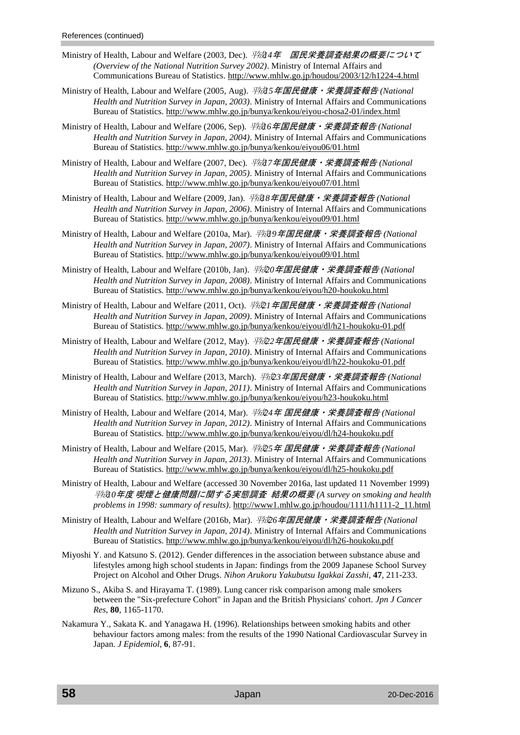- Ministry of Health, Labour and Welfare (2003, Dec). 平成*14*年 国民栄養調査結果の概要について *(Overview of the National Nutrition Survey 2002)*. Ministry of Internal Affairs and Communications Bureau of Statistics.<http://www.mhlw.go.jp/houdou/2003/12/h1224-4.html>
- Ministry of Health, Labour and Welfare (2005, Aug). 平成*15*年国民健康・栄養調査報告 *(National Health and Nutrition Survey in Japan, 2003)*. Ministry of Internal Affairs and Communications Bureau of Statistics.<http://www.mhlw.go.jp/bunya/kenkou/eiyou-chosa2-01/index.html>
- Ministry of Health, Labour and Welfare (2006, Sep). 平成*16*年国民健康・栄養調査報告 *(National Health and Nutrition Survey in Japan, 2004)*. Ministry of Internal Affairs and Communications Bureau of Statistics.<http://www.mhlw.go.jp/bunya/kenkou/eiyou06/01.html>
- Ministry of Health, Labour and Welfare (2007, Dec). 平成*17*年国民健康・栄養調査報告 *(National Health and Nutrition Survey in Japan, 2005)*. Ministry of Internal Affairs and Communications Bureau of Statistics.<http://www.mhlw.go.jp/bunya/kenkou/eiyou07/01.html>
- Ministry of Health, Labour and Welfare (2009, Jan). 平成*18*年国民健康・栄養調査報告 *(National Health and Nutrition Survey in Japan, 2006)*. Ministry of Internal Affairs and Communications Bureau of Statistics.<http://www.mhlw.go.jp/bunya/kenkou/eiyou09/01.html>
- Ministry of Health, Labour and Welfare (2010a, Mar). 平成*19*年国民健康・栄養調査報告 *(National Health and Nutrition Survey in Japan, 2007)*. Ministry of Internal Affairs and Communications Bureau of Statistics.<http://www.mhlw.go.jp/bunya/kenkou/eiyou09/01.html>
- Ministry of Health, Labour and Welfare (2010b, Jan). 平成*20*年国民健康・栄養調査報告 *(National Health and Nutrition Survey in Japan, 2008)*. Ministry of Internal Affairs and Communications Bureau of Statistics.<http://www.mhlw.go.jp/bunya/kenkou/eiyou/h20-houkoku.html>
- Ministry of Health, Labour and Welfare (2011, Oct). 平成*21*年国民健康・栄養調査報告 *(National Health and Nutrition Survey in Japan, 2009)*. Ministry of Internal Affairs and Communications Bureau of Statistics.<http://www.mhlw.go.jp/bunya/kenkou/eiyou/dl/h21-houkoku-01.pdf>
- Ministry of Health, Labour and Welfare (2012, May). 平成*22*年国民健康・栄養調査報告 *(National Health and Nutrition Survey in Japan, 2010)*. Ministry of Internal Affairs and Communications Bureau of Statistics.<http://www.mhlw.go.jp/bunya/kenkou/eiyou/dl/h22-houkoku-01.pdf>
- Ministry of Health, Labour and Welfare (2013, March). 平成*23*年国民健康・栄養調査報告 *(National Health and Nutrition Survey in Japan, 2011)*. Ministry of Internal Affairs and Communications Bureau of Statistics.<http://www.mhlw.go.jp/bunya/kenkou/eiyou/h23-houkoku.html>
- Ministry of Health, Labour and Welfare (2014, Mar). 平成*24*年 国民健康・栄養調査報告 *(National Health and Nutrition Survey in Japan, 2012)*. Ministry of Internal Affairs and Communications Bureau of Statistics.<http://www.mhlw.go.jp/bunya/kenkou/eiyou/dl/h24-houkoku.pdf>
- Ministry of Health, Labour and Welfare (2015, Mar). 平成*25*年 国民健康・栄養調査報告 *(National Health and Nutrition Survey in Japan, 2013)*. Ministry of Internal Affairs and Communications Bureau of Statistics.<http://www.mhlw.go.jp/bunya/kenkou/eiyou/dl/h25-houkoku.pdf>
- Ministry of Health, Labour and Welfare (accessed 30 November 2016a, last updated 11 November 1999) 平成*10*年度 喫煙と健康問題に関する実態調査 結果の概要 *(A survey on smoking and health problems in 1998: summary of results)*. [http://www1.mhlw.go.jp/houdou/1111/h1111-2\\_11.html](http://www1.mhlw.go.jp/houdou/1111/h1111-2_11.html)
- Ministry of Health, Labour and Welfare (2016b, Mar). 平成*26*年国民健康・栄養調査報告 *(National Health and Nutrition Survey in Japan, 2014)*. Ministry of Internal Affairs and Communications Bureau of Statistics.<http://www.mhlw.go.jp/bunya/kenkou/eiyou/dl/h26-houkoku.pdf>
- Miyoshi Y. and Katsuno S. (2012). Gender differences in the association between substance abuse and lifestyles among high school students in Japan: findings from the 2009 Japanese School Survey Project on Alcohol and Other Drugs. *Nihon Arukoru Yakubutsu Igakkai Zasshi*, **47**, 211-233.
- Mizuno S., Akiba S. and Hirayama T. (1989). Lung cancer risk comparison among male smokers between the "Six-prefecture Cohort" in Japan and the British Physicians' cohort. *Jpn J Cancer Res*, **80**, 1165-1170.
- Nakamura Y., Sakata K. and Yanagawa H. (1996). Relationships between smoking habits and other behaviour factors among males: from the results of the 1990 National Cardiovascular Survey in Japan. *J Epidemiol*, **6**, 87-91.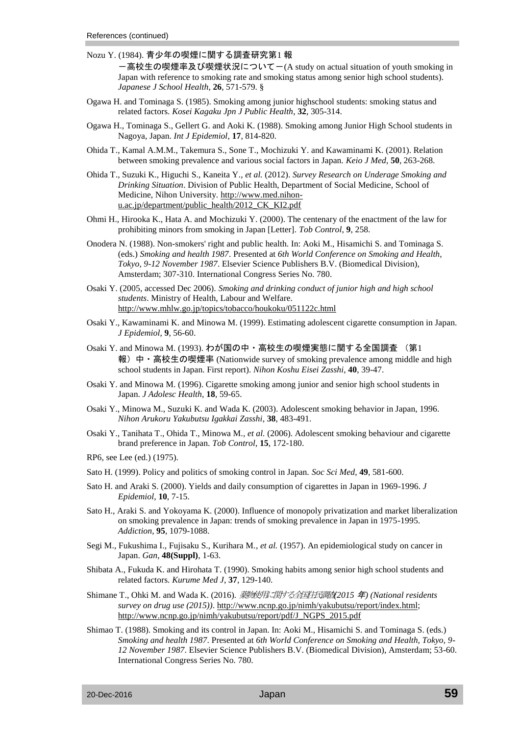- Nozu Y. (1984). 青少年の喫煙に関する調査研究第1 報
	- ー高校生の喫煙率及び喫煙状況について-(A study on actual situation of youth smoking in Japan with reference to smoking rate and smoking status among senior high school students). *Japanese J School Health*, **26**, 571-579. §
- Ogawa H. and Tominaga S. (1985). Smoking among junior highschool students: smoking status and related factors. *Kosei Kagaku Jpn J Public Health*, **32**, 305-314.
- Ogawa H., Tominaga S., Gellert G. and Aoki K. (1988). Smoking among Junior High School students in Nagoya, Japan. *Int J Epidemiol*, **17**, 814-820.
- Ohida T., Kamal A.M.M., Takemura S., Sone T., Mochizuki Y. and Kawaminami K. (2001). Relation between smoking prevalence and various social factors in Japan. *Keio J Med*, **50**, 263-268.
- Ohida T., Suzuki K., Higuchi S., Kaneita Y.*, et al.* (2012). *Survey Research on Underage Smoking and Drinking Situation*. Division of Public Health, Department of Social Medicine, School of Medicine, Nihon University. [http://www.med.nihon](http://www.med.nihon-u.ac.jp/department/public_health/2012_CK_KI2.pdf)[u.ac.jp/department/public\\_health/2012\\_CK\\_KI2.pdf](http://www.med.nihon-u.ac.jp/department/public_health/2012_CK_KI2.pdf)
- Ohmi H., Hirooka K., Hata A. and Mochizuki Y. (2000). The centenary of the enactment of the law for prohibiting minors from smoking in Japan [Letter]. *Tob Control*, **9**, 258.
- Onodera N. (1988). Non-smokers' right and public health. In: Aoki M., Hisamichi S. and Tominaga S. (eds.) *Smoking and health 1987*. Presented at *6th World Conference on Smoking and Health, Tokyo, 9-12 November 1987*. Elsevier Science Publishers B.V. (Biomedical Division), Amsterdam; 307-310. International Congress Series No. 780.
- Osaki Y. (2005, accessed Dec 2006). *Smoking and drinking conduct of junior high and high school students*. Ministry of Health, Labour and Welfare. <http://www.mhlw.go.jp/topics/tobacco/houkoku/051122c.html>
- Osaki Y., Kawaminami K. and Minowa M. (1999). Estimating adolescent cigarette consumption in Japan. *J Epidemiol*, **9**, 56-60.
- Osaki Y. and Minowa M. (1993). わが国の中・高校生の喫煙実態に関する全国調査 (第1 報)中・高校生の喫煙率 (Nationwide survey of smoking prevalence among middle and high school students in Japan. First report). *Nihon Koshu Eisei Zasshi*, **40**, 39-47.
- Osaki Y. and Minowa M. (1996). Cigarette smoking among junior and senior high school students in Japan. *J Adolesc Health*, **18**, 59-65.
- Osaki Y., Minowa M., Suzuki K. and Wada K. (2003). Adolescent smoking behavior in Japan, 1996. *Nihon Arukoru Yakubutsu Igakkai Zasshi*, **38**, 483-491.
- Osaki Y., Tanihata T., Ohida T., Minowa M.*, et al.* (2006). Adolescent smoking behaviour and cigarette brand preference in Japan. *Tob Control*, **15**, 172-180.
- RP6, see Lee (ed.) (1975).
- Sato H. (1999). Policy and politics of smoking control in Japan. *Soc Sci Med*, **49**, 581-600.
- Sato H. and Araki S. (2000). Yields and daily consumption of cigarettes in Japan in 1969-1996. *J Epidemiol*, **10**, 7-15.
- Sato H., Araki S. and Yokoyama K. (2000). Influence of monopoly privatization and market liberalization on smoking prevalence in Japan: trends of smoking prevalence in Japan in 1975-1995. *Addiction*, **95**, 1079-1088.
- Segi M., Fukushima I., Fujisaku S., Kurihara M.*, et al.* (1957). An epidemiological study on cancer in Japan. *Gan*, **48(Suppl)**, 1-63.
- Shibata A., Fukuda K. and Hirohata T. (1990). Smoking habits among senior high school students and related factors. *Kurume Med J*, **37**, 129-140.
- Shimane T., Ohki M. and Wada K. (2016). 薬物使用に関する全国住民調査*(2015* 年*) (National residents survey on drug use (2015))*[. http://www.ncnp.go.jp/nimh/yakubutsu/report/index.html;](http://www.ncnp.go.jp/nimh/yakubutsu/report/index.html) [http://www.ncnp.go.jp/nimh/yakubutsu/report/pdf/J\\_NGPS\\_2015.pdf](http://www.ncnp.go.jp/nimh/yakubutsu/report/pdf/J_NGPS_2015.pdf)
- Shimao T. (1988). Smoking and its control in Japan. In: Aoki M., Hisamichi S. and Tominaga S. (eds.) *Smoking and health 1987*. Presented at *6th World Conference on Smoking and Health, Tokyo, 9- 12 November 1987*. Elsevier Science Publishers B.V. (Biomedical Division), Amsterdam; 53-60. International Congress Series No. 780.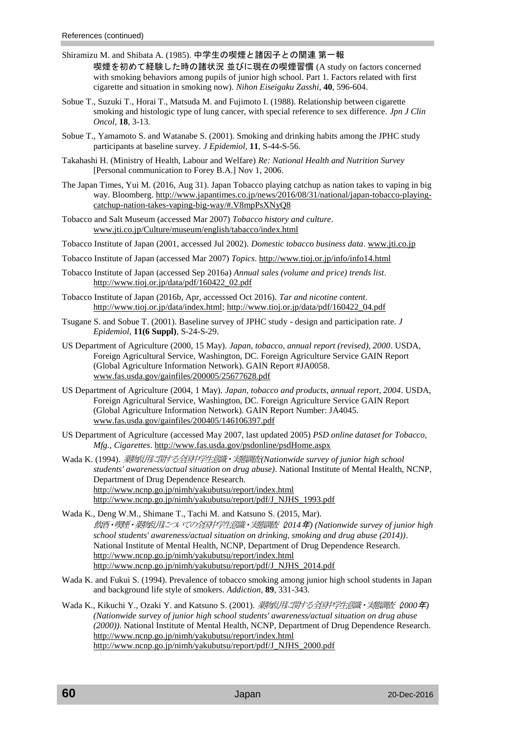Shiramizu M. and Shibata A. (1985). 中学生の喫煙と諸因子との関連 第一報

喫煙を初めて経験した時の諸状況 並びに現在の喫煙習慣 (A study on factors concerned with smoking behaviors among pupils of junior high school. Part 1. Factors related with first cigarette and situation in smoking now). *Nihon Eiseigaku Zasshi*, **40**, 596-604.

- Sobue T., Suzuki T., Horai T., Matsuda M. and Fujimoto I. (1988). Relationship between cigarette smoking and histologic type of lung cancer, with special reference to sex difference. *Jpn J Clin Oncol*, **18**, 3-13.
- Sobue T., Yamamoto S. and Watanabe S. (2001). Smoking and drinking habits among the JPHC study participants at baseline survey. *J Epidemiol*, **11**, S-44-S-56.
- Takahashi H. (Ministry of Health, Labour and Welfare) *Re: National Health and Nutrition Survey* [Personal communication to Forey B.A.] Nov 1, 2006.
- The Japan Times, Yui M. (2016, Aug 31). Japan Tobacco playing catchup as nation takes to vaping in big way. Bloomberg. [http://www.japantimes.co.jp/news/2016/08/31/national/japan-tobacco-playing](http://www.japantimes.co.jp/news/2016/08/31/national/japan-tobacco-playing-catchup-nation-takes-vaping-big-way/#.V8mpPsXNyQ8)[catchup-nation-takes-vaping-big-way/#.V8mpPsXNyQ8](http://www.japantimes.co.jp/news/2016/08/31/national/japan-tobacco-playing-catchup-nation-takes-vaping-big-way/#.V8mpPsXNyQ8)
- Tobacco and Salt Museum (accessed Mar 2007) *Tobacco history and culture*. <www.jti.co.jp/Culture/museum/english/tabacco/index.html>
- Tobacco Institute of Japan (2001, accessed Jul 2002). *Domestic tobacco business data*.<www.jti.co.jp>
- Tobacco Institute of Japan (accessed Mar 2007) *Topics*[. http://www.tioj.or.jp/info/info14.html](http://www.tioj.or.jp/info/info14.html)
- Tobacco Institute of Japan (accessed Sep 2016a) *Annual sales (volume and price) trends list*. [http://www.tioj.or.jp/data/pdf/160422\\_02.pdf](http://www.tioj.or.jp/data/pdf/160422_02.pdf)
- Tobacco Institute of Japan (2016b, Apr, accesssed Oct 2016). *Tar and nicotine content*. [http://www.tioj.or.jp/data/index.html;](http://www.tioj.or.jp/data/index.html) [http://www.tioj.or.jp/data/pdf/160422\\_04.pdf](http://www.tioj.or.jp/data/pdf/160422_04.pdf)
- Tsugane S. and Sobue T. (2001). Baseline survey of JPHC study design and participation rate. *J Epidemiol*, **11(6 Suppl)**, S-24-S-29.
- US Department of Agriculture (2000, 15 May). *Japan, tobacco, annual report (revised), 2000*. USDA, Foreign Agricultural Service, Washington, DC. Foreign Agriculture Service GAIN Report (Global Agriculture Information Network). GAIN Report #JA0058. <www.fas.usda.gov/gainfiles/200005/25677628.pdf>
- US Department of Agriculture (2004, 1 May). *Japan, tobacco and products, annual report, 2004*. USDA, Foreign Agricultural Service, Washington, DC. Foreign Agriculture Service GAIN Report (Global Agriculture Information Network). GAIN Report Number: JA4045. <www.fas.usda.gov/gainfiles/200405/146106397.pdf>
- US Department of Agriculture (accessed May 2007, last updated 2005) *PSD online dataset for Tobacco, Mfg., Cigarettes*.<http://www.fas.usda.gov/psdonline/psdHome.aspx>

Wada K. (1994). 薬物乱用に関する全国中学生意識・実態調査*(Nationwide survey of junior high school students' awareness/actual situation on drug abuse)*. National Institute of Mental Health, NCNP, Department of Drug Dependence Research. <http://www.ncnp.go.jp/nimh/yakubutsu/report/index.html> [http://www.ncnp.go.jp/nimh/yakubutsu/report/pdf/J\\_NJHS\\_1993.pdf](http://www.ncnp.go.jp/nimh/yakubutsu/report/pdf/J_NJHS_1993.pdf) 

Wada K., Deng W.M., Shimane T., Tachi M. and Katsuno S. (2015, Mar). 飲酒・喫煙・薬物乱用についての全国中学生意識・実態調査(*2014*年*) (Nationwide survey of junior high school students' awareness/actual situation on drinking, smoking and drug abuse (2014))*. National Institute of Mental Health, NCNP, Department of Drug Dependence Research. <http://www.ncnp.go.jp/nimh/yakubutsu/report/index.html> [http://www.ncnp.go.jp/nimh/yakubutsu/report/pdf/J\\_NJHS\\_2014.pdf](http://www.ncnp.go.jp/nimh/yakubutsu/report/pdf/J_NJHS_2014.pdf) 

- Wada K. and Fukui S. (1994). Prevalence of tobacco smoking among junior high school students in Japan and background life style of smokers. *Addiction*, **89**, 331-343.
- Wada K., Kikuchi Y., Ozaki Y. and Katsuno S. (2001). *薬物乱用に関する全国中学生意識・実態調査 (2000年) (Nationwide survey of junior high school students' awareness/actual situation on drug abuse (2000))*. National Institute of Mental Health, NCNP, Department of Drug Dependence Research. <http://www.ncnp.go.jp/nimh/yakubutsu/report/index.html> [http://www.ncnp.go.jp/nimh/yakubutsu/report/pdf/J\\_NJHS\\_2000.pdf](http://www.ncnp.go.jp/nimh/yakubutsu/report/pdf/J_NJHS_2000.pdf)